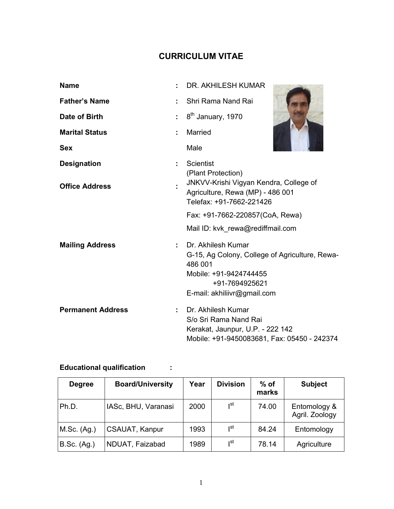# CURRICULUM VITAE

| <b>Name</b>              |                                                                                                                              | DR. AKHILESH KUMAR                                                                                                                                         |  |
|--------------------------|------------------------------------------------------------------------------------------------------------------------------|------------------------------------------------------------------------------------------------------------------------------------------------------------|--|
| <b>Father's Name</b>     |                                                                                                                              | Shri Rama Nand Rai                                                                                                                                         |  |
| Date of Birth            | ÷                                                                                                                            | 8 <sup>th</sup> January, 1970                                                                                                                              |  |
| <b>Marital Status</b>    |                                                                                                                              | <b>Married</b>                                                                                                                                             |  |
| <b>Sex</b>               |                                                                                                                              | Male                                                                                                                                                       |  |
| <b>Designation</b>       |                                                                                                                              | Scientist                                                                                                                                                  |  |
| <b>Office Address</b>    | (Plant Protection)<br>JNKVV-Krishi Vigyan Kendra, College of<br>Agriculture, Rewa (MP) - 486 001<br>Telefax: +91-7662-221426 |                                                                                                                                                            |  |
|                          |                                                                                                                              | Fax: +91-7662-220857(CoA, Rewa)                                                                                                                            |  |
|                          |                                                                                                                              | Mail ID: kvk_rewa@rediffmail.com                                                                                                                           |  |
| <b>Mailing Address</b>   |                                                                                                                              | Dr. Akhilesh Kumar<br>G-15, Ag Colony, College of Agriculture, Rewa-<br>486 001<br>Mobile: +91-9424744455<br>+91-7694925621<br>E-mail: akhiliivr@gmail.com |  |
| <b>Permanent Address</b> | ÷                                                                                                                            | Dr. Akhilesh Kumar<br>S/o Sri Rama Nand Rai<br>Kerakat, Jaunpur, U.P. - 222 142<br>Mobile: +91-9450083681, Fax: 05450 - 242374                             |  |

# Educational qualification :

| <b>Degree</b>      | <b>Board/University</b> | Year | <b>Division</b> | $%$ of<br>marks | <b>Subject</b>                 |
|--------------------|-------------------------|------|-----------------|-----------------|--------------------------------|
| Ph.D.              | IASc, BHU, Varanasi     | 2000 | Ist             | 74.00           | Entomology &<br>Agril. Zoology |
| M.Sc. (Ag.)        | <b>CSAUAT, Kanpur</b>   | 1993 | ∣st             | 84.24           | Entomology                     |
| <b>B.Sc.</b> (Ag.) | NDUAT, Faizabad         | 1989 | ıst             | 78.14           | Agriculture                    |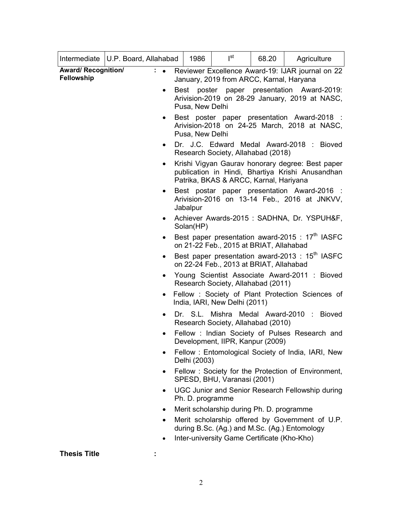| Intermediate   U.P. Board, Allahabad     |                                                                                                                                                                                                                |           | 1986                                                                                                                                           | $I^{st}$                           | 68.20 | Agriculture                                      |  |  |
|------------------------------------------|----------------------------------------------------------------------------------------------------------------------------------------------------------------------------------------------------------------|-----------|------------------------------------------------------------------------------------------------------------------------------------------------|------------------------------------|-------|--------------------------------------------------|--|--|
| <b>Award/ Recognition/</b><br>Fellowship |                                                                                                                                                                                                                | $\bullet$ | Reviewer Excellence Award-19: IJAR journal on 22<br>January, 2019 from ARCC, Karnal, Haryana                                                   |                                    |       |                                                  |  |  |
|                                          |                                                                                                                                                                                                                | $\bullet$ | Best poster paper presentation Award-2019:<br>Arivision-2019 on 28-29 January, 2019 at NASC,<br>Pusa, New Delhi                                |                                    |       |                                                  |  |  |
|                                          |                                                                                                                                                                                                                | $\bullet$ | Best poster paper presentation Award-2018 :<br>Arivision-2018 on 24-25 March, 2018 at NASC,<br>Pusa, New Delhi                                 |                                    |       |                                                  |  |  |
|                                          |                                                                                                                                                                                                                | $\bullet$ | Dr. J.C. Edward Medal Award-2018 : Bioved<br>Research Society, Allahabad (2018)                                                                |                                    |       |                                                  |  |  |
|                                          |                                                                                                                                                                                                                | $\bullet$ | Krishi Vigyan Gaurav honorary degree: Best paper<br>publication in Hindi, Bhartiya Krishi Anusandhan<br>Patrika, BKAS & ARCC, Karnal, Hariyana |                                    |       |                                                  |  |  |
|                                          |                                                                                                                                                                                                                | $\bullet$ | Best postar paper presentation Award-2016 :<br>Arivision-2016 on 13-14 Feb., 2016 at JNKVV,<br>Jabalpur                                        |                                    |       |                                                  |  |  |
|                                          |                                                                                                                                                                                                                |           | Achiever Awards-2015: SADHNA, Dr. YSPUH&F,<br>Solan(HP)                                                                                        |                                    |       |                                                  |  |  |
|                                          |                                                                                                                                                                                                                |           | Best paper presentation award-2015 : 17 <sup>th</sup> IASFC<br>on 21-22 Feb., 2015 at BRIAT, Allahabad                                         |                                    |       |                                                  |  |  |
|                                          |                                                                                                                                                                                                                | $\bullet$ | Best paper presentation award-2013 : 15 <sup>th</sup> IASFC<br>on 22-24 Feb., 2013 at BRIAT, Allahabad                                         |                                    |       |                                                  |  |  |
|                                          |                                                                                                                                                                                                                | $\bullet$ | Young Scientist Associate Award-2011 : Bioved<br>Research Society, Allahabad (2011)                                                            |                                    |       |                                                  |  |  |
|                                          |                                                                                                                                                                                                                |           | Fellow: Society of Plant Protection Sciences of<br>India, IARI, New Delhi (2011)                                                               |                                    |       |                                                  |  |  |
|                                          |                                                                                                                                                                                                                | $\bullet$ |                                                                                                                                                | Research Society, Allahabad (2010) |       | Dr. S.L. Mishra Medal Award-2010 : Bioved        |  |  |
|                                          |                                                                                                                                                                                                                |           |                                                                                                                                                | Development, IIPR, Kanpur (2009)   |       | Fellow: Indian Society of Pulses Research and    |  |  |
|                                          | Fellow: Entomological Society of India, IARI, New<br>Delhi (2003)                                                                                                                                              |           |                                                                                                                                                |                                    |       |                                                  |  |  |
|                                          |                                                                                                                                                                                                                | $\bullet$ | Fellow: Society for the Protection of Environment,<br>SPESD, BHU, Varanasi (2001)                                                              |                                    |       |                                                  |  |  |
|                                          |                                                                                                                                                                                                                | $\bullet$ | Ph. D. programme                                                                                                                               |                                    |       | UGC Junior and Senior Research Fellowship during |  |  |
|                                          | Merit scholarship during Ph. D. programme<br>$\bullet$<br>Merit scholarship offered by Government of U.P.<br>٠<br>during B.Sc. (Ag.) and M.Sc. (Ag.) Entomology<br>Inter-university Game Certificate (Kho-Kho) |           |                                                                                                                                                |                                    |       |                                                  |  |  |
|                                          |                                                                                                                                                                                                                |           |                                                                                                                                                |                                    |       |                                                  |  |  |

Thesis Title **in the State State** in the set of the set of the set of the set of the set of the set of the set of the set of the set of the set of the set of the set of the set of the set of the set of the set of the set o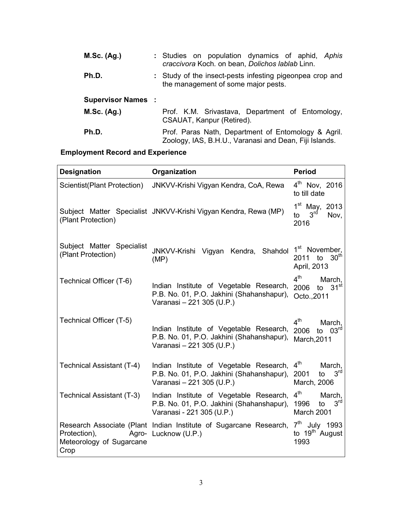| M.Sc. (Ag.)              | : Studies on population dynamics of aphid, Aphis<br>craccivora Koch. on bean, Dolichos lablab Linn.           |  |  |  |
|--------------------------|---------------------------------------------------------------------------------------------------------------|--|--|--|
| Ph.D.                    | : Study of the insect-pests infesting pigeonpea crop and<br>the management of some major pests.               |  |  |  |
| <b>Supervisor Names:</b> |                                                                                                               |  |  |  |
| M.Sc. (Ag.)              | Prof. K.M. Srivastava, Department of Entomology,<br>CSAUAT, Kanpur (Retired).                                 |  |  |  |
| Ph.D.                    | Prof. Paras Nath, Department of Entomology & Agril.<br>Zoology, IAS, B.H.U., Varanasi and Dean, Fiji Islands. |  |  |  |

# Employment Record and Experience

| <b>Designation</b>                               | Organization                                                                                                      | <b>Period</b>                                                                   |
|--------------------------------------------------|-------------------------------------------------------------------------------------------------------------------|---------------------------------------------------------------------------------|
| Scientist(Plant Protection)                      | JNKVV-Krishi Vigyan Kendra, CoA, Rewa                                                                             | $4^{\text{th}}$ Nov, 2016<br>to till date                                       |
| (Plant Protection)                               | Subject Matter Specialist JNKVV-Krishi Vigyan Kendra, Rewa (MP)                                                   | $1^{st}$ May, 2013<br>3 <sup>rd</sup><br>Nov,<br>to<br>2016                     |
| Subject Matter Specialist<br>(Plant Protection)  | JNKVV-Krishi Vigyan Kendra, Shahdol<br>(MP)                                                                       | 1 <sup>st</sup> November,<br>30 <sup>th</sup><br>to<br>2011<br>April, 2013      |
| Technical Officer (T-6)                          | Indian Institute of Vegetable Research,<br>P.B. No. 01, P.O. Jakhini (Shahanshapur),<br>Varanasi - 221 305 (U.P.) | 4 <sup>th</sup><br>March,<br>31 <sup>st</sup><br>2006<br>to<br>Octo., 2011      |
| Technical Officer (T-5)                          | Indian Institute of Vegetable Research,<br>P.B. No. 01, P.O. Jakhini (Shahanshapur),<br>Varanasi - 221 305 (U.P.) | $4^{\text{th}}$<br>March,<br>to $03rd$<br>2006<br>March, 2011                   |
| Technical Assistant (T-4)                        | Indian Institute of Vegetable Research,<br>P.B. No. 01, P.O. Jakhini (Shahanshapur),<br>Varanasi - 221 305 (U.P.) | $4^{\text{th}}$<br>March,<br>3 <sup>rd</sup><br>2001<br>to<br>March, 2006       |
| Technical Assistant (T-3)                        | Indian Institute of Vegetable Research,<br>P.B. No. 01, P.O. Jakhini (Shahanshapur),<br>Varanasi - 221 305 (U.P.) | 4 <sup>th</sup><br>March,<br>3 <sup>rd</sup><br>1996<br>to<br><b>March 2001</b> |
| Protection),<br>Meteorology of Sugarcane<br>Crop | Research Associate (Plant Indian Institute of Sugarcane Research,<br>Agro- Lucknow (U.P.)                         | $7th$ July 1993<br>to 19 <sup>th</sup> August<br>1993                           |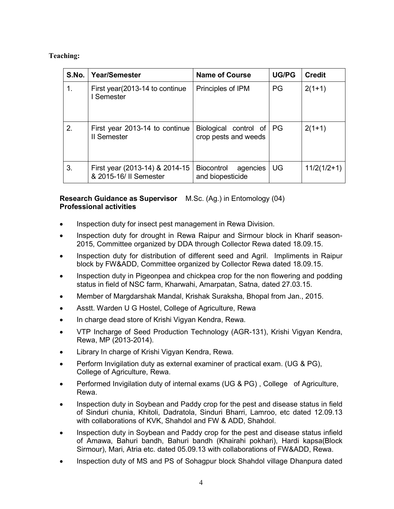### Teaching:

| S.No. | Year/Semester                                            | <b>Name of Course</b>                             | <b>UG/PG</b> | <b>Credit</b> |
|-------|----------------------------------------------------------|---------------------------------------------------|--------------|---------------|
| 1.    | First year (2013-14 to continue)<br>Semester             | Principles of IPM                                 | PG           | $2(1+1)$      |
| 2.    | First year 2013-14 to continue<br><b>II</b> Semester     | Biological control of PG<br>crop pests and weeds  |              | $2(1+1)$      |
| 3.    | First year (2013-14) & 2014-15<br>& 2015-16/ II Semester | <b>Biocontrol</b><br>agencies<br>and biopesticide | UG           | $11/2(1/2+1)$ |

### Research Guidance as Supervisor M.Sc. (Ag.) in Entomology (04) Professional activities

- Inspection duty for insect pest management in Rewa Division.
- Inspection duty for drought in Rewa Raipur and Sirmour block in Kharif season-2015, Committee organized by DDA through Collector Rewa dated 18.09.15.
- Inspection duty for distribution of different seed and Agril. Impliments in Raipur block by FW&ADD, Committee organized by Collector Rewa dated 18.09.15.
- Inspection duty in Pigeonpea and chickpea crop for the non flowering and podding status in field of NSC farm, Kharwahi, Amarpatan, Satna, dated 27.03.15.
- Member of Margdarshak Mandal, Krishak Suraksha, Bhopal from Jan., 2015.
- Asstt. Warden U G Hostel, College of Agriculture, Rewa
- In charge dead store of Krishi Vigyan Kendra, Rewa.
- VTP Incharge of Seed Production Technology (AGR-131), Krishi Vigyan Kendra, Rewa, MP (2013-2014).
- Library In charge of Krishi Vigyan Kendra, Rewa.
- Perform Invigilation duty as external examiner of practical exam. (UG & PG), College of Agriculture, Rewa.
- Performed Invigilation duty of internal exams (UG & PG) , College of Agriculture, Rewa.
- Inspection duty in Soybean and Paddy crop for the pest and disease status in field of Sinduri chunia, Khitoli, Dadratola, Sinduri Bharri, Lamroo, etc dated 12.09.13 with collaborations of KVK, Shahdol and FW & ADD, Shahdol.
- Inspection duty in Soybean and Paddy crop for the pest and disease status infield of Amawa, Bahuri bandh, Bahuri bandh (Khairahi pokhari), Hardi kapsa(Block Sirmour), Mari, Atria etc. dated 05.09.13 with collaborations of FW&ADD, Rewa.
- Inspection duty of MS and PS of Sohagpur block Shahdol village Dhanpura dated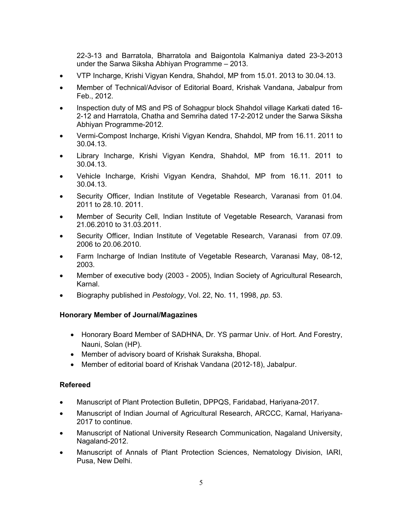22-3-13 and Barratola, Bharratola and Baigontola Kalmaniya dated 23-3-2013 under the Sarwa Siksha Abhiyan Programme – 2013.

- VTP Incharge, Krishi Vigyan Kendra, Shahdol, MP from 15.01. 2013 to 30.04.13.
- Member of Technical/Advisor of Editorial Board, Krishak Vandana, Jabalpur from Feb., 2012.
- Inspection duty of MS and PS of Sohagpur block Shahdol village Karkati dated 16- 2-12 and Harratola, Chatha and Semriha dated 17-2-2012 under the Sarwa Siksha Abhiyan Programme-2012.
- Vermi-Compost Incharge, Krishi Vigyan Kendra, Shahdol, MP from 16.11. 2011 to 30.04.13.
- Library Incharge, Krishi Vigyan Kendra, Shahdol, MP from 16.11. 2011 to 30.04.13.
- Vehicle Incharge, Krishi Vigyan Kendra, Shahdol, MP from 16.11. 2011 to 30.04.13.
- Security Officer, Indian Institute of Vegetable Research, Varanasi from 01.04. 2011 to 28.10. 2011.
- Member of Security Cell, Indian Institute of Vegetable Research, Varanasi from 21.06.2010 to 31.03.2011.
- Security Officer, Indian Institute of Vegetable Research, Varanasi from 07.09. 2006 to 20.06.2010.
- Farm Incharge of Indian Institute of Vegetable Research, Varanasi May, 08-12, 2003.
- Member of executive body (2003 2005), Indian Society of Agricultural Research, Karnal.
- Biography published in *Pestology*, Vol. 22, No. 11, 1998, *pp.* 53.

### Honorary Member of Journal/Magazines

- Honorary Board Member of SADHNA, Dr. YS parmar Univ. of Hort. And Forestry, Nauni, Solan (HP).
- Member of advisory board of Krishak Suraksha, Bhopal.
- Member of editorial board of Krishak Vandana (2012-18), Jabalpur.

## Refereed

- Manuscript of Plant Protection Bulletin, DPPQS, Faridabad, Hariyana-2017.
- Manuscript of Indian Journal of Agricultural Research, ARCCC, Karnal, Hariyana-2017 to continue.
- Manuscript of National University Research Communication, Nagaland University, Nagaland-2012.
- Manuscript of Annals of Plant Protection Sciences, Nematology Division, IARI, Pusa, New Delhi.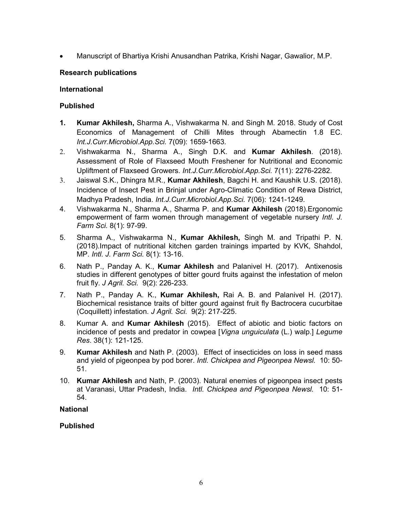Manuscript of Bhartiya Krishi Anusandhan Patrika, Krishi Nagar, Gawalior, M.P.

### Research publications

### International

### Published

- 1. Kumar Akhilesh, Sharma A., Vishwakarma N. and Singh M. 2018. Study of Cost Economics of Management of Chilli Mites through Abamectin 1.8 EC. *Int.J.Curr.Microbiol.App.Sci.* 7(09): 1659-1663.
- 2. Vishwakarma N., Sharma A., Singh D.K. and Kumar Akhilesh. (2018). Assessment of Role of Flaxseed Mouth Freshener for Nutritional and Economic Upliftment of Flaxseed Growers. *Int.J.Curr.Microbiol.App.Sci.* 7(11): 2276-2282.
- 3. Jaiswal S.K., Dhingra M.R., Kumar Akhilesh, Bagchi H. and Kaushik U.S. (2018). Incidence of Insect Pest in Brinjal under Agro-Climatic Condition of Rewa District, Madhya Pradesh, India. *Int.J.Curr.Microbiol.App.Sci.* 7(06): 1241-1249.
- 4. Vishwakarma N., Sharma A., Sharma P. and Kumar Akhilesh (2018). Ergonomic empowerment of farm women through management of vegetable nursery *Intl. J. Farm Sci.* 8(1): 97-99.
- 5. Sharma A., Vishwakarma N., Kumar Akhilesh, Singh M. and Tripathi P. N. (2018).Impact of nutritional kitchen garden trainings imparted by KVK, Shahdol, MP. *Intl. J. Farm Sci.* 8(1): 13-16.
- 6. Nath P., Panday A. K., Kumar Akhilesh and Palanivel H. (2017). Antixenosis studies in different genotypes of bitter gourd fruits against the infestation of melon fruit fly. *J Agril. Sci.* 9(2): 226-233.
- 7. Nath P., Panday A. K., Kumar Akhilesh, Rai A. B. and Palanivel H. (2017). Biochemical resistance traits of bitter gourd against fruit fly Bactrocera cucurbitae (Coquillett) infestation. *J Agril. Sci.* 9(2): 217-225.
- 8. Kumar A. and Kumar Akhilesh (2015). Effect of abiotic and biotic factors on incidence of pests and predator in cowpea [*Vigna unguiculata* (L.) walp.] *Legume Res*. 38(1): 121-125.
- 9. Kumar Akhilesh and Nath P. (2003). Effect of insecticides on loss in seed mass and yield of pigeonpea by pod borer. *Intl. Chickpea and Pigeonpea Newsl.* 10: 50- 51.
- 10. Kumar Akhilesh and Nath, P. (2003). Natural enemies of pigeonpea insect pests at Varanasi, Uttar Pradesh, India. *Intl. Chickpea and Pigeonpea Newsl.* 10: 51- 54.

## National

## Published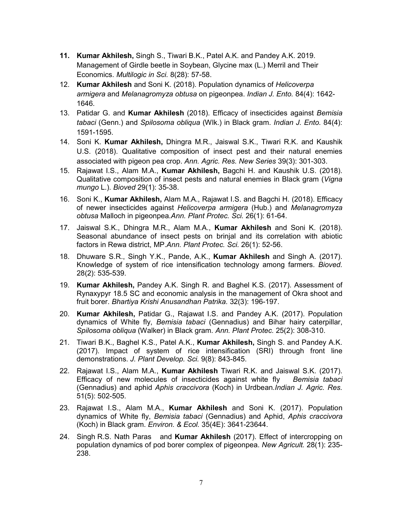- 11. Kumar Akhilesh, Singh S., Tiwari B.K., Patel A.K. and Pandey A.K. 2019. Management of Girdle beetle in Soybean, Glycine max (L.) Merril and Their Economics. *Multilogic in Sci.* 8(28): 57-58.
- 12. Kumar Akhilesh and Soni K. (2018). Population dynamics of *Helicoverpa armigera* and *Melanagromyza obtusa* on pigeonpea. *Indian J. Ento.* 84(4): 1642- 1646.
- 13. Patidar G. and Kumar Akhilesh (2018). Efficacy of insecticides against *Bemisia tabaci* (Genn.) and *Spilosoma obliqua* (Wlk.) in Black gram. *Indian J. Ento.* 84(4): 1591-1595.
- 14. Soni K. Kumar Akhilesh, Dhingra M.R., Jaiswal S.K., Tiwari R.K. and Kaushik U.S. (2018). Qualitative composition of insect pest and their natural enemies associated with pigeon pea crop. *Ann. Agric. Res. New Series* 39(3): 301-303.
- 15. Rajawat I.S., Alam M.A., Kumar Akhilesh, Bagchi H. and Kaushik U.S. (2018). Qualitative composition of insect pests and natural enemies in Black gram (*Vigna mungo* L.). *Bioved* 29(1): 35-38.
- 16. Soni K., Kumar Akhilesh, Alam M.A., Rajawat I.S. and Bagchi H. (2018). Efficacy of newer insecticides against *Helicoverpa armigera* (Hub.) and *Melanagromyza obtusa* Malloch in pigeonpea*.Ann. Plant Protec. Sci.* 26(1): 61-64.
- 17. Jaiswal S.K., Dhingra M.R., Alam M.A., Kumar Akhilesh and Soni K. (2018). Seasonal abundance of insect pests on brinjal and its correlation with abiotic factors in Rewa district, MP.*Ann. Plant Protec. Sci.* 26(1): 52-56.
- 18. Dhuware S.R., Singh Y.K., Pande, A.K., Kumar Akhilesh and Singh A. (2017). Knowledge of system of rice intensification technology among farmers. *Bioved.*  28(2): 535-539.
- 19. Kumar Akhilesh, Pandey A.K. Singh R. and Baghel K.S. (2017). Assessment of Rynaxypyr 18.5 SC and economic analysis in the management of Okra shoot and fruit borer. *Bhartiya Krishi Anusandhan Patrika.* 32(3): 196-197.
- 20. Kumar Akhilesh, Patidar G., Rajawat I.S. and Pandey A.K. (2017). Population dynamics of White fly, *Bemisia tabaci* (Gennadius) and Bihar hairy caterpillar, *Spilosoma obliqua* (Walker) in Black gram. *Ann. Plant Protec.* 25(2): 308-310.
- 21. Tiwari B.K., Baghel K.S., Patel A.K., Kumar Akhilesh, Singh S. and Pandey A.K. (2017). Impact of system of rice intensification (SRI) through front line demonstrations. *J. Plant Develop. Sci.* 9(8): 843-845.
- 22. Rajawat I.S., Alam M.A., Kumar Akhilesh Tiwari R.K. and Jaiswal S.K. (2017). Efficacy of new molecules of insecticides against white fly *Bemisia tabaci* (Gennadius) and aphid *Aphis craccivora* (Koch) in Urdbean.*Indian J. Agric. Res.* 51(5): 502-505.
- 23. Rajawat I.S., Alam M.A., Kumar Akhilesh and Soni K. (2017). Population dynamics of White fly, *Bemisia tabaci* (Gennadius) and Aphid, *Aphis craccivora* (Koch) in Black gram. *Environ. & Ecol.* 35(4E): 3641-23644.
- 24. Singh R.S. Nath Paras and Kumar Akhilesh (2017). Effect of intercropping on population dynamics of pod borer complex of pigeonpea. *New Agricult.* 28(1): 235- 238.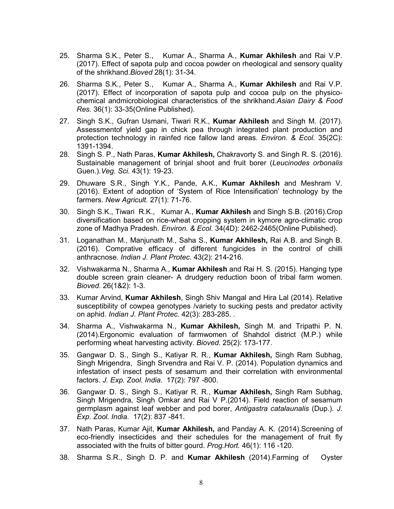- 25. Sharma S.K., Peter S., Kumar A., Sharma A., Kumar Akhilesh and Rai V.P. (2017). Effect of sapota pulp and cocoa powder on rheological and sensory quality of the shrikhand.*Bioved* 28(1): 31-34.
- 26. Sharma S.K., Peter S., Kumar A., Sharma A., Kumar Akhilesh and Rai V.P. (2017). Effect of incorporation of sapota pulp and cocoa pulp on the physicochemical andmicrobiological characteristics of the shrikhand.*Asian Dairy & Food Res.* 36(1): 33-35(Online Published).
- 27. Singh S.K., Gufran Usmani, Tiwari R.K., Kumar Akhilesh and Singh M. (2017). Assessmentof yield gap in chick pea through integrated plant production and protection technology in rainfed rice fallow land areas. *Environ. & Ecol.* 35(2C): 1391-1394.
- 28. Singh S. P., Nath Paras, Kumar Akhilesh, Chakravorty S. and Singh R. S. (2016). Sustainable management of brinjal shoot and fruit borer (*Leucinodes orbonalis*  Guen.).*Veg. Sci.* 43(1): 19-23.
- 29. Dhuware S.R., Singh Y.K., Pande, A.K., Kumar Akhilesh and Meshram V. (2016). Extent of adoption of 'System of Rice Intensification' technology by the farmers. *New Agricult.* 27(1): 71-76.
- 30. Singh S.K., Tiwari R.K., Kumar A., Kumar Akhilesh and Singh S.B. (2016).Crop diversification based on rice-wheat cropping system in kymore agro-climatic crop zone of Madhya Pradesh. *Environ. & Ecol.* 34(4D): 2462-2465(Online Published).
- 31. Loganathan M., Manjunath M., Saha S., Kumar Akhilesh, Rai A.B. and Singh B. (2016). Comprative efficacy of different fungicides in the control of chilli anthracnose. *Indian J. Plant Protec*. 43(2): 214-216.
- 32. Vishwakarma N., Sharma A., Kumar Akhilesh and Rai H. S. (2015). Hanging type double screen grain cleaner- A drudgery reduction boon of tribal farm women. *Bioved*. 26(1&2): 1-3.
- 33. Kumar Arvind, Kumar Akhilesh, Singh Shiv Mangal and Hira Lal (2014). Relative susceptibility of cowpea genotypes /variety to sucking pests and predator activity on aphid. *Indian J. Plant Protec*. 42(3): 283-285. *.*
- 34. Sharma A., Vishwakarma N., Kumar Akhilesh, Singh M. and Tripathi P. N. (2014).Ergonomic evaluation of farmwomen of Shahdol district (M.P.) while performing wheat harvesting activity. *Bioved*. 25(2): 173-177.
- 35. Gangwar D. S., Singh S., Katiyar R. R., Kumar Akhilesh, Singh Ram Subhag, Singh Mrigendra, Singh Srvendra and Rai V. P. (2014). Population dynamics and infestation of insect pests of sesamum and their correlation with environmental factors. *J. Exp. Zool. India.* 17(2): 797 -800.
- 36. Gangwar D. S., Singh S., Katiyar R. R., Kumar Akhilesh, Singh Ram Subhag, Singh Mrigendra, Singh Omkar and Rai V P.(2014). Field reaction of sesamum germplasm against leaf webber and pod borer, *Antigastra catalaunalis* (Dup.). *J. Exp. Zool. India.* 17(2): 837 -841.
- 37. Nath Paras, Kumar Ajit, Kumar Akhilesh, and Panday A. K. (2014). Screening of eco-friendly insecticides and their schedules for the management of fruit fly associated with the fruits of bitter gourd. *Prog.Hort.* 46(1): 116 -120.
- 38. Sharma S.R., Singh D. P. and Kumar Akhilesh (2014).Farming of Oyster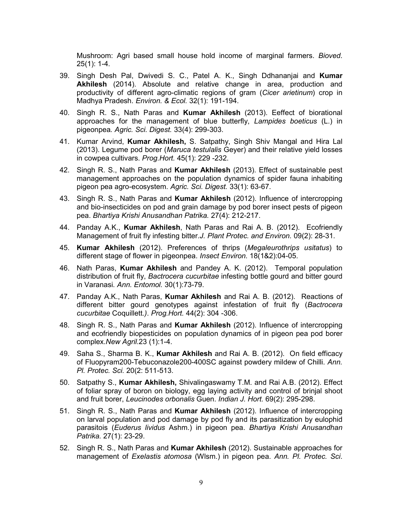Mushroom: Agri based small house hold income of marginal farmers. *Bioved*. 25(1): 1-4.

- 39. Singh Desh Pal, Dwivedi S. C., Patel A. K., Singh Ddhananjai and Kumar Akhilesh (2014). Absolute and relative change in area, production and productivity of different agro-climatic regions of gram (*Cicer arietinum*) crop in Madhya Pradesh. *Environ. & Ecol.* 32(1): 191-194.
- 40. Singh R. S., Nath Paras and Kumar Akhilesh (2013). Eeffect of biorational approaches for the management of blue butterfly, *Lampides boeticus* (L.) in pigeonpea*. Agric. Sci. Digest.* 33(4): 299-303.
- 41. Kumar Arvind, Kumar Akhilesh, S. Satpathy, Singh Shiv Mangal and Hira Lal (2013). Legume pod borer (*Maruca testulalis* Geyer) and their relative yield losses in cowpea cultivars. *Prog.Hort.* 45(1): 229 -232.
- 42. Singh R. S., Nath Paras and Kumar Akhilesh (2013). Effect of sustainable pest management approaches on the population dynamics of spider fauna inhabiting pigeon pea agro-ecosystem. *Agric. Sci. Digest.* 33(1): 63-67.
- 43. Singh R. S., Nath Paras and Kumar Akhilesh (2012). Influence of intercropping and bio-insecticides on pod and grain damage by pod borer insect pests of pigeon pea. *Bhartiya Krishi Anusandhan Patrika.* 27(4): 212-217.
- 44. Panday A.K., Kumar Akhilesh, Nath Paras and Rai A. B. (2012). Ecofriendly Management of fruit fly infesting bitter.*J. Plant Protec. and Environ.* 09(2): 28-31.
- 45. Kumar Akhilesh (2012). Preferences of thrips (*Megaleurothrips usitatus*) to different stage of flower in pigeonpea. *Insect Environ.* 18(1&2):04-05.
- 46. Nath Paras, Kumar Akhilesh and Pandey A. K. (2012). Temporal population distribution of fruit fly, *Bactrocera cucurbitae* infesting bottle gourd and bitter gourd in Varanasi. *Ann. Entomol.* 30(1):73-79.
- 47. Pandav A.K., Nath Paras, Kumar Akhilesh and Rai A. B. (2012). Reactions of different bitter gourd genotypes against infestation of fruit fly (*Bactrocera cucurbitae* Coquillett*.)*. *Prog.Hort.* 44(2): 304 -306.
- 48. Singh R. S., Nath Paras and Kumar Akhilesh (2012). Influence of intercropping and ecofriendly biopesticides on population dynamics of in pigeon pea pod borer complex.*New Agril.*23 (1):1-4.
- 49. Saha S., Sharma B. K., Kumar Akhilesh and Rai A. B. (2012). On field efficacy of Fluopyram200-Tebuconazole200-400SC against powdery mildew of Chilli. *Ann. Pl. Protec. Sci.* 20(2: 511-513.
- 50. Satpathy S., Kumar Akhilesh, Shivalingaswamy T.M. and Rai A.B. (2012). Effect of foliar spray of boron on biology, egg laying activity and control of brinjal shoot and fruit borer, *Leucinodes orbonalis* Guen. *Indian J. Hort.* 69(2): 295-298.
- 51. Singh R. S., Nath Paras and **Kumar Akhilesh** (2012). Influence of intercropping on larval population and pod damage by pod fly and its parasitization by eulophid parasitois (*Euderus lividus* Ashm.) in pigeon pea. *Bhartiya Krishi Anusandhan Patrika.* 27(1): 23-29.
- 52. Singh R. S., Nath Paras and Kumar Akhilesh (2012). Sustainable approaches for management of *Exelastis atomosa* (Wlsm.) in pigeon pea. *Ann. Pl. Protec. Sci*.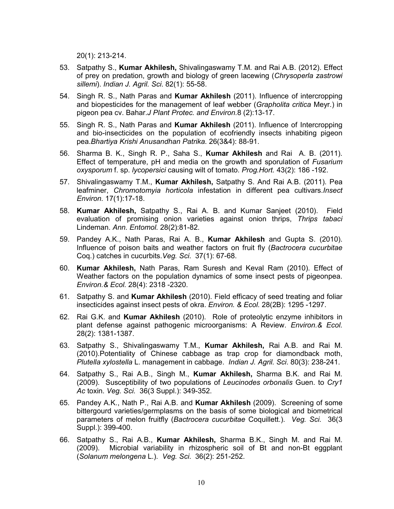20(1): 213-214.

- 53. Satpathy S., Kumar Akhilesh, Shivalingaswamy T.M. and Rai A.B. (2012). Effect of prey on predation, growth and biology of green lacewing (*Chrysoperla zastrowi sillemi*). *Indian J. Agril. Sci*. 82(1): 55-58.
- 54. Singh R. S., Nath Paras and Kumar Akhilesh (2011). Influence of intercropping and biopesticides for the management of leaf webber (*Grapholita critica* Meyr.) in pigeon pea cv. Bahar.*J Plant Protec. and Environ.*8 (2):13-17.
- 55. Singh R. S., Nath Paras and Kumar Akhilesh (2011). Influence of Intercropping and bio-insecticides on the population of ecofriendly insects inhabiting pigeon pea.*Bhartiya Krishi Anusandhan Patrika*. 26(3&4): 88-91.
- 56. Sharma B. K., Singh R. P., Saha S., Kumar Akhilesh and Rai A. B. (2011). Effect of temperature, pH and media on the growth and sporulation of *Fusarium oxysporum* f. sp. *lycopersici* causing wilt of tomato. *Prog.Hort.* 43(2): 186 -192.
- 57. Shivalingaswamy T.M., Kumar Akhilesh, Satpathy S. And Rai A.B. (2011). Pea leafminer, *Chromotomyia horticola* infestation in different pea cultivars.*Insect Environ.* 17(1):17-18.
- 58. Kumar Akhilesh, Satpathy S., Rai A. B. and Kumar Sanjeet (2010). Field evaluation of promising onion varieties against onion thrips, *Thrips tabaci* Lindeman. *Ann. Entomol.* 28(2):81-82.
- 59. Pandey A.K., Nath Paras, Rai A. B., Kumar Akhilesh and Gupta S. (2010). Influence of poison baits and weather factors on fruit fly (*Bactrocera cucurbitae* Coq.) catches in cucurbits.*Veg. Sci*. 37(1): 67-68.
- 60. Kumar Akhilesh, Nath Paras, Ram Suresh and Keval Ram (2010). Effect of Weather factors on the population dynamics of some insect pests of pigeonpea. *Environ.& Ecol.* 28(4): 2318 -2320.
- 61. Satpathy S. and Kumar Akhilesh (2010). Field efficacy of seed treating and foliar insecticides against insect pests of okra. *Environ. & Ecol.* 28(2B): 1295 -1297.
- 62. Rai G.K. and Kumar Akhilesh (2010). Role of proteolytic enzyme inhibitors in plant defense against pathogenic microorganisms: A Review. *Environ.& Ecol.* 28(2): 1381-1387.
- 63. Satpathy S., Shivalingaswamy T.M., Kumar Akhilesh, Rai A.B. and Rai M. (2010).Potentiality of Chinese cabbage as trap crop for diamondback moth, *Plutella xylostella* L. management in cabbage. *Indian J. Agril. Sci*. 80(3): 238-241.
- 64. Satpathy S., Rai A.B., Singh M., Kumar Akhilesh, Sharma B.K. and Rai M. (2009). Susceptibility of two populations of *Leucinodes orbonalis* Guen. to *Cry1 Ac* toxin. *Veg. Sci.* 36(3 Suppl.): 349-352.
- 65. Pandey A.K., Nath P., Rai A.B. and Kumar Akhilesh (2009). Screening of some bittergourd varieties/germplasms on the basis of some biological and biometrical parameters of melon fruitfly (*Bactrocera cucurbitae* Coquillett.). *Veg. Sci.* 36(3 Suppl.): 399-400.
- 66. Satpathy S., Rai A.B., Kumar Akhilesh, Sharma B.K., Singh M. and Rai M. (2009). Microbial variability in rhizospheric soil of Bt and non-Bt eggplant (*Solanum melongena* L.). *Veg. Sci*. 36(2): 251-252.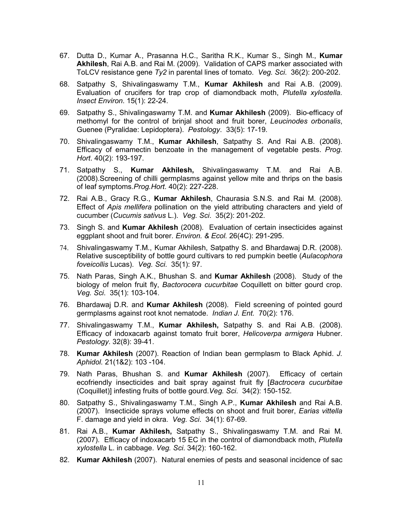- 67. Dutta D., Kumar A., Prasanna H.C., Saritha R.K., Kumar S., Singh M., Kumar Akhilesh, Rai A.B. and Rai M. (2009). Validation of CAPS marker associated with ToLCV resistance gene *Ty2* in parental lines of tomato. *Veg. Sci*. 36(2): 200-202.
- 68. Satpathy S, Shivalingaswamy T.M., Kumar Akhilesh and Rai A.B. (2009). Evaluation of crucifers for trap crop of diamondback moth, *Plutella xylostella. Insect Environ*. 15(1): 22-24.
- 69. Satpathy S., Shivalingaswamy T.M. and Kumar Akhilesh (2009). Bio-efficacy of methomyl for the control of brinjal shoot and fruit borer, *Leucinodes orbonalis*, Guenee (Pyralidae: Lepidoptera). *Pestology*. 33(5): 17-19.
- 70. Shivalingaswamy T.M., Kumar Akhilesh, Satpathy S. And Rai A.B. (2008). Efficacy of emamectin benzoate in the management of vegetable pests. *Prog. Hort*. 40(2): 193-197.
- 71. Satpathy S., Kumar Akhilesh, Shivalingaswamy T.M. and Rai A.B. (2008).Screening of chilli germplasms against yellow mite and thrips on the basis of leaf symptoms.*Prog.Hort.* 40(2): 227-228.
- 72. Rai A.B., Gracy R.G., Kumar Akhilesh, Chaurasia S.N.S. and Rai M. (2008). Effect of *Apis mellifera* pollination on the yield attributing characters and yield of cucumber (*Cucumis sativus* L.). *Veg. Sci*. 35(2): 201-202.
- 73. Singh S. and Kumar Akhilesh (2008). Evaluation of certain insecticides against eggplant shoot and fruit borer. *Environ. & Ecol.* 26(4C): 291-295.
- 74. Shivalingaswamy T.M., Kumar Akhilesh, Satpathy S. and Bhardawaj D.R. (2008). Relative susceptibility of bottle gourd cultivars to red pumpkin beetle (*Aulacophora foveicollis* Lucas). *Veg. Sci*. 35(1): 97.
- 75. Nath Paras, Singh A.K., Bhushan S. and Kumar Akhilesh (2008). Study of the biology of melon fruit fly, *Bactorocera cucurbitae* Coquillett on bitter gourd crop. *Veg. Sci*. 35(1): 103-104.
- 76. Bhardawaj D.R. and Kumar Akhilesh (2008). Field screening of pointed gourd germplasms against root knot nematode. *Indian J. Ent.* 70(2): 176.
- 77. Shivalingaswamy T.M., Kumar Akhilesh, Satpathy S. and Rai A.B. (2008). Efficacy of indoxacarb against tomato fruit borer, *Helicoverpa armigera* Hubner. *Pestology*. 32(8): 39-41.
- 78. Kumar Akhilesh (2007). Reaction of Indian bean germplasm to Black Aphid. *J. Aphidol.* 21(1&2): 103 -104.
- 79. Nath Paras, Bhushan S. and Kumar Akhilesh (2007). Efficacy of certain ecofriendly insecticides and bait spray against fruit fly [*Bactrocera cucurbitae* (Coquillet)] infesting fruits of bottle gourd.*Veg. Sci*. 34(2): 150-152.
- 80. Satpathy S., Shivalingaswamy T.M., Singh A.P., Kumar Akhilesh and Rai A.B. (2007). Insecticide sprays volume effects on shoot and fruit borer, *Earias vittella* F. damage and yield in okra. *Veg. Sci*. 34(1): 67-69.
- 81. Rai A.B., Kumar Akhilesh, Satpathy S., Shivalingaswamy T.M. and Rai M. (2007). Efficacy of indoxacarb 15 EC in the control of diamondback moth, *Plutella xylostella* L. in cabbage. *Veg. Sci*. 34(2): 160-162.
- 82. Kumar Akhilesh (2007). Natural enemies of pests and seasonal incidence of sac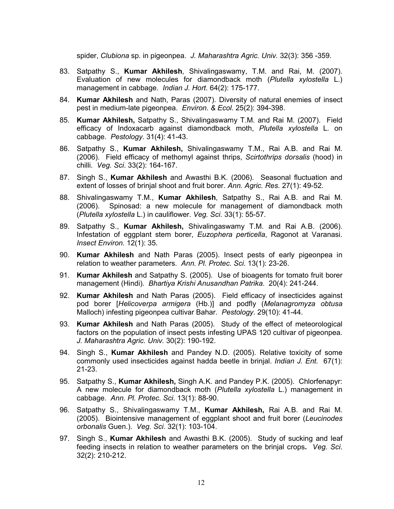spider, *Clubiona* sp. in pigeonpea. *J. Maharashtra Agric. Univ.* 32(3): 356 -359.

- 83. Satpathy S., Kumar Akhilesh, Shivalingaswamy, T.M. and Rai, M. (2007). Evaluation of new molecules for diamondback moth (*Plutella xylostella* L.) management in cabbage. *Indian J. Hort.* 64(2): 175-177.
- 84. Kumar Akhilesh and Nath, Paras (2007). Diversity of natural enemies of insect pest in medium-late pigeonpea. *Environ. & Ecol.* 25(2): 394-398.
- 85. Kumar Akhilesh, Satpathy S., Shivalingaswamy T.M. and Rai M. (2007). Field efficacy of Indoxacarb against diamondback moth, *Plutella xylostella* L. on cabbage. *Pestology*. 31(4): 41-43.
- 86. Satpathy S., Kumar Akhilesh, Shivalingaswamy T.M., Rai A.B. and Rai M. (2006). Field efficacy of methomyl against thrips, *Scirtothrips dorsalis* (hood) in chilli. *Veg. Sci*. 33(2): 164-167.
- 87. Singh S., Kumar Akhilesh and Awasthi B.K. (2006). Seasonal fluctuation and extent of losses of brinjal shoot and fruit borer. *Ann. Agric. Res.* 27(1): 49-52.
- 88. Shivalingaswamy T.M., Kumar Akhilesh, Satpathy S., Rai A.B. and Rai M. (2006). Spinosad: a new molecule for management of diamondback moth (*Plutella xylostella* L.) in cauliflower. *Veg. Sci*. 33(1): 55-57.
- 89. Satpathy S., Kumar Akhilesh, Shivalingaswamy T.M. and Rai A.B. (2006). Infestation of eggplant stem borer, *Euzophera perticella*, Ragonot at Varanasi. *Insect Environ.* 12(1): 35.
- 90. Kumar Akhilesh and Nath Paras (2005). Insect pests of early pigeonpea in relation to weather parameters. *Ann. Pl. Protec. Sci*. 13(1): 23-26.
- 91. Kumar Akhilesh and Satpathy S. (2005). Use of bioagents for tomato fruit borer management (Hindi). *Bhartiya Krishi Anusandhan Patrika*. 20(4): 241-244.
- 92. Kumar Akhilesh and Nath Paras (2005). Field efficacy of insecticides against pod borer [*Helicoverpa armigera* (Hb.)] and podfly (*Melanagromyza obtusa* Malloch) infesting pigeonpea cultivar Bahar. *Pestology*. 29(10): 41-44.
- 93. Kumar Akhilesh and Nath Paras (2005). Study of the effect of meteorological factors on the population of insect pests infesting UPAS 120 cultivar of pigeonpea. *J. Maharashtra Agric. Univ.* 30(2): 190-192.
- 94. Singh S., Kumar Akhilesh and Pandey N.D. (2005). Relative toxicity of some commonly used insecticides against hadda beetle in brinjal. *Indian J. Ent.* 67(1): 21-23.
- 95. Satpathy S., Kumar Akhilesh, Singh A.K. and Pandey P.K. (2005). Chlorfenapyr: A new molecule for diamondback moth (*Plutella xylostella* L.) management in cabbage. *Ann. Pl. Protec. Sci*. 13(1): 88-90.
- 96. Satpathy S., Shivalingaswamy T.M., Kumar Akhilesh, Rai A.B. and Rai M. (2005). Biointensive management of eggplant shoot and fruit borer (*Leucinodes orbonalis* Guen.). *Veg. Sci*. 32(1): 103-104.
- 97. Singh S., Kumar Akhilesh and Awasthi B.K. (2005). Study of sucking and leaf feeding insects in relation to weather parameters on the brinjal crops. *Veg. Sci*. 32(2): 210-212.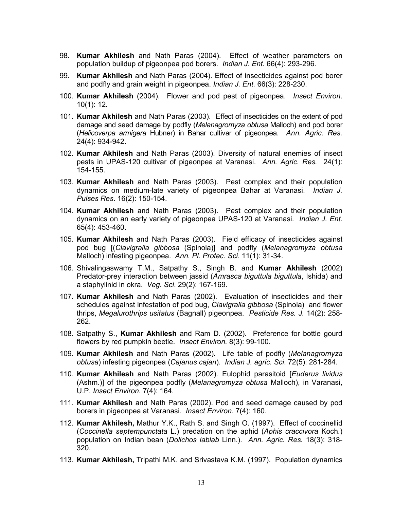- 98. Kumar Akhilesh and Nath Paras (2004). Effect of weather parameters on population buildup of pigeonpea pod borers. *Indian J. Ent.* 66(4): 293-296.
- 99. Kumar Akhilesh and Nath Paras (2004). Effect of insecticides against pod borer and podfly and grain weight in pigeonpea. *Indian J. Ent.* 66(3): 228-230.
- 100. Kumar Akhilesh (2004). Flower and pod pest of pigeonpea. *Insect Environ*. 10(1): 12.
- 101. Kumar Akhilesh and Nath Paras (2003). Effect of insecticides on the extent of pod damage and seed damage by podfly (*Melanagromyza obtusa* Malloch) and pod borer (*Helicoverpa armigera* Hubner) in Bahar cultivar of pigeonpea. *Ann. Agric. Res.* 24(4): 934-942.
- 102. Kumar Akhilesh and Nath Paras (2003). Diversity of natural enemies of insect pests in UPAS-120 cultivar of pigeonpea at Varanasi. *Ann. Agric. Res.* 24(1): 154-155.
- 103. Kumar Akhilesh and Nath Paras (2003). Pest complex and their population dynamics on medium-late variety of pigeonpea Bahar at Varanasi. *Indian J. Pulses Res*. 16(2): 150-154.
- 104. Kumar Akhilesh and Nath Paras (2003). Pest complex and their population dynamics on an early variety of pigeonpea UPAS-120 at Varanasi. *Indian J. Ent.* 65(4): 453-460.
- 105. Kumar Akhilesh and Nath Paras (2003). Field efficacy of insecticides against pod bug [(*Clavigralla gibbosa* (Spinola)] and podfly (*Melanagromyza obtusa* Malloch) infesting pigeonpea. *Ann. Pl. Protec. Sci*. 11(1): 31-34.
- 106. Shivalingaswamy T.M., Satpathy S., Singh B. and Kumar Akhilesh (2002) Predator-prey interaction between jassid (*Amrasca biguttula biguttula*, Ishida) and a staphylinid in okra. *Veg. Sci*. 29(2): 167-169.
- 107. Kumar Akhilesh and Nath Paras (2002). Evaluation of insecticides and their schedules against infestation of pod bug, *Clavigralla gibbosa* (Spinola) and flower thrips, *Megalurothrips usitatus* (Bagnall) pigeonpea. *Pesticide Res. J.* 14(2): 258- 262.
- 108. Satpathy S., Kumar Akhilesh and Ram D. (2002). Preference for bottle gourd flowers by red pumpkin beetle. *Insect Environ.* 8(3): 99-100.
- 109. Kumar Akhilesh and Nath Paras (2002). Life table of podfly (*Melanagromyza obtusa*) infesting pigeonpea (*Cajanus cajan*). *Indian J. agric. Sci*. 72(5): 281-284.
- 110. Kumar Akhilesh and Nath Paras (2002). Eulophid parasitoid [*Euderus lividus* (Ashm.)] of the pigeonpea podfly (*Melanagromyza obtusa* Malloch), in Varanasi, U.P. *Insect Environ.* 7(4): 164.
- 111. Kumar Akhilesh and Nath Paras (2002). Pod and seed damage caused by pod borers in pigeonpea at Varanasi. *Insect Environ.* 7(4): 160.
- 112. Kumar Akhilesh, Mathur Y.K., Rath S. and Singh O. (1997). Effect of coccinellid (*Coccinella septempunctata* L.) predation on the aphid (*Aphis craccivora* Koch.) population on Indian bean (*Dolichos lablab* Linn.). *Ann. Agric. Res.* 18(3): 318- 320.
- 113. Kumar Akhilesh, Tripathi M.K. and Srivastava K.M. (1997). Population dynamics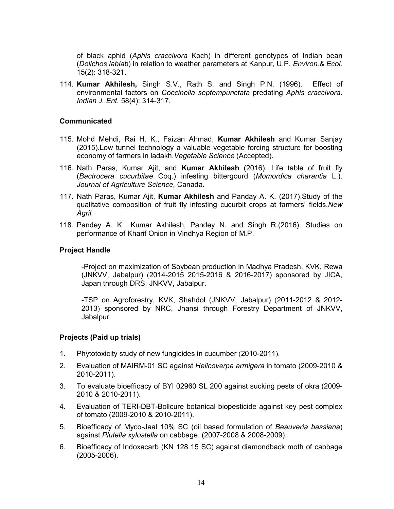of black aphid (*Aphis craccivora* Koch) in different genotypes of Indian bean (*Dolichos lablab*) in relation to weather parameters at Kanpur, U.P. *Environ.& Ecol.* 15(2): 318-321.

114. Kumar Akhilesh, Singh S.V., Rath S. and Singh P.N. (1996). Effect of environmental factors on *Coccinella septempunctata* predating *Aphis craccivora*. *Indian J. Ent.* 58(4): 314-317.

#### Communicated

- 115. Mohd Mehdi, Rai H. K., Faizan Ahmad, Kumar Akhilesh and Kumar Sanjay (2015).Low tunnel technology a valuable vegetable forcing structure for boosting economy of farmers in ladakh.*Vegetable Science* (Accepted).
- 116. Nath Paras, Kumar Ajit, and Kumar Akhilesh (2016). Life table of fruit fly (*Bactrocera cucurbitae* Coq.) infesting bittergourd (*Momordica charantia* L.). *Journal of Agriculture Science,* Canada.
- 117. Nath Paras, Kumar Ajit, Kumar Akhilesh and Panday A. K. (2017). Study of the qualitative composition of fruit fly infesting cucurbit crops at farmers' fields.*New Agril.*
- 118. Pandey A. K., Kumar Akhilesh, Pandey N. and Singh R.(2016). Studies on performance of Kharif Onion in Vindhya Region of M.P.

#### Project Handle

-Project on maximization of Soybean production in Madhya Pradesh, KVK, Rewa (JNKVV, Jabalpur) (2014-2015 2015-2016 & 2016-2017) sponsored by JICA, Japan through DRS, JNKVV, Jabalpur.

-TSP on Agroforestry, KVK, Shahdol (JNKVV, Jabalpur) (2011-2012 & 2012- 2013) sponsored by NRC, Jhansi through Forestry Department of JNKVV, Jabalpur.

#### Projects (Paid up trials)

- 1. Phytotoxicity study of new fungicides in cucumber (2010-2011).
- 2. Evaluation of MAIRM-01 SC against *Helicoverpa armigera* in tomato (2009-2010 & 2010-2011).
- 3. To evaluate bioefficacy of BYI 02960 SL 200 against sucking pests of okra (2009- 2010 & 2010-2011).
- 4. Evaluation of TERI-DBT-Bollcure botanical biopesticide against key pest complex of tomato (2009-2010 & 2010-2011).
- 5. Bioefficacy of Myco-Jaal 10% SC (oil based formulation of *Beauveria bassiana*) against *Plutella xylostella* on cabbage. (2007-2008 & 2008-2009).
- 6. Bioefficacy of Indoxacarb (KN 128 15 SC) against diamondback moth of cabbage (2005-2006).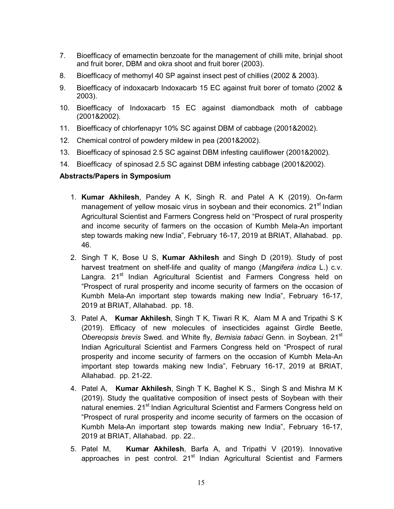- 7. Bioefficacy of emamectin benzoate for the management of chilli mite, brinjal shoot and fruit borer, DBM and okra shoot and fruit borer (2003).
- 8. Bioefficacy of methomyl 40 SP against insect pest of chillies (2002 & 2003).
- 9. Bioefficacy of indoxacarb Indoxacarb 15 EC against fruit borer of tomato (2002 & 2003).
- 10. Bioefficacy of Indoxacarb 15 EC against diamondback moth of cabbage (2001&2002).
- 11. Bioefficacy of chlorfenapyr 10% SC against DBM of cabbage (2001&2002).
- 12. Chemical control of powdery mildew in pea (2001&2002).
- 13. Bioefficacy of spinosad 2.5 SC against DBM infesting cauliflower (2001&2002).
- 14. Bioefficacy of spinosad 2.5 SC against DBM infesting cabbage (2001&2002).

# Abstracts/Papers in Symposium

- 1. Kumar Akhilesh, Pandey A K, Singh R. and Patel A K (2019). On-farm management of yellow mosaic virus in soybean and their economics. 21<sup>st</sup> Indian Agricultural Scientist and Farmers Congress held on "Prospect of rural prosperity and income security of farmers on the occasion of Kumbh Mela-An important step towards making new India", February 16-17, 2019 at BRIAT, Allahabad. pp. 46.
- 2. Singh T K, Bose U S, Kumar Akhilesh and Singh D (2019). Study of post harvest treatment on shelf-life and quality of mango (*Mangifera indica* L.) c.v. Langra. 21<sup>st</sup> Indian Agricultural Scientist and Farmers Congress held on "Prospect of rural prosperity and income security of farmers on the occasion of Kumbh Mela-An important step towards making new India", February 16-17, 2019 at BRIAT, Allahabad. pp. 18.
- 3. Patel A, Kumar Akhilesh, Singh T K, Tiwari R K, Alam M A and Tripathi S K (2019). Efficacy of new molecules of insecticides against Girdle Beetle, *Obereopsis brevis* Swed. and White fly, *Bemisia tabaci* Genn. in Soybean. 21st Indian Agricultural Scientist and Farmers Congress held on "Prospect of rural prosperity and income security of farmers on the occasion of Kumbh Mela-An important step towards making new India", February 16-17, 2019 at BRIAT, Allahabad. pp. 21-22.
- 4. Patel A, Kumar Akhilesh, Singh T K, Baghel K S., Singh S and Mishra M K (2019). Study the qualitative composition of insect pests of Soybean with their natural enemies. 21<sup>st</sup> Indian Agricultural Scientist and Farmers Congress held on "Prospect of rural prosperity and income security of farmers on the occasion of Kumbh Mela-An important step towards making new India", February 16-17, 2019 at BRIAT, Allahabad. pp. 22..
- 5. Patel M, Kumar Akhilesh, Barfa A, and Tripathi V (2019). Innovative approaches in pest control. 21<sup>st</sup> Indian Agricultural Scientist and Farmers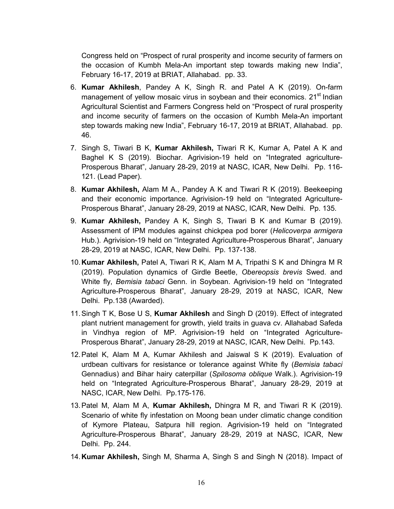Congress held on "Prospect of rural prosperity and income security of farmers on the occasion of Kumbh Mela-An important step towards making new India", February 16-17, 2019 at BRIAT, Allahabad. pp. 33.

- 6. Kumar Akhilesh, Pandey A K, Singh R. and Patel A K (2019). On-farm management of yellow mosaic virus in soybean and their economics. 21<sup>st</sup> Indian Agricultural Scientist and Farmers Congress held on "Prospect of rural prosperity and income security of farmers on the occasion of Kumbh Mela-An important step towards making new India", February 16-17, 2019 at BRIAT, Allahabad. pp. 46.
- 7. Singh S, Tiwari B K, Kumar Akhilesh, Tiwari R K, Kumar A, Patel A K and Baghel K S (2019). Biochar. Agrivision-19 held on "Integrated agriculture-Prosperous Bharat", January 28-29, 2019 at NASC, ICAR, New Delhi. Pp. 116- 121. (Lead Paper).
- 8. Kumar Akhilesh, Alam M A., Pandey A K and Tiwari R K (2019). Beekeeping and their economic importance. Agrivision-19 held on "Integrated Agriculture-Prosperous Bharat", January 28-29, 2019 at NASC, ICAR, New Delhi. Pp. 135.
- 9. Kumar Akhilesh, Pandey A K, Singh S, Tiwari B K and Kumar B (2019). Assessment of IPM modules against chickpea pod borer (*Helicoverpa armigera* Hub.). Agrivision-19 held on "Integrated Agriculture-Prosperous Bharat", January 28-29, 2019 at NASC, ICAR, New Delhi. Pp. 137-138.
- 10.Kumar Akhilesh, Patel A, Tiwari R K, Alam M A, Tripathi S K and Dhingra M R (2019). Population dynamics of Girdle Beetle, *Obereopsis brevis* Swed. and White fly, *Bemisia tabaci* Genn. in Soybean. Agrivision-19 held on "Integrated Agriculture-Prosperous Bharat", January 28-29, 2019 at NASC, ICAR, New Delhi. Pp.138 (Awarded).
- 11. Singh T K, Bose U S, Kumar Akhilesh and Singh D (2019). Effect of integrated plant nutrient management for growth, yield traits in guava cv. Allahabad Safeda in Vindhya region of MP. Agrivision-19 held on "Integrated Agriculture-Prosperous Bharat", January 28-29, 2019 at NASC, ICAR, New Delhi. Pp.143.
- 12.Patel K, Alam M A, Kumar Akhilesh and Jaiswal S K (2019). Evaluation of urdbean cultivars for resistance or tolerance against White fly (*Bemisia tabaci* Gennadius) and Bihar hairy caterpillar (*Spilosoma oblique* Walk.). Agrivision-19 held on "Integrated Agriculture-Prosperous Bharat", January 28-29, 2019 at NASC, ICAR, New Delhi. Pp.175-176.
- 13. Patel M, Alam M A, Kumar Akhilesh, Dhingra M R, and Tiwari R K (2019). Scenario of white fly infestation on Moong bean under climatic change condition of Kymore Plateau, Satpura hill region. Agrivision-19 held on "Integrated Agriculture-Prosperous Bharat", January 28-29, 2019 at NASC, ICAR, New Delhi. Pp. 244.
- 14. Kumar Akhilesh, Singh M, Sharma A, Singh S and Singh N (2018). Impact of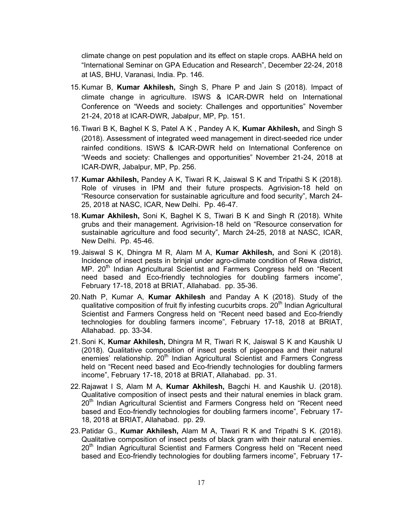climate change on pest population and its effect on staple crops. AABHA held on "International Seminar on GPA Education and Research", December 22-24, 2018 at IAS, BHU, Varanasi, India. Pp. 146.

- 15.Kumar B, Kumar Akhilesh, Singh S, Phare P and Jain S (2018). Impact of climate change in agriculture. ISWS & ICAR-DWR held on International Conference on "Weeds and society: Challenges and opportunities" November 21-24, 2018 at ICAR-DWR, Jabalpur, MP, Pp. 151.
- 16. Tiwari B K, Baghel K S, Patel A K, Pandey A K, Kumar Akhilesh, and Singh S (2018). Assessment of integrated weed management in direct-seeded rice under rainfed conditions. ISWS & ICAR-DWR held on International Conference on "Weeds and society: Challenges and opportunities" November 21-24, 2018 at ICAR-DWR, Jabalpur, MP, Pp. 256.
- 17. Kumar Akhilesh, Pandey A K, Tiwari R K, Jaiswal S K and Tripathi S K (2018). Role of viruses in IPM and their future prospects. Agrivision-18 held on "Resource conservation for sustainable agriculture and food security", March 24- 25, 2018 at NASC, ICAR, New Delhi. Pp. 46-47.
- 18. Kumar Akhilesh, Soni K, Baghel K S, Tiwari B K and Singh R (2018). White grubs and their management. Agrivision-18 held on "Resource conservation for sustainable agriculture and food security", March 24-25, 2018 at NASC, ICAR, New Delhi. Pp. 45-46.
- 19. Jaiswal S K, Dhingra M R, Alam M A, Kumar Akhilesh, and Soni K (2018). Incidence of insect pests in brinjal under agro-climate condition of Rewa district, MP. 20<sup>th</sup> Indian Agricultural Scientist and Farmers Congress held on "Recent need based and Eco-friendly technologies for doubling farmers income", February 17-18, 2018 at BRIAT, Allahabad. pp. 35-36.
- 20.Nath P, Kumar A, Kumar Akhilesh and Panday A K (2018). Study of the qualitative composition of fruit fly infesting cucurbits crops.  $20<sup>th</sup>$  Indian Agricultural Scientist and Farmers Congress held on "Recent need based and Eco-friendly technologies for doubling farmers income", February 17-18, 2018 at BRIAT, Allahabad. pp. 33-34.
- 21. Soni K, Kumar Akhilesh, Dhingra M R, Tiwari R K, Jaiswal S K and Kaushik U (2018). Qualitative composition of insect pests of pigeonpea and their natural  $\overline{\text{e}}$  relationship. 20<sup>th</sup> Indian Agricultural Scientist and Farmers Congress held on "Recent need based and Eco-friendly technologies for doubling farmers income", February 17-18, 2018 at BRIAT, Allahabad. pp. 31.
- 22. Rajawat I S, Alam M A, Kumar Akhilesh, Bagchi H. and Kaushik U. (2018). Qualitative composition of insect pests and their natural enemies in black gram. 20<sup>th</sup> Indian Agricultural Scientist and Farmers Congress held on "Recent need based and Eco-friendly technologies for doubling farmers income", February 17- 18, 2018 at BRIAT, Allahabad. pp. 29.
- 23. Patidar G., Kumar Akhilesh, Alam M A, Tiwari R K and Tripathi S K. (2018). Qualitative composition of insect pests of black gram with their natural enemies. 20<sup>th</sup> Indian Agricultural Scientist and Farmers Congress held on "Recent need based and Eco-friendly technologies for doubling farmers income", February 17-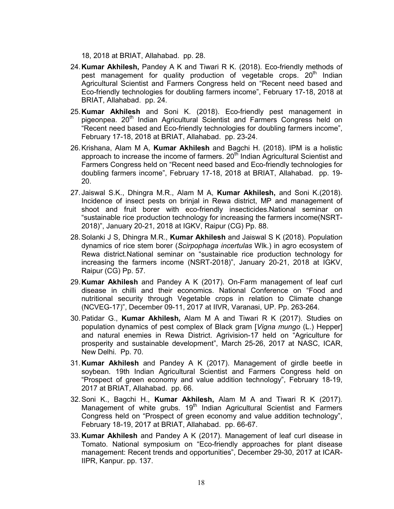- 18, 2018 at BRIAT, Allahabad. pp. 28.
- 24.Kumar Akhilesh, Pandey A K and Tiwari R K. (2018). Eco-friendly methods of pest management for quality production of vegetable crops. 20<sup>th</sup> Indian Agricultural Scientist and Farmers Congress held on "Recent need based and Eco-friendly technologies for doubling farmers income", February 17-18, 2018 at BRIAT, Allahabad. pp. 24.
- 25. Kumar Akhilesh and Soni K. (2018). Eco-friendly pest management in pigeonpea. 20<sup>th</sup> Indian Agricultural Scientist and Farmers Congress held on "Recent need based and Eco-friendly technologies for doubling farmers income", February 17-18, 2018 at BRIAT, Allahabad. pp. 23-24.
- 26. Krishana, Alam M A, Kumar Akhilesh and Bagchi H. (2018). IPM is a holistic approach to increase the income of farmers.  $20<sup>th</sup>$  Indian Agricultural Scientist and Farmers Congress held on "Recent need based and Eco-friendly technologies for doubling farmers income", February 17-18, 2018 at BRIAT, Allahabad. pp. 19- 20.
- 27. Jaiswal S.K., Dhingra M.R., Alam M A, Kumar Akhilesh, and Soni K.(2018). Incidence of insect pests on brinjal in Rewa district, MP and management of shoot and fruit borer with eco-friendly insecticides.National seminar on "sustainable rice production technology for increasing the farmers income(NSRT-2018)", January 20-21, 2018 at IGKV, Raipur (CG) Pp. 88.
- 28. Solanki J S, Dhingra M.R., Kumar Akhilesh and Jaiswal S K (2018). Population dynamics of rice stem borer (*Scirpophaga incertulas* Wlk.) in agro ecosystem of Rewa district.National seminar on "sustainable rice production technology for increasing the farmers income (NSRT-2018)", January 20-21, 2018 at IGKV, Raipur (CG) Pp. 57.
- 29. Kumar Akhilesh and Pandey A K (2017). On-Farm management of leaf curl disease in chilli and their economics. National Conference on "Food and nutritional security through Vegetable crops in relation to Climate change (NCVEG-17)", December 09-11, 2017 at IIVR, Varanasi, UP. Pp. 263-264.
- 30.Patidar G., Kumar Akhilesh, Alam M A and Tiwari R K (2017). Studies on population dynamics of pest complex of Black gram [*Vigna mungo* (L.) Hepper] and natural enemies in Rewa District. Agrivision-17 held on "Agriculture for prosperity and sustainable development", March 25-26, 2017 at NASC, ICAR, New Delhi. Pp. 70.
- 31. Kumar Akhilesh and Pandey A K (2017). Management of girdle beetle in soybean. 19th Indian Agricultural Scientist and Farmers Congress held on "Prospect of green economy and value addition technology", February 18-19, 2017 at BRIAT, Allahabad. pp. 66.
- 32. Soni K., Bagchi H., Kumar Akhilesh, Alam M A and Tiwari R K (2017). Management of white grubs.  $19<sup>th</sup>$  Indian Agricultural Scientist and Farmers Congress held on "Prospect of green economy and value addition technology", February 18-19, 2017 at BRIAT, Allahabad. pp. 66-67.
- 33. Kumar Akhilesh and Pandey A K (2017). Management of leaf curl disease in Tomato. National symposium on "Eco-friendly approaches for plant disease management: Recent trends and opportunities", December 29-30, 2017 at ICAR-IIPR, Kanpur. pp. 137.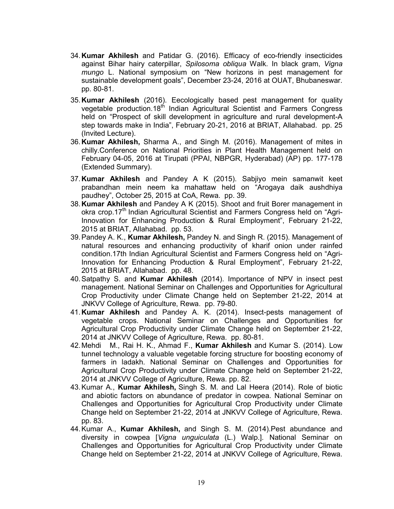- 34.Kumar Akhilesh and Patidar G. (2016). Efficacy of eco-friendly insecticides against Bihar hairy caterpillar, *Spilosoma obliqua* Walk. In black gram, *Vigna mungo* L. National symposium on "New horizons in pest management for sustainable development goals", December 23-24, 2016 at OUAT, Bhubaneswar. pp. 80-81.
- 35.Kumar Akhilesh (2016). Eecologically based pest management for quality vegetable production.18<sup>th</sup> Indian Agricultural Scientist and Farmers Congress held on "Prospect of skill development in agriculture and rural development-A step towards make in India", February 20-21, 2016 at BRIAT, Allahabad. pp. 25 (Invited Lecture).
- 36.Kumar Akhilesh, Sharma A., and Singh M. (2016). Management of mites in chilly.Conference on National Priorities in Plant Health Management held on February 04-05, 2016 at Tirupati (PPAI, NBPGR, Hyderabad) (AP) pp. 177-178 (Extended Summary).
- 37. Kumar Akhilesh and Pandey A K (2015). Sabjiyo mein samanwit keet prabandhan mein neem ka mahattaw held on "Arogaya daik aushdhiya paudhey", October 25, 2015 at CoA, Rewa. pp. 39.
- 38. Kumar Akhilesh and Pandey A K (2015). Shoot and fruit Borer management in okra crop.17<sup>th</sup> Indian Agricultural Scientist and Farmers Congress held on "Agri-Innovation for Enhancing Production & Rural Employment", February 21-22, 2015 at BRIAT, Allahabad. pp. 53.
- 39. Pandey A. K., Kumar Akhilesh, Pandey N. and Singh R. (2015). Management of natural resources and enhancing productivity of kharif onion under rainfed condition.17th Indian Agricultural Scientist and Farmers Congress held on "Agri-Innovation for Enhancing Production & Rural Employment", February 21-22, 2015 at BRIAT, Allahabad. pp. 48.
- 40. Satpathy S. and Kumar Akhilesh (2014). Importance of NPV in insect pest management. National Seminar on Challenges and Opportunities for Agricultural Crop Productivity under Climate Change held on September 21-22, 2014 at JNKVV College of Agriculture, Rewa. pp. 79-80.
- 41.Kumar Akhilesh and Pandey A. K. (2014). Insect-pests management of vegetable crops. National Seminar on Challenges and Opportunities for Agricultural Crop Productivity under Climate Change held on September 21-22, 2014 at JNKVV College of Agriculture, Rewa. pp. 80-81.
- 42. Mehdi M., Rai H. K., Ahmad F., Kumar Akhilesh and Kumar S. (2014). Low tunnel technology a valuable vegetable forcing structure for boosting economy of farmers in ladakh. National Seminar on Challenges and Opportunities for Agricultural Crop Productivity under Climate Change held on September 21-22, 2014 at JNKVV College of Agriculture, Rewa. pp. 82.
- 43.Kumar A., Kumar Akhilesh, Singh S. M. and Lal Heera (2014). Role of biotic and abiotic factors on abundance of predator in cowpea. National Seminar on Challenges and Opportunities for Agricultural Crop Productivity under Climate Change held on September 21-22, 2014 at JNKVV College of Agriculture, Rewa. pp. 83.
- 44. Kumar A., Kumar Akhilesh, and Singh S. M. (2014). Pest abundance and diversity in cowpea [*Vigna unguiculata* (L.) Walp.]. National Seminar on Challenges and Opportunities for Agricultural Crop Productivity under Climate Change held on September 21-22, 2014 at JNKVV College of Agriculture, Rewa.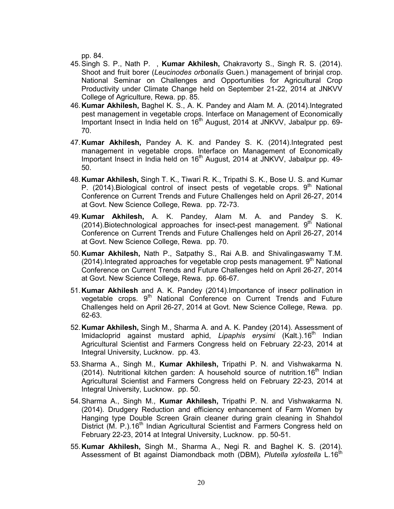pp. 84.

- 45.Singh S. P., Nath P. , Kumar Akhilesh, Chakravorty S., Singh R. S. (2014). Shoot and fruit borer (*Leucinodes orbonalis* Guen.) management of brinjal crop. National Seminar on Challenges and Opportunities for Agricultural Crop Productivity under Climate Change held on September 21-22, 2014 at JNKVV College of Agriculture, Rewa. pp. 85.
- 46.Kumar Akhilesh, Baghel K. S., A. K. Pandey and Alam M. A. (2014).Integrated pest management in vegetable crops. Interface on Management of Economically Important Insect in India held on  $16<sup>th</sup>$  August, 2014 at JNKVV, Jabalpur pp. 69-70.
- 47.Kumar Akhilesh, Pandey A. K. and Pandey S. K. (2014).Integrated pest management in vegetable crops. Interface on Management of Economically Important Insect in India held on  $16<sup>th</sup>$  August, 2014 at JNKVV, Jabalpur pp. 49-50.
- 48.Kumar Akhilesh, Singh T. K., Tiwari R. K., Tripathi S. K., Bose U. S. and Kumar P. (2014). Biological control of insect pests of vegetable crops.  $9<sup>th</sup>$  National Conference on Current Trends and Future Challenges held on April 26-27, 2014 at Govt. New Science College, Rewa. pp. 72-73.
- 49.Kumar Akhilesh, A. K. Pandey, Alam M. A. and Pandey S. K. (2014). Biotechnological approaches for insect-pest management.  $9<sup>th</sup>$  National Conference on Current Trends and Future Challenges held on April 26-27, 2014 at Govt. New Science College, Rewa. pp. 70.
- 50.Kumar Akhilesh, Nath P., Satpathy S., Rai A.B. and Shivalingaswamy T.M. (2014). Integrated approaches for vegetable crop pests management.  $9<sup>th</sup>$  National Conference on Current Trends and Future Challenges held on April 26-27, 2014 at Govt. New Science College, Rewa. pp. 66-67.
- 51.Kumar Akhilesh and A. K. Pandey (2014).Importance of insecr pollination in vegetable crops. 9<sup>th</sup> National Conference on Current Trends and Future Challenges held on April 26-27, 2014 at Govt. New Science College, Rewa. pp. 62-63.
- 52.Kumar Akhilesh, Singh M., Sharma A. and A. K. Pandey (2014). Assessment of Imidacloprid against mustard aphid, *Lipaphis erysimi* (Kalt.).16<sup>th</sup> Indian Agricultural Scientist and Farmers Congress held on February 22-23, 2014 at Integral University, Lucknow. pp. 43.
- 53.Sharma A., Singh M., Kumar Akhilesh, Tripathi P. N. and Vishwakarma N. (2014). Nutritional kitchen garden: A household source of nutrition.16<sup>th</sup> Indian Agricultural Scientist and Farmers Congress held on February 22-23, 2014 at Integral University, Lucknow. pp. 50.
- 54.Sharma A., Singh M., Kumar Akhilesh, Tripathi P. N. and Vishwakarma N. (2014). Drudgery Reduction and efficiency enhancement of Farm Women by Hanging type Double Screen Grain cleaner during grain cleaning in Shahdol District (M. P.).16<sup>th</sup> Indian Agricultural Scientist and Farmers Congress held on February 22-23, 2014 at Integral University, Lucknow. pp. 50-51.
- 55.Kumar Akhilesh, Singh M., Sharma A., Negi R. and Baghel K. S. (2014). Assessment of Bt against Diamondback moth (DBM), Plutella xylostella L.16<sup>th</sup>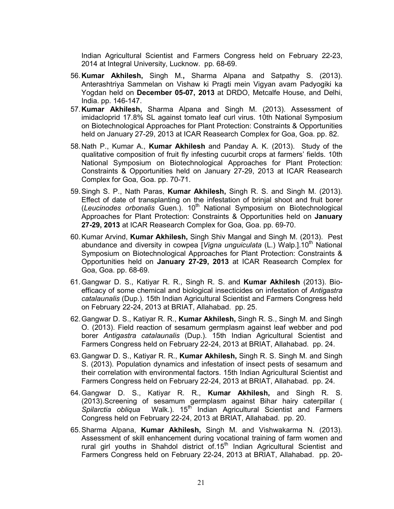Indian Agricultural Scientist and Farmers Congress held on February 22-23, 2014 at Integral University, Lucknow. pp. 68-69.

- 56.Kumar Akhilesh, Singh M., Sharma Alpana and Satpathy S. (2013). Anterashtriya Sammelan on Vishaw ki Pragti mein Vigyan avam Padyogiki ka Yogdan held on December 05-07, 2013 at DRDO, Metcalfe House, and Delhi, India. pp. 146-147.
- 57. Kumar Akhilesh, Sharma Alpana and Singh M. (2013). Assessment of imidacloprid 17.8% SL against tomato leaf curl virus. 10th National Symposium on Biotechnological Approaches for Plant Protection: Constraints & Opportunities held on January 27-29, 2013 at ICAR Reasearch Complex for Goa, Goa. pp. 82.
- 58.Nath P., Kumar A., Kumar Akhilesh and Panday A. K. (2013). Study of the qualitative composition of fruit fly infesting cucurbit crops at farmers' fields. 10th National Symposium on Biotechnological Approaches for Plant Protection: Constraints & Opportunities held on January 27-29, 2013 at ICAR Reasearch Complex for Goa, Goa. pp. 70-71.
- 59.Singh S. P., Nath Paras, Kumar Akhilesh, Singh R. S. and Singh M. (2013). Effect of date of transplanting on the infestation of brinjal shoot and fruit borer (*Leucinodes orbonalis* Guen.). 10<sup>th</sup> National Symposium on Biotechnological Approaches for Plant Protection: Constraints & Opportunities held on January 27-29, 2013 at ICAR Reasearch Complex for Goa, Goa. pp. 69-70.
- 60.Kumar Arvind, Kumar Akhilesh, Singh Shiv Mangal and Singh M. (2013). Pest abundance and diversity in cowpea [*Vigna unguiculata* (L.) Walp.].10<sup>th</sup> National Symposium on Biotechnological Approaches for Plant Protection: Constraints & Opportunities held on January 27-29, 2013 at ICAR Reasearch Complex for Goa, Goa. pp. 68-69.
- 61.Gangwar D. S., Katiyar R. R., Singh R. S. and Kumar Akhilesh (2013). Bioefficacy of some chemical and biological insecticides on infestation of *Antigastra catalaunalis* (Dup.). 15th Indian Agricultural Scientist and Farmers Congress held on February 22-24, 2013 at BRIAT, Allahabad. pp. 25.
- 62.Gangwar D. S., Katiyar R. R., Kumar Akhilesh, Singh R. S., Singh M. and Singh O. (2013). Field reaction of sesamum germplasm against leaf webber and pod borer *Antigastra catalaunalis* (Dup.). 15th Indian Agricultural Scientist and Farmers Congress held on February 22-24, 2013 at BRIAT, Allahabad. pp. 24.
- 63.Gangwar D. S., Katiyar R. R., Kumar Akhilesh, Singh R. S. Singh M. and Singh S. (2013). Population dynamics and infestation of insect pests of sesamum and their correlation with environmental factors. 15th Indian Agricultural Scientist and Farmers Congress held on February 22-24, 2013 at BRIAT, Allahabad. pp. 24.
- 64.Gangwar D. S., Katiyar R. R., Kumar Akhilesh, and Singh R. S. (2013).Screening of sesamum germplasm against Bihar hairy caterpillar ( *Spilarctia obliqua* Walk.). 15<sup>th</sup> Indian Agricultural Scientist and Farmers Congress held on February 22-24, 2013 at BRIAT, Allahabad. pp. 20.
- 65.Sharma Alpana, Kumar Akhilesh, Singh M. and Vishwakarma N. (2013). Assessment of skill enhancement during vocational training of farm women and rural girl youths in Shahdol district  $\overline{of}.15<sup>th</sup>$  Indian Agricultural Scientist and Farmers Congress held on February 22-24, 2013 at BRIAT, Allahabad. pp. 20-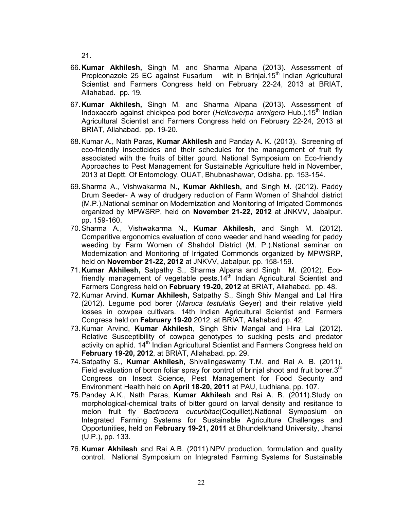21.

- 66.Kumar Akhilesh, Singh M. and Sharma Alpana (2013). Assessment of Propiconazole 25 EC against Fusarium wilt in Brinjal.15<sup>th</sup> Indian Agricultural Scientist and Farmers Congress held on February 22-24, 2013 at BRIAT, Allahabad. pp. 19.
- 67.Kumar Akhilesh, Singh M. and Sharma Alpana (2013). Assessment of Indoxacarb against chickpea pod borer (*Helicoverpa armigera* Hub.).15th Indian Agricultural Scientist and Farmers Congress held on February 22-24, 2013 at BRIAT, Allahabad. pp. 19-20.
- 68.Kumar A., Nath Paras, Kumar Akhilesh and Panday A. K. (2013). Screening of eco-friendly insecticides and their schedules for the management of fruit fly associated with the fruits of bitter gourd. National Symposium on Eco-friendly Approaches to Pest Management for Sustainable Agriculture held in November, 2013 at Deptt. Of Entomology, OUAT, Bhubnashawar, Odisha. pp. 153-154.
- 69.Sharma A., Vishwakarma N., Kumar Akhilesh, and Singh M. (2012). Paddy Drum Seeder- A way of drudgery reduction of Farm Women of Shahdol district (M.P.).National seminar on Modernization and Monitoring of Irrigated Commonds organized by MPWSRP, held on November 21-22, 2012 at JNKVV, Jabalpur. pp. 159-160.
- 70.Sharma A., Vishwakarma N., Kumar Akhilesh, and Singh M. (2012). Comparitive ergonomics evaluation of cono weeder and hand weeding for paddy weeding by Farm Women of Shahdol District (M. P.).National seminar on Modernization and Monitoring of Irrigated Commonds organized by MPWSRP, held on November 21-22, 2012 at JNKVV, Jabalpur. pp. 158-159.
- 71. Kumar Akhilesh, Satpathy S., Sharma Alpana and Singh M. (2012). Ecofriendly management of vegetable pests. $14<sup>th</sup>$  Indian Agricultural Scientist and Farmers Congress held on February 19-20, 2012 at BRIAT, Allahabad. pp. 48.
- 72. Kumar Arvind, Kumar Akhilesh, Satpathy S., Singh Shiv Mangal and Lal Hira (2012). Legume pod borer (*Maruca testulalis* Geyer) and their relative yield losses in cowpea cultivars. 14th Indian Agricultural Scientist and Farmers Congress held on February 19-20 2012, at BRIAT, Allahabad.pp. 42.
- 73. Kumar Arvind, Kumar Akhilesh, Singh Shiv Mangal and Hira Lal (2012). Relative Susceptibility of cowpea genotypes to sucking pests and predator activity on aphid.  $14<sup>th</sup>$  Indian Agricultural Scientist and Farmers Congress held on February 19-20, 2012, at BRIAT, Allahabad. pp. 29.
- 74. Satpathy S., Kumar Akhilesh, Shivalingaswamy T.M. and Rai A. B. (2011). Field evaluation of boron foliar spray for control of brinial shoot and fruit borer. $3<sup>rd</sup>$ Congress on Insect Science, Pest Management for Food Security and Environment Health held on April 18-20, 2011 at PAU, Ludhiana, pp. 107.
- 75.Pandey A.K., Nath Paras, Kumar Akhilesh and Rai A. B. (2011).Study on morphological-chemical traits of bitter gourd on larval density and resitance to melon fruit fly *Bactrocera cucurbitae*(Coquillet).National Symposium on Integrated Farming Systems for Sustainable Agriculture Challenges and Opportunities, held on February 19-21, 2011 at Bhundelkhand University, Jhansi (U.P.), pp. 133.
- 76.Kumar Akhilesh and Rai A.B. (2011).NPV production, formulation and quality control. National Symposium on Integrated Farming Systems for Sustainable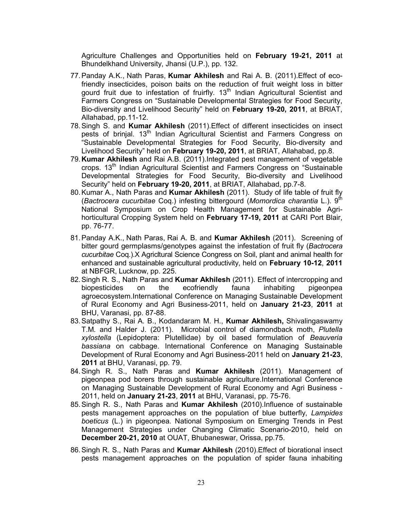Agriculture Challenges and Opportunities held on February 19-21, 2011 at Bhundelkhand University, Jhansi (U.P.), pp. 132.

- 77. Panday A.K., Nath Paras, Kumar Akhilesh and Rai A. B. (2011). Effect of ecofriendly insecticides, poison baits on the reduction of fruit weight loss in bitter gourd fruit due to infestation of fruirfly. 13<sup>th</sup> Indian Agricultural Scientist and Farmers Congress on "Sustainable Developmental Strategies for Food Security, Bio-diversity and Livelihood Security" held on February 19-20, 2011, at BRIAT, Allahabad, pp.11-12.
- 78. Singh S. and Kumar Akhilesh (2011). Effect of different insecticides on insect pests of brinjal. 13<sup>th</sup> Indian Agricultural Scientist and Farmers Congress on "Sustainable Developmental Strategies for Food Security, Bio-diversity and Livelihood Security" held on February 19-20, 2011, at BRIAT, Allahabad, pp.8.
- 79. Kumar Akhilesh and Rai A.B. (2011). Integrated pest management of vegetable crops. 13<sup>th</sup> Indian Agricultural Scientist and Farmers Congress on "Sustainable Developmental Strategies for Food Security, Bio-diversity and Livelihood Security" held on February 19-20, 2011, at BRIAT, Allahabad, pp.7-8.
- 80. Kumar A., Nath Paras and Kumar Akhilesh (2011). Study of life table of fruit fly (*Bactrocera cucurbitae* Coq.) infesting bittergourd (*Momordica charantia* L.). 9th National Symposium on Crop Health Management for Sustainable Agrihorticultural Cropping System held on February 17-19, 2011 at CARI Port Blair, pp. 76-77.
- 81. Panday A.K., Nath Paras, Rai A. B. and Kumar Akhilesh (2011). Screening of bitter gourd germplasms/genotypes against the infestation of fruit fly (*Bactrocera cucurbitae* Coq.).X Agricltural Science Congress on Soil, plant and animal health for enhanced and sustainable agricultural productivity, held on February 10-12, 2011 at NBFGR, Lucknow, pp. 225.
- 82. Singh R. S., Nath Paras and Kumar Akhilesh (2011). Effect of intercropping and biopesticides on the ecofriendly fauna inhabiting pigeonpea agroecosystem.International Conference on Managing Sustainable Development of Rural Economy and Agri Business-2011, held on January 21-23, 2011 at BHU, Varanasi, pp. 87-88.
- 83. Satpathy S., Rai A. B., Kodandaram M. H., Kumar Akhilesh, Shivalingaswamy T.M. and Halder J. (2011). Microbial control of diamondback moth, *Plutella xylostella* (Lepidoptera: Plutellidae) by oil based formulation of *Beauveria bassiana* on cabbage. International Conference on Managing Sustainable Development of Rural Economy and Agri Business-2011 held on January 21-23, 2011 at BHU, Varanasi, pp. 79.
- 84. Singh R. S., Nath Paras and Kumar Akhilesh (2011). Management of pigeonpea pod borers through sustainable agriculture.International Conference on Managing Sustainable Development of Rural Economy and Agri Business - 2011, held on January 21-23, 2011 at BHU, Varanasi, pp. 75-76.
- 85. Singh R. S., Nath Paras and Kumar Akhilesh (2010). Influence of sustainable pests management approaches on the population of blue butterfly, *Lampides boeticus* (L.) in pigeonpea. National Symposium on Emerging Trends in Pest Management Strategies under Changing Climatic Scenario-2010, held on December 20-21, 2010 at OUAT, Bhubaneswar, Orissa, pp.75.
- 86. Singh R. S., Nath Paras and Kumar Akhilesh (2010). Effect of biorational insect pests management approaches on the population of spider fauna inhabiting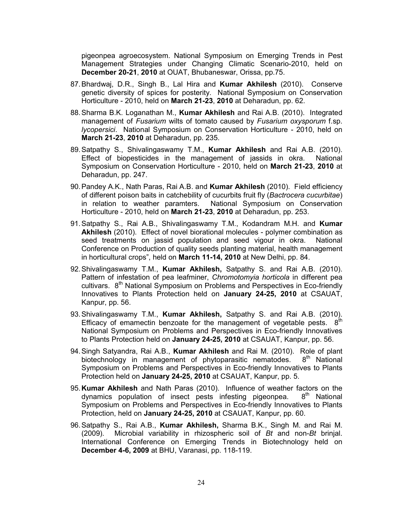pigeonpea agroecosystem. National Symposium on Emerging Trends in Pest Management Strategies under Changing Climatic Scenario-2010, held on December 20-21, 2010 at OUAT, Bhubaneswar, Orissa, pp.75.

- 87.Bhardwaj, D.R., Singh B., Lal Hira and Kumar Akhilesh (2010). Conserve genetic diversity of spices for posterity. National Symposium on Conservation Horticulture - 2010, held on March 21-23, 2010 at Deharadun, pp. 62.
- 88. Sharma B.K. Loganathan M., Kumar Akhilesh and Rai A.B. (2010). Integrated management of *Fusarium* wilts of tomato caused by *Fusarium oxysporum* f.sp. *lycopersici*. National Symposium on Conservation Horticulture - 2010, held on March 21-23, 2010 at Deharadun, pp. 235.
- 89.Satpathy S., Shivalingaswamy T.M., Kumar Akhilesh and Rai A.B. (2010). Effect of biopesticides in the management of jassids in okra. National Symposium on Conservation Horticulture - 2010, held on March 21-23, 2010 at Deharadun, pp. 247.
- 90. Pandey A.K., Nath Paras, Rai A.B. and Kumar Akhilesh (2010). Field efficiency of different poison baits in catchebility of cucurbits fruit fly (*Bactrocera cucurbitae*) in relation to weather paramters. National Symposium on Conservation Horticulture - 2010, held on March 21-23, 2010 at Deharadun, pp. 253.
- 91. Satpathy S., Rai A.B., Shivalingaswamy T.M., Kodandram M.H. and Kumar Akhilesh (2010). Effect of novel biorational molecules - polymer combination as seed treatments on jassid population and seed vigour in okra. National Conference on Production of quality seeds planting material, health management in horticultural crops", held on March 11-14, 2010 at New Delhi, pp. 84.
- 92. Shivalingaswamy T.M., Kumar Akhilesh, Satpathy S. and Rai A.B. (2010). Pattern of infestation of pea leafminer, *Chromotomyia horticola* in different pea cultivars.  $8<sup>th</sup>$  National Symposium on Problems and Perspectives in Eco-friendly Innovatives to Plants Protection held on January 24-25, 2010 at CSAUAT, Kanpur, pp. 56.
- 93. Shivalingaswamy T.M., Kumar Akhilesh, Satpathy S. and Rai A.B. (2010). Efficacy of emamectin benzoate for the management of vegetable pests.  $8^{th}$ National Symposium on Problems and Perspectives in Eco-friendly Innovatives to Plants Protection held on January 24-25, 2010 at CSAUAT, Kanpur, pp. 56.
- 94. Singh Satyandra, Rai A.B., Kumar Akhilesh and Rai M. (2010). Role of plant biotechnology in management of phytoparasitic nematodes.  $8<sup>th</sup>$  National Symposium on Problems and Perspectives in Eco-friendly Innovatives to Plants Protection held on January 24-25, 2010 at CSAUAT, Kanpur, pp. 5.
- 95. **Kumar Akhilesh** and Nath Paras (2010). Influence of weather factors on the dynamics population of insect pests infesting pigeonpea.  $8<sup>th</sup>$  National dynamics population of insect pests infesting pigeonpea. Symposium on Problems and Perspectives in Eco-friendly Innovatives to Plants Protection, held on January 24-25, 2010 at CSAUAT, Kanpur, pp. 60.
- 96.Satpathy S., Rai A.B., Kumar Akhilesh, Sharma B.K., Singh M. and Rai M. (2009). Microbial variability in rhizospheric soil of *Bt* and non-*Bt* brinjal. International Conference on Emerging Trends in Biotechnology held on December 4-6, 2009 at BHU, Varanasi, pp. 118-119.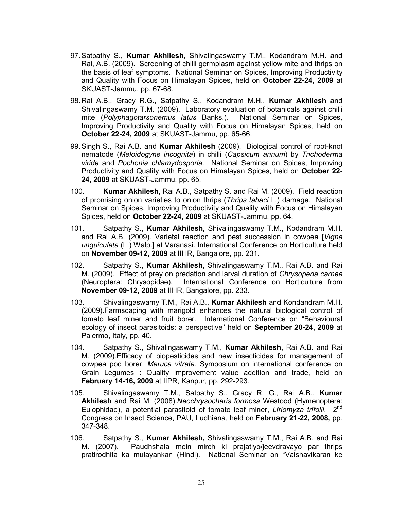- 97.Satpathy S., Kumar Akhilesh, Shivalingaswamy T.M., Kodandram M.H. and Rai, A.B. (2009). Screening of chilli germplasm against yellow mite and thrips on the basis of leaf symptoms. National Seminar on Spices, Improving Productivity and Quality with Focus on Himalayan Spices, held on October 22-24, 2009 at SKUAST-Jammu, pp. 67-68.
- 98. Rai A.B., Gracy R.G., Satpathy S., Kodandram M.H., Kumar Akhilesh and Shivalingaswamy T.M. (2009). Laboratory evaluation of botanicals against chilli mite (*Polyphagotarsonemus latus* Banks.). National Seminar on Spices, Improving Productivity and Quality with Focus on Himalayan Spices, held on October 22-24, 2009 at SKUAST-Jammu, pp. 65-66.
- 99. Singh S., Rai A.B. and Kumar Akhilesh (2009). Biological control of root-knot nematode (*Meloidogyne incognita*) in chilli (*Capsicum annum*) by *Trichoderma viride* and *Pochonia chlamydosporia*. National Seminar on Spices, Improving Productivity and Quality with Focus on Himalayan Spices, held on October 22- 24, 2009 at SKUAST-Jammu, pp. 65.
- 100. **Kumar Akhilesh, Rai A.B., Satpathy S. and Rai M. (2009). Field reaction** of promising onion varieties to onion thrips (*Thrips tabaci* L.) damage. National Seminar on Spices, Improving Productivity and Quality with Focus on Himalayan Spices, held on October 22-24, 2009 at SKUAST-Jammu, pp. 64.
- 101. Satpathy S., Kumar Akhilesh, Shivalingaswamy T.M., Kodandram M.H. and Rai A.B. (2009). Varietal reaction and pest succession in cowpea [*Vigna unguiculata* (L.) Walp.] at Varanasi. International Conference on Horticulture held on November 09-12, 2009 at IIHR, Bangalore, pp. 231.
- 102. Satpathy S., Kumar Akhilesh, Shivalingaswamy T.M., Rai A.B. and Rai M. (2009). Effect of prey on predation and larval duration of *Chrysoperla carnea* (Neuroptera: Chrysopidae). International Conference on Horticulture from November 09-12, 2009 at IIHR, Bangalore, pp. 233.
- 103. Shivalingaswamy T.M., Rai A.B., Kumar Akhilesh and Kondandram M.H. (2009).Farmscaping with marigold enhances the natural biological control of tomato leaf miner and fruit borer. International Conference on "Behavioural ecology of insect parasitoids: a perspective" held on September 20-24, 2009 at Palermo, Italy, pp. 40.
- 104. Satpathy S., Shivalingaswamy T.M., **Kumar Akhilesh, Rai A.B. and Rai** M. (2009).Efficacy of biopesticides and new insecticides for management of cowpea pod borer, *Maruca vitrata*. Symposium on international conference on Grain Legumes : Quality improvement value addition and trade, held on February 14-16, 2009 at IIPR, Kanpur, pp. 292-293.
- 105. Shivalingaswamy T.M., Satpathy S., Gracy R. G., Rai A.B., Kumar Akhilesh and Rai M. (2008).*Neochrysocharis formosa* Westood (Hymenoptera: Eulophidae), a potential parasitoid of tomato leaf miner, *Liriomyza trifolii*. 2nd Congress on Insect Science, PAU, Ludhiana, held on February 21-22, 2008, pp. 347-348.
- 106. Satpathy S., Kumar Akhilesh, Shivalingaswamy T.M., Rai A.B. and Rai M. (2007). Paudhshala mein mirch ki prajatiyo/jeevdravayo par thrips pratirodhita ka mulayankan (Hindi). National Seminar on "Vaishavikaran ke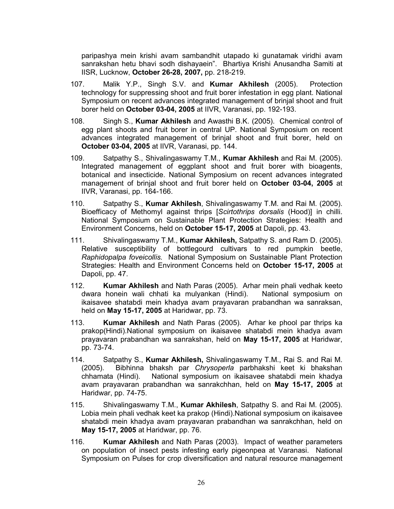paripashya mein krishi avam sambandhit utapado ki gunatamak viridhi avam sanrakshan hetu bhavi sodh dishayaein". Bhartiya Krishi Anusandha Samiti at IISR, Lucknow, October 26-28, 2007, pp. 218-219.

- 107. Malik Y.P., Singh S.V. and Kumar Akhilesh (2005). Protection technology for suppressing shoot and fruit borer infestation in egg plant. National Symposium on recent advances integrated management of brinjal shoot and fruit borer held on October 03-04, 2005 at IIVR, Varanasi, pp. 192-193.
- 108. Singh S., Kumar Akhilesh and Awasthi B.K. (2005). Chemical control of egg plant shoots and fruit borer in central UP. National Symposium on recent advances integrated management of brinjal shoot and fruit borer, held on October 03-04, 2005 at IIVR, Varanasi, pp. 144.
- 109. Satpathy S., Shivalingaswamy T.M., **Kumar Akhilesh** and Rai M. (2005). Integrated management of eggplant shoot and fruit borer with bioagents, botanical and insecticide. National Symposium on recent advances integrated management of brinjal shoot and fruit borer held on October 03-04, 2005 at IIVR, Varanasi, pp. 164-166.
- 110. Satpathy S., Kumar Akhilesh, Shivalingaswamy T.M. and Rai M. (2005). Bioefficacy of Methomyl against thrips [*Scirtothrips dorsalis* (Hood)] in chilli. National Symposium on Sustainable Plant Protection Strategies: Health and Environment Concerns, held on October 15-17, 2005 at Dapoli, pp. 43.
- 111. Shivalingaswamy T.M., Kumar Akhilesh, Satpathy S. and Ram D. (2005). Relative susceptibility of bottlegourd cultivars to red pumpkin beetle, *Raphidopalpa foveicollis.* National Symposium on Sustainable Plant Protection Strategies: Health and Environment Concerns held on October 15-17, 2005 at Dapoli, pp. 47.
- 112. **Kumar Akhilesh** and Nath Paras (2005). Arhar mein phali vedhak keeto dwara honein wali chhati ka mulyankan (Hindi). National symposium on ikaisavee shatabdi mein khadya avam prayavaran prabandhan wa sanraksan, held on May 15-17, 2005 at Haridwar, pp. 73.
- 113. **Kumar Akhilesh** and Nath Paras (2005). Arhar ke phool par thrips ka prakop(Hindi).National symposium on ikaisavee shatabdi mein khadya avam prayavaran prabandhan wa sanrakshan, held on May 15-17, 2005 at Haridwar, pp. 73-74.
- 114. Satpathy S., Kumar Akhilesh, Shivalingaswamy T.M., Rai S. and Rai M. (2005). Bibhinna bhaksh par *Chrysoperla* parbhakshi keet ki bhakshan chhamata (Hindi). National symposium on ikaisavee shatabdi mein khadya avam prayavaran prabandhan wa sanrakchhan, held on May 15-17, 2005 at Haridwar, pp. 74-75.
- 115. Shivalingaswamy T.M., Kumar Akhilesh, Satpathy S. and Rai M. (2005). Lobia mein phali vedhak keet ka prakop (Hindi).National symposium on ikaisavee shatabdi mein khadya avam prayavaran prabandhan wa sanrakchhan, held on May 15-17, 2005 at Haridwar, pp. 76.
- 116. **Kumar Akhilesh** and Nath Paras (2003). Impact of weather parameters on population of insect pests infesting early pigeonpea at Varanasi. National Symposium on Pulses for crop diversification and natural resource management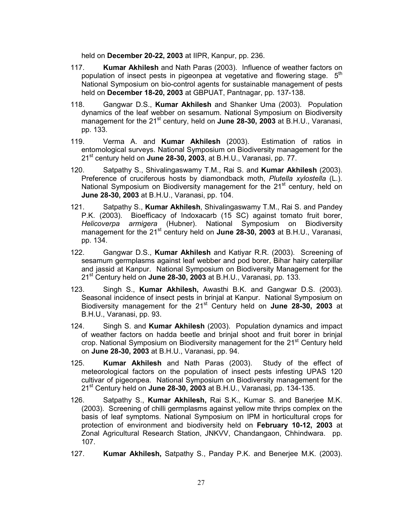held on December 20-22, 2003 at IIPR, Kanpur, pp. 236.

- 117. **Kumar Akhilesh** and Nath Paras (2003). Influence of weather factors on population of insect pests in pigeonpea at vegetative and flowering stage.  $5<sup>th</sup>$ National Symposium on bio-control agents for sustainable management of pests held on December 18-20, 2003 at GBPUAT, Pantnagar, pp. 137-138.
- 118. Gangwar D.S., Kumar Akhilesh and Shanker Uma (2003). Population dynamics of the leaf webber on sesamum. National Symposium on Biodiversity management for the  $21^{st}$  century, held on June 28-30, 2003 at B.H.U., Varanasi, pp. 133.
- 119. Verma A. and Kumar Akhilesh (2003). Estimation of ratios in entomological surveys. National Symposium on Biodiversity management for the  $21<sup>st</sup>$  century held on June 28-30, 2003, at B.H.U., Varanasi, pp. 77.
- 120. Satpathy S., Shivalingaswamy T.M., Rai S. and **Kumar Akhilesh** (2003). Preference of cruciferous hosts by diamondback moth, *Plutella xylostella* (L.). National Symposium on Biodiversity management for the 21<sup>st</sup> century, held on June 28-30, 2003 at B.H.U., Varanasi, pp. 104.
- 121. Satpathy S., Kumar Akhilesh, Shivalingaswamy T.M., Rai S. and Pandey P.K. (2003). Bioefficacy of Indoxacarb (15 SC) against tomato fruit borer, *Helicoverpa armigera* (Hubner). National Symposium on Biodiversity management for the  $21^{st}$  century held on **June 28-30, 2003** at B.H.U., Varanasi, pp. 134.
- 122. Gangwar D.S., **Kumar Akhilesh** and Katiyar R.R. (2003). Screening of sesamum germplasms against leaf webber and pod borer, Bihar hairy caterpillar and jassid at Kanpur. National Symposium on Biodiversity Management for the  $21<sup>st</sup>$  Century held on June 28-30, 2003 at B.H.U., Varanasi, pp. 133.
- 123. Singh S., Kumar Akhilesh, Awasthi B.K. and Gangwar D.S. (2003). Seasonal incidence of insect pests in brinjal at Kanpur. National Symposium on Biodiversity management for the 21<sup>st</sup> Century held on June 28-30, 2003 at B.H.U., Varanasi, pp. 93.
- 124. Singh S. and Kumar Akhilesh (2003). Population dynamics and impact of weather factors on hadda beetle and brinjal shoot and fruit borer in brinjal crop. National Symposium on Biodiversity management for the 21<sup>st</sup> Century held on June 28-30, 2003 at B.H.U., Varanasi, pp. 94.
- 125. **Kumar Akhilesh** and Nath Paras (2003). Study of the effect of meteorological factors on the population of insect pests infesting UPAS 120 cultivar of pigeonpea. National Symposium on Biodiversity management for the  $21<sup>st</sup>$  Century held on June 28-30, 2003 at B.H.U., Varanasi, pp. 134-135.
- 126. Satpathy S., Kumar Akhilesh, Rai S.K., Kumar S. and Banerjee M.K. (2003). Screening of chilli germplasms against yellow mite thrips complex on the basis of leaf symptoms. National Symposium on IPM in horticultural crops for protection of environment and biodiversity held on February 10-12, 2003 at Zonal Agricultural Research Station, JNKVV, Chandangaon, Chhindwara. pp. 107.
- 127. **Kumar Akhilesh, Satpathy S., Panday P.K. and Benerjee M.K. (2003).**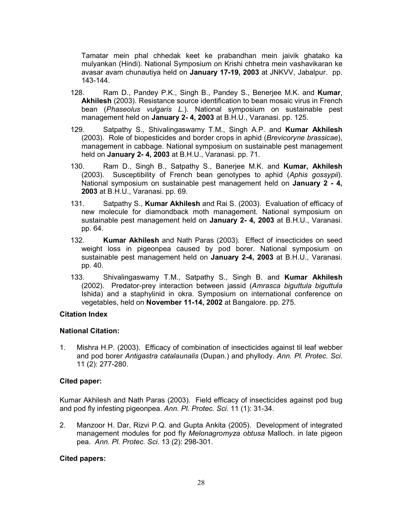Tamatar mein phal chhedak keet ke prabandhan mein jaivik ghatako ka mulyankan (Hindi). National Symposium on Krishi chhetra mein vashavikaran ke avasar avam chunautiya held on January 17-19, 2003 at JNKVV, Jabalpur. pp. 143-144.

- 128. Ram D., Pandey P.K., Singh B., Pandey S., Benerjee M.K. and Kumar, Akhilesh (2003). Resistance source identification to bean mosaic virus in French bean (*Phaseolus vulgaris L.*). National symposium on sustainable pest management held on **January 2-4, 2003** at B.H.U., Varanasi. pp. 125.
- 129. Satpathy S., Shivalingaswamy T.M., Singh A.P. and Kumar Akhilesh (2003). Role of biopesticides and border crops in aphid (*Brevicoryne brassicae*), management in cabbage. National symposium on sustainable pest management held on **January 2-4, 2003** at B.H.U., Varanasi. pp. 71.
- 130. Ram D., Singh B., Satpathy S., Banerjee M.K. and Kumar, Akhilesh (2003). Susceptibility of French bean genotypes to aphid (*Aphis gossypii*). National symposium on sustainable pest management held on January 2 - 4, 2003 at B.H.U., Varanasi. pp. 69.
- 131. Satpathy S., Kumar Akhilesh and Rai S. (2003). Evaluation of efficacy of new molecule for diamondback moth management. National symposium on sustainable pest management held on January 2- 4, 2003 at B.H.U., Varanasi. pp. 64.
- 132. Kumar Akhilesh and Nath Paras (2003). Effect of insecticides on seed weight loss in pigeonpea caused by pod borer. National symposium on sustainable pest management held on January 2-4, 2003 at B.H.U., Varanasi. pp. 40.
- 133. Shivalingaswamy T.M., Satpathy S., Singh B. and Kumar Akhilesh (2002). Predator-prey interaction between jassid (*Amrasca biguttula biguttula* Ishida) and a staphylinid in okra. Symposium on international conference on vegetables, held on November 11-14, 2002 at Bangalore. pp. 275.

### Citation Index

### National Citation:

1. Mishra H.P. (2003). Efficacy of combination of insecticides against til leaf webber and pod borer *Antigastra catalaunalis* (Dupan.) and phyllody. *Ann. Pl. Protec. Sci*. 11 (2): 277-280.

### Cited paper:

Kumar Akhilesh and Nath Paras (2003). Field efficacy of insecticides against pod bug and pod fly infesting pigeonpea. *Ann. Pl. Protec. Sci*. 11 (1): 31-34.

2. Manzoor H. Dar, Rizvi P.Q. and Gupta Ankita (2005). Development of integrated management modules for pod fly *Melonagromyza obtusa* Malloch. in late pigeon pea. *Ann. Pl. Protec. Sci*. 13 (2): 298-301.

### Cited papers: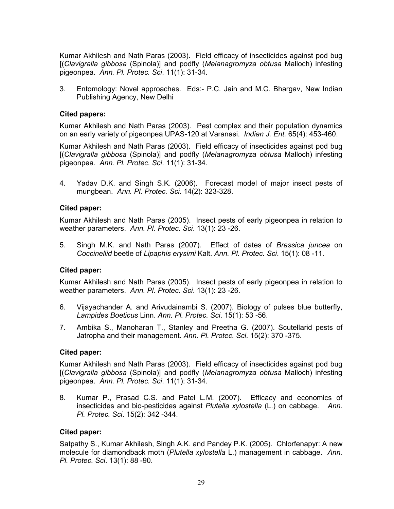Kumar Akhilesh and Nath Paras (2003). Field efficacy of insecticides against pod bug [(*Clavigralla gibbosa* (Spinola)] and podfly (*Melanagromyza obtusa* Malloch) infesting pigeonpea. *Ann. Pl. Protec. Sci*. 11(1): 31-34.

3. Entomology: Novel approaches. Eds:- P.C. Jain and M.C. Bhargav, New Indian Publishing Agency, New Delhi

### Cited papers:

Kumar Akhilesh and Nath Paras (2003). Pest complex and their population dynamics on an early variety of pigeonpea UPAS-120 at Varanasi. *Indian J. Ent.* 65(4): 453-460.

Kumar Akhilesh and Nath Paras (2003). Field efficacy of insecticides against pod bug [(*Clavigralla gibbosa* (Spinola)] and podfly (*Melanagromyza obtusa* Malloch) infesting pigeonpea. *Ann. Pl. Protec. Sci*. 11(1): 31-34.

4. Yadav D.K. and Singh S.K. (2006). Forecast model of major insect pests of mungbean. *Ann. Pl. Protec. Sci*. 14(2): 323-328.

### Cited paper:

Kumar Akhilesh and Nath Paras (2005). Insect pests of early pigeonpea in relation to weather parameters. *Ann. Pl. Protec. Sci*. 13(1): 23 -26.

5. Singh M.K. and Nath Paras (2007). Effect of dates of *Brassica juncea* on *Coccinellid* beetle of *Lipaphis erysimi* Kalt. *Ann. Pl. Protec. Sci*. 15(1): 08 -11.

### Cited paper:

Kumar Akhilesh and Nath Paras (2005). Insect pests of early pigeonpea in relation to weather parameters. *Ann. Pl. Protec. Sci*. 13(1): 23 -26.

- 6. Vijayachander A. and Arivudainambi S. (2007). Biology of pulses blue butterfly, *Lampides Boeticus* Linn. *Ann. Pl. Protec. Sci*. 15(1): 53 -56.
- 7. Ambika S., Manoharan T., Stanley and Preetha G. (2007). Scutellarid pests of Jatropha and their management. *Ann. Pl. Protec. Sci*. 15(2): 370 -375.

### Cited paper:

Kumar Akhilesh and Nath Paras (2003). Field efficacy of insecticides against pod bug [(*Clavigralla gibbosa* (Spinola)] and podfly (*Melanagromyza obtusa* Malloch) infesting pigeonpea. *Ann. Pl. Protec. Sci*. 11(1): 31-34.

8. Kumar P., Prasad C.S. and Patel L.M. (2007). Efficacy and economics of insecticides and bio-pesticides against *Plutella xylostella* (L.) on cabbage. *Ann. Pl. Protec. Sci*. 15(2): 342 -344.

### Cited paper:

Satpathy S., Kumar Akhilesh, Singh A.K. and Pandey P.K. (2005). Chlorfenapyr: A new molecule for diamondback moth (*Plutella xylostella* L.) management in cabbage. *Ann. Pl. Protec. Sci*. 13(1): 88 -90.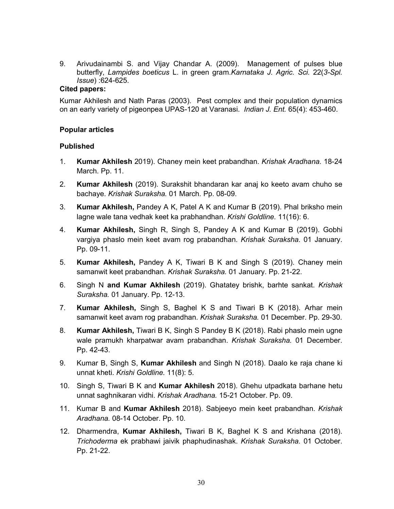9. Arivudainambi S. and Vijay Chandar A. (2009). Management of pulses blue butterfly, *Lampides boeticus* L. in green gram.*Karnataka J. Agric. Sci.* 22(*3-Spl. Issue*) :624-625.

### Cited papers:

Kumar Akhilesh and Nath Paras (2003). Pest complex and their population dynamics on an early variety of pigeonpea UPAS-120 at Varanasi. *Indian J. Ent.* 65(4): 453-460.

### Popular articles

### Published

- 1. Kumar Akhilesh 2019). Chaney mein keet prabandhan. *Krishak Aradhana.* 18-24 March. Pp. 11.
- 2. Kumar Akhilesh (2019). Surakshit bhandaran kar anaj ko keeto avam chuho se bachaye. *Krishak Suraksha.* 01 March. Pp. 08-09.
- 3. Kumar Akhilesh, Pandey A K, Patel A K and Kumar B (2019). Phal briksho mein lagne wale tana vedhak keet ka prabhandhan. *Krishi Goldline.* 11(16): 6.
- 4. Kumar Akhilesh, Singh R, Singh S, Pandey A K and Kumar B (2019). Gobhi vargiya phaslo mein keet avam rog prabandhan. *Krishak Suraksha.* 01 January. Pp. 09-11.
- 5. Kumar Akhilesh, Pandey A K, Tiwari B K and Singh S (2019). Chaney mein samanwit keet prabandhan. *Krishak Suraksha.* 01 January. Pp. 21-22.
- 6. Singh N and Kumar Akhilesh (2019). Ghatatey brishk, barhte sankat. *Krishak Suraksha.* 01 January. Pp. 12-13.
- 7. Kumar Akhilesh, Singh S, Baghel K S and Tiwari B K (2018). Arhar mein samanwit keet avam rog prabandhan. *Krishak Suraksha.* 01 December. Pp. 29-30.
- 8. Kumar Akhilesh, Tiwari B K, Singh S Pandey B K (2018). Rabi phaslo mein ugne wale pramukh kharpatwar avam prabandhan. *Krishak Suraksha.* 01 December. Pp. 42-43.
- 9. Kumar B, Singh S, Kumar Akhilesh and Singh N (2018). Daalo ke raja chane ki unnat kheti. *Krishi Goldline.* 11(8): 5.
- 10. Singh S, Tiwari B K and Kumar Akhilesh 2018). Ghehu utpadkata barhane hetu unnat saghnikaran vidhi. *Krishak Aradhana.* 15-21 October. Pp. 09.
- 11. Kumar B and Kumar Akhilesh 2018). Sabjeeyo mein keet prabandhan. *Krishak Aradhana.* 08-14 October. Pp. 10.
- 12. Dharmendra, Kumar Akhilesh, Tiwari B K, Baghel K S and Krishana (2018). *Trichoderma* ek prabhawi jaivik phaphudinashak. *Krishak Suraksha.* 01 October. Pp. 21-22.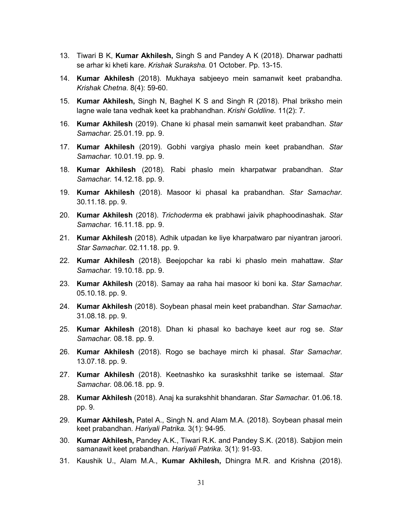- 13. Tiwari B K, **Kumar Akhilesh**, Singh S and Pandey A K (2018). Dharwar padhatti se arhar ki kheti kare. *Krishak Suraksha.* 01 October. Pp. 13-15.
- 14. Kumar Akhilesh (2018). Mukhaya sabjeeyo mein samanwit keet prabandha. *Krishak Chetna.* 8(4): 59-60.
- 15. Kumar Akhilesh, Singh N, Baghel K S and Singh R (2018). Phal briksho mein lagne wale tana vedhak keet ka prabhandhan. *Krishi Goldline.* 11(2): 7.
- 16. Kumar Akhilesh (2019). Chane ki phasal mein samanwit keet prabandhan. *Star Samachar.* 25.01.19. pp. 9.
- 17. Kumar Akhilesh (2019). Gobhi vargiya phaslo mein keet prabandhan. *Star Samachar.* 10.01.19. pp. 9.
- 18. Kumar Akhilesh (2018). Rabi phaslo mein kharpatwar prabandhan. *Star Samachar.* 14.12.18. pp. 9.
- 19. Kumar Akhilesh (2018). Masoor ki phasal ka prabandhan. *Star Samachar.*  30.11.18. pp. 9.
- 20. Kumar Akhilesh (2018). *Trichoderma* ek prabhawi jaivik phaphoodinashak. *Star Samachar.* 16.11.18. pp. 9.
- 21. Kumar Akhilesh (2018). Adhik utpadan ke liye kharpatwaro par niyantran jaroori. *Star Samachar.* 02.11.18. pp. 9.
- 22. Kumar Akhilesh (2018). Beejopchar ka rabi ki phaslo mein mahattaw. *Star Samachar.* 19.10.18. pp. 9.
- 23. Kumar Akhilesh (2018). Samay aa raha hai masoor ki boni ka. *Star Samachar.*  05.10.18. pp. 9.
- 24. Kumar Akhilesh (2018). Soybean phasal mein keet prabandhan. *Star Samachar.*  31.08.18. pp. 9.
- 25. Kumar Akhilesh (2018). Dhan ki phasal ko bachaye keet aur rog se. *Star Samachar.* 08.18. pp. 9.
- 26. Kumar Akhilesh (2018). Rogo se bachaye mirch ki phasal. *Star Samachar.*  13.07.18. pp. 9.
- 27. Kumar Akhilesh (2018). Keetnashko ka suraskshhit tarike se istemaal. *Star Samachar.* 08.06.18. pp. 9.
- 28. Kumar Akhilesh (2018). Anaj ka surakshhit bhandaran. *Star Samachar.* 01.06.18. pp. 9.
- 29. Kumar Akhilesh, Patel A., Singh N. and Alam M.A. (2018). Soybean phasal mein keet prabandhan. *Hariyali Patrika.* 3(1): 94-95.
- 30. Kumar Akhilesh, Pandey A.K., Tiwari R.K. and Pandey S.K. (2018). Sabjion mein samanawit keet prabandhan. *Hariyali Patrika.* 3(1): 91-93.
- 31. Kaushik U., Alam M.A., Kumar Akhilesh, Dhingra M.R. and Krishna (2018).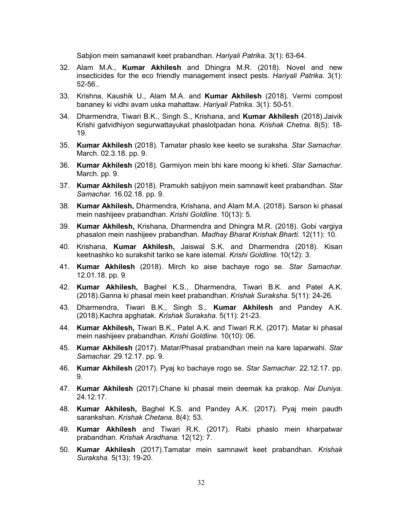Sabjion mein samanawit keet prabandhan. *Hariyali Patrika.* 3(1): 63-64.

- 32. Alam M.A., Kumar Akhilesh and Dhingra M.R. (2018). Novel and new insecticides for the eco friendly management insect pests. *Hariyali Patrika.* 3(1): 52-56..
- 33. Krishna, Kaushik U., Alam M.A. and Kumar Akhilesh (2018). Vermi compost bananey ki vidhi avam uska mahattaw. *Hariyali Patrika.* 3(1): 50-51.
- 34. Dharmendra, Tiwari B.K., Singh S., Krishana, and Kumar Akhilesh (2018).Jaivik Krishi gatvidhiyon segurwattayukat phaslotpadan hona. *Krishak Chetna.* 8(5): 18- 19.
- 35. Kumar Akhilesh (2018). Tamatar phaslo kee keeto se suraksha. *Star Samachar.*  March. 02.3.18. pp. 9.
- 36. Kumar Akhilesh (2018). Garmiyon mein bhi kare moong ki kheti. *Star Samachar.*  March. pp. 9.
- 37. Kumar Akhilesh (2018). Pramukh sabjiyon mein samnawit keet prabandhan. *Star Samachar.* 16.02.18. pp. 9.
- 38. Kumar Akhilesh, Dharmendra, Krishana, and Alam M.A. (2018). Sarson ki phasal mein nashijeev prabandhan. *Krishi Goldline.* 10(13): 5.
- 39. Kumar Akhilesh, Krishana, Dharmendra and Dhingra M.R. (2018). Gobi vargiya phasalon mein nashijeev prabandhan. *Madhay Bharat Krishak Bharti.* 12(11): 10.
- 40. Krishana, Kumar Akhilesh, Jaiswal S.K. and Dharmendra (2018). Kisan keetnashko ko surakshit tariko se kare istemal. *Krishi Goldline.* 10(12): 3.
- 41. Kumar Akhilesh (2018). Mirch ko aise bachaye rogo se. *Star Samachar.*  12.01.18. pp. 9.
- 42. Kumar Akhilesh, Baghel K.S., Dharmendra, Tiwari B.K. and Patel A.K. (2018).Ganna ki phasal mein keet prabandhan. *Krishak Suraksha.* 5(11): 24-26.
- 43. Dharmendra, Tiwari B.K., Singh S., Kumar Akhilesh and Pandey A.K. (2018).Kachra apghatak. *Krishak Suraksha.* 5(11): 21-23.
- 44. Kumar Akhilesh, Tiwari B.K., Patel A.K. and Tiwari R.K. (2017). Matar ki phasal mein nashijeev prabandhan. *Krishi Goldline.* 10(10): 06.
- 45. Kumar Akhilesh (2017). Matar/Phasal prabandhan mein na kare laparwahi. *Star Samachar.* 29.12.17. pp. 9.
- 46. Kumar Akhilesh (2017). Pyaj ko bachaye rogo se. *Star Samachar.* 22.12.17. pp. 9.
- 47. Kumar Akhilesh (2017).Chane ki phasal mein deemak ka prakop. *Nai Duniya.*  24.12.17.
- 48. Kumar Akhilesh, Baghel K.S. and Pandey A.K. (2017). Pyaj mein paudh sarankshan. *Krishak Chetana.* 8(4): 53.
- 49. Kumar Akhilesh and Tiwari R.K. (2017). Rabi phaslo mein kharpatwar prabandhan. *Krishak Aradhana.* 12(12): 7.
- 50. Kumar Akhilesh (2017).Tamatar mein samnawit keet prabandhan. *Krishak Suraksha.* 5(13): 19-20.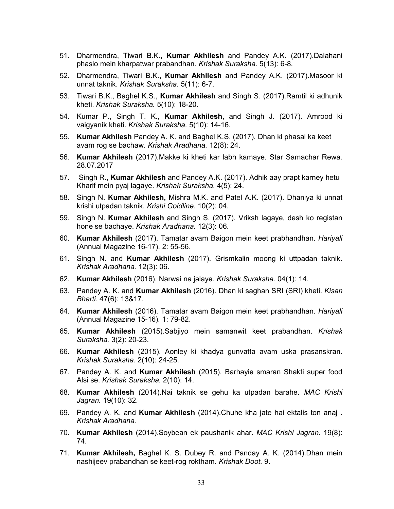- 51. Dharmendra, Tiwari B.K., Kumar Akhilesh and Pandey A.K. (2017).Dalahani phaslo mein kharpatwar prabandhan. *Krishak Suraksha.* 5(13): 6-8.
- 52. Dharmendra, Tiwari B.K., Kumar Akhilesh and Pandey A.K. (2017). Masoor ki unnat taknik. *Krishak Suraksha.* 5(11): 6-7.
- 53. Tiwari B.K., Baghel K.S., Kumar Akhilesh and Singh S. (2017). Ramtil ki adhunik kheti. *Krishak Suraksha.* 5(10): 18-20.
- 54. Kumar P., Singh T. K., Kumar Akhilesh, and Singh J. (2017). Amrood ki vaigyanik kheti. *Krishak Suraksha.* 5(10): 14-16.
- 55. Kumar Akhilesh Pandey A. K. and Baghel K.S. (2017). Dhan ki phasal ka keet avam rog se bachaw. *Krishak Aradhana.* 12(8): 24.
- 56. Kumar Akhilesh (2017).Makke ki kheti kar labh kamaye. Star Samachar Rewa*.*  28.07.2017
- 57. Singh R., Kumar Akhilesh and Pandey A.K. (2017). Adhik aay prapt karney hetu Kharif mein pyaj lagaye. *Krishak Suraksha.* 4(5): 24.
- 58. Singh N. Kumar Akhilesh, Mishra M.K. and Patel A.K. (2017). Dhaniya ki unnat krishi utpadan taknik. *Krishi Goldline.* 10(2): 04.
- 59. Singh N. Kumar Akhilesh and Singh S. (2017). Vriksh lagaye, desh ko registan hone se bachaye. *Krishak Aradhana.* 12(3): 06.
- 60. Kumar Akhilesh (2017). Tamatar avam Baigon mein keet prabhandhan. *Hariyali*  (Annual Magazine 16-17)*.* 2: 55-56.
- 61. Singh N. and Kumar Akhilesh (2017). Grismkalin moong ki uttpadan taknik. *Krishak Aradhana.* 12(3): 06.
- 62. Kumar Akhilesh (2016). Narwai na jalaye. *Krishak Suraksha.* 04(1): 14.
- 63. Pandey A. K. and Kumar Akhilesh (2016). Dhan ki saghan SRI (SRI) kheti. *Kisan Bharti.* 47(6): 13&17.
- 64. Kumar Akhilesh (2016). Tamatar avam Baigon mein keet prabhandhan. *Hariyali*  (Annual Magazine 15-16)*.* 1: 79-82.
- 65. Kumar Akhilesh (2015).Sabjiyo mein samanwit keet prabandhan. *Krishak Suraksha.* 3(2): 20-23.
- 66. Kumar Akhilesh (2015). Aonley ki khadya gunvatta avam uska prasanskran. *Krishak Suraksha.* 2(10): 24-25.
- 67. Pandey A. K. and Kumar Akhilesh (2015). Barhayie smaran Shakti super food Alsi se. *Krishak Suraksha.* 2(10): 14.
- 68. Kumar Akhilesh (2014).Nai taknik se gehu ka utpadan barahe. *MAC Krishi Jagran.* 19(10): 32.
- 69. Pandey A. K. and Kumar Akhilesh (2014).Chuhe kha jate hai ektalis ton anaj . *Krishak Aradhana.*
- 70. Kumar Akhilesh (2014).Soybean ek paushanik ahar. *MAC Krishi Jagran.* 19(8): 74.
- 71. Kumar Akhilesh, Baghel K. S. Dubey R. and Panday A. K. (2014). Dhan mein nashijeev prabandhan se keet-rog roktham. *Krishak Doot.* 9.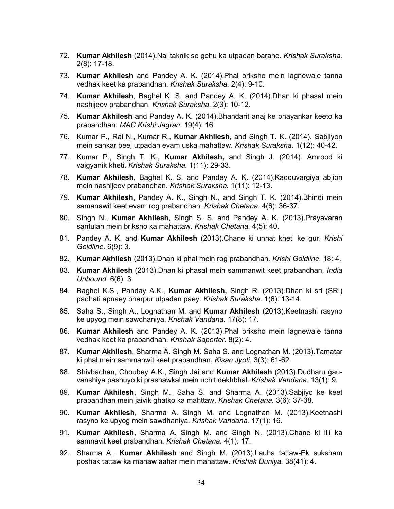- 72. Kumar Akhilesh (2014).Nai taknik se gehu ka utpadan barahe. *Krishak Suraksha.*  2(8): 17-18.
- 73. Kumar Akhilesh and Pandey A. K. (2014). Phal briksho mein lagnewale tanna vedhak keet ka prabandhan. *Krishak Suraksha.* 2(4): 9-10.
- 74. Kumar Akhilesh, Baghel K. S. and Pandey A. K. (2014). Dhan ki phasal mein nashijeev prabandhan. *Krishak Suraksha.* 2(3): 10-12.
- 75. Kumar Akhilesh and Pandey A. K. (2014).Bhandarit anaj ke bhayankar keeto ka prabandhan. *MAC Krishi Jagran.* 19(4): 16.
- 76. Kumar P., Rai N., Kumar R., Kumar Akhilesh, and Singh T. K. (2014). Sabjiyon mein sankar beej utpadan evam uska mahattaw. *Krishak Suraksha.* 1(12): 40-42.
- 77. Kumar P., Singh T. K., Kumar Akhilesh, and Singh J. (2014). Amrood ki vaigyanik kheti. *Krishak Suraksha.* 1(11): 29-33.
- 78. Kumar Akhilesh, Baghel K. S. and Pandey A. K. (2014).Kadduvargiya abjion mein nashijeev prabandhan. *Krishak Suraksha.* 1(11): 12-13.
- 79. Kumar Akhilesh, Pandey A. K., Singh N., and Singh T. K. (2014). Bhindi mein samanawit keet evam rog prabandhan. *Krishak Chetana.* 4(6): 36-37.
- 80. Singh N., Kumar Akhilesh, Singh S. S. and Pandey A. K. (2013).Prayavaran santulan mein briksho ka mahattaw. *Krishak Chetana.* 4(5): 40.
- 81. Pandey A. K. and Kumar Akhilesh (2013).Chane ki unnat kheti ke gur. *Krishi Goldline.* 6(9): 3.
- 82. Kumar Akhilesh (2013).Dhan ki phal mein rog prabandhan. *Krishi Goldline.* 18: 4.
- 83. Kumar Akhilesh (2013).Dhan ki phasal mein sammanwit keet prabandhan. *India Unbound.* 6(6): 3.
- 84. Baghel K.S., Panday A.K., Kumar Akhilesh, Singh R. (2013).Dhan ki sri (SRI) padhati apnaey bharpur utpadan paey. *Krishak Suraksha.* 1(6): 13-14.
- 85. Saha S., Singh A., Lognathan M. and Kumar Akhilesh (2013).Keetnashi rasyno ke upyog mein sawdhaniya. *Krishak Vandana.* 17(8): 17.
- 86. Kumar Akhilesh and Pandey A. K. (2013).Phal briksho mein lagnewale tanna vedhak keet ka prabandhan. *Krishak Saporter.* 8(2): 4.
- 87. Kumar Akhilesh, Sharma A. Singh M. Saha S. and Lognathan M. (2013).Tamatar ki phal mein sammanwit keet prabandhan. *Kisan Jyoti.* 3(3): 61-62.
- 88. Shivbachan, Choubey A.K., Singh Jai and Kumar Akhilesh (2013).Dudharu gauvanshiya pashuyo ki prashawkal mein uchit dekhbhal. *Krishak Vandana.* 13(1): 9.
- 89. Kumar Akhilesh, Singh M., Saha S. and Sharma A. (2013).Sabjiyo ke keet prabandhan mein jaivik ghatko ka mahttaw. *Krishak Chetana.* 3(6): 37-38.
- 90. Kumar Akhilesh, Sharma A. Singh M. and Lognathan M. (2013).Keetnashi rasyno ke upyog mein sawdhaniya. *Krishak Vandana.* 17(1): 16.
- 91. Kumar Akhilesh, Sharma A. Singh M. and Singh N. (2013).Chane ki illi ka samnavit keet prabandhan. *Krishak Chetana.* 4(1): 17.
- 92. Sharma A., Kumar Akhilesh and Singh M. (2013).Lauha tattaw-Ek suksham poshak tattaw ka manaw aahar mein mahattaw. *Krishak Duniya.* 38(41): 4.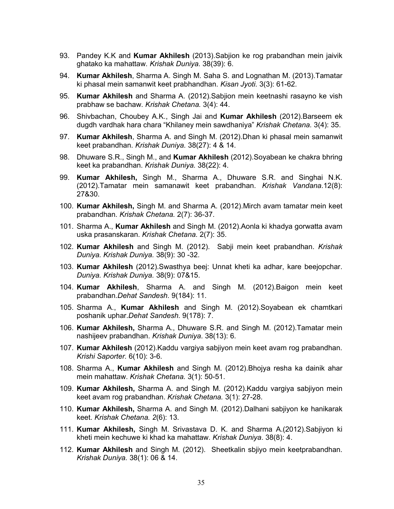- 93. Pandey K.K and Kumar Akhilesh (2013). Sabjion ke rog prabandhan mein jaivik ghatako ka mahattaw. *Krishak Duniya.* 38(39): 6.
- 94. **Kumar Akhilesh**, Sharma A. Singh M. Saha S. and Lognathan M. (2013). Tamatar ki phasal mein samanwit keet prabhandhan. *Kisan Jyoti.* 3(3): 61-62.
- 95. Kumar Akhilesh and Sharma A. (2012).Sabjion mein keetnashi rasayno ke vish prabhaw se bachaw. *Krishak Chetana.* 3(4): 44.
- 96. Shivbachan, Choubey A.K., Singh Jai and Kumar Akhilesh (2012). Barseem ek dugdh vardhak hara chara "Khilaney mein sawdhaniya" *Krishak Chetana.* 3(4): 35.
- 97. Kumar Akhilesh, Sharma A. and Singh M. (2012).Dhan ki phasal mein samanwit keet prabandhan. *Krishak Duniya.* 38(27): 4 & 14.
- 98. Dhuware S.R., Singh M., and Kumar Akhilesh (2012). Soyabean ke chakra bhring keet ka prabandhan. *Krishak Duniya.* 38(22): 4.
- 99. Kumar Akhilesh, Singh M., Sharma A., Dhuware S.R. and Singhai N.K. (2012).Tamatar mein samanawit keet prabandhan. *Krishak Vandana*.12(8): 27&30.
- 100. Kumar Akhilesh, Singh M. and Sharma A. (2012).Mirch avam tamatar mein keet prabandhan. *Krishak Chetana.* 2(7): 36-37.
- 101. Sharma A., Kumar Akhilesh and Singh M. (2012). Aonla ki khadya gorwatta avam uska prasanskaran. *Krishak Chetana.* 2(7): 35.
- 102. Kumar Akhilesh and Singh M. (2012). Sabji mein keet prabandhan. *Krishak Duniya. Krishak Duniya.* 38(9): 30 -32.
- 103. Kumar Akhilesh (2012).Swasthya beej: Unnat kheti ka adhar, kare beejopchar. *Duniya. Krishak Duniya.* 38(9): 07&15.
- 104. Kumar Akhilesh, Sharma A. and Singh M. (2012).Baigon mein keet prabandhan.*Dehat Sandesh*. 9(184): 11.
- 105. Sharma A., Kumar Akhilesh and Singh M. (2012).Soyabean ek chamtkari poshanik uphar.*Dehat Sandesh*. 9(178): 7.
- 106. Kumar Akhilesh, Sharma A., Dhuware S.R. and Singh M. (2012).Tamatar mein nashijeev prabandhan. *Krishak Duniya*. 38(13): 6.
- 107. Kumar Akhilesh (2012). Kaddu vargiya sabjiyon mein keet avam rog prabandhan. *Krishi Saporter.* 6(10): 3-6.
- 108. Sharma A., Kumar Akhilesh and Singh M. (2012).Bhojya resha ka dainik ahar mein mahattaw. *Krishak Chetana.* 3(1): 50-51.
- 109. Kumar Akhilesh, Sharma A. and Singh M. (2012).Kaddu vargiya sabjiyon mein keet avam rog prabandhan. *Krishak Chetana.* 3(1): 27-28.
- 110. Kumar Akhilesh, Sharma A. and Singh M. (2012).Dalhani sabjiyon ke hanikarak keet. *Krishak Chetana. 2*(6): 13.
- 111. Kumar Akhilesh, Singh M. Srivastava D. K. and Sharma A.(2012).Sabjiyon ki kheti mein kechuwe ki khad ka mahattaw. *Krishak Duniya*. 38(8): 4.
- 112. Kumar Akhilesh and Singh M. (2012). Sheetkalin sbjiyo mein keetprabandhan. *Krishak Duniya.* 38(1): 06 & 14.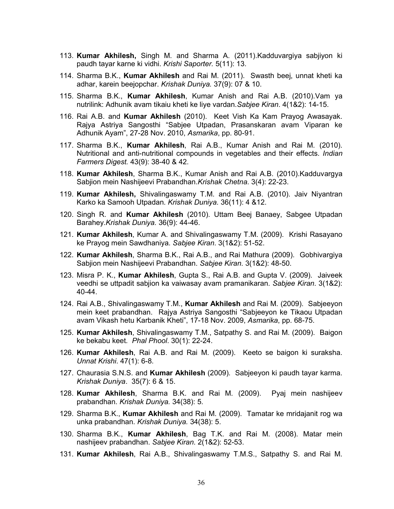- 113. Kumar Akhilesh, Singh M. and Sharma A. (2011). Kadduvargiya sabjiyon ki paudh tayar karne ki vidhi. *Krishi Saporter.* 5(11): 13.
- 114. Sharma B.K., Kumar Akhilesh and Rai M. (2011). Swasth beej, unnat kheti ka adhar, karein beejopchar. *Krishak Duniya.* 37(9): 07 & 10.
- 115. Sharma B.K., Kumar Akhilesh, Kumar Anish and Rai A.B. (2010).Vam ya nutrilink: Adhunik avam tikaiu kheti ke liye vardan.*Sabjee Kiran*. 4(1&2): 14-15.
- 116. Rai A.B. and Kumar Akhilesh (2010). Keet Vish Ka Kam Prayog Awasayak. Rajya Astriya Sangosthi "Sabjee Utpadan, Prasanskaran avam Viparan ke Adhunik Ayam", 27-28 Nov. 2010, *Asmarika*, pp. 80-91.
- 117. Sharma B.K., Kumar Akhilesh, Rai A.B., Kumar Anish and Rai M. (2010). Nutritional and anti-nutritional compounds in vegetables and their effects. *Indian Farmers Digest.* 43(9): 38-40 & 42.
- 118. Kumar Akhilesh, Sharma B.K., Kumar Anish and Rai A.B. (2010).Kadduvargya Sabjion mein Nashijeevi Prabandhan.*Krishak Chetna*. 3(4): 22-23.
- 119. Kumar Akhilesh, Shivalingaswamy T.M. and Rai A.B. (2010). Jaiv Niyantran Karko ka Samooh Utpadan. *Krishak Duniya.* 36(11): 4 &12.
- 120. Singh R. and Kumar Akhilesh (2010). Uttam Beej Banaey, Sabgee Utpadan Barahey.*Krishak Duniya.* 36(9): 44-46.
- 121. Kumar Akhilesh, Kumar A. and Shivalingaswamy T.M. (2009). Krishi Rasayano ke Prayog mein Sawdhaniya. *Sabjee Kiran*. 3(1&2): 51-52.
- 122. Kumar Akhilesh, Sharma B.K., Rai A.B., and Rai Mathura (2009). Gobhivargiya Sabjion mein Nashijeevi Prabandhan. *Sabjee Kiran*. 3(1&2): 48-50.
- 123. Misra P. K., Kumar Akhilesh, Gupta S., Rai A.B. and Gupta V. (2009). Jaiveek veedhi se uttpadit sabjion ka vaiwasay avam pramanikaran. *Sabjee Kiran*. 3(1&2): 40-44.
- 124. Rai A.B., Shivalingaswamy T.M., Kumar Akhilesh and Rai M. (2009). Sabjeeyon mein keet prabandhan. Rajya Astriya Sangosthi "Sabjeeyon ke Tikaou Utpadan avam Vikash hetu Karbanik Kheti", 17-18 Nov. 2009, *Asmarika*, pp. 68-75.
- 125. Kumar Akhilesh, Shivalingaswamy T.M., Satpathy S. and Rai M. (2009). Baigon ke bekabu keet*. Phal Phool*. 30(1): 22-24.
- 126. Kumar Akhilesh, Rai A.B. and Rai M. (2009). Keeto se baigon ki suraksha. *Unnat Krishi*. 47(1): 6-8.
- 127. Chaurasia S.N.S. and Kumar Akhilesh (2009). Sabjeeyon ki paudh tayar karma. *Krishak Duniya*. 35(7): 6 & 15.
- 128. Kumar Akhilesh, Sharma B.K. and Rai M. (2009). Pyaj mein nashijeev prabandhan. *Krishak Duniya.* 34(38): 5.
- 129. Sharma B.K., Kumar Akhilesh and Rai M. (2009). Tamatar ke mridajanit rog wa unka prabandhan. *Krishak Duniya.* 34(38): 5.
- 130. Sharma B.K., Kumar Akhilesh, Bag T.K. and Rai M. (2008). Matar mein nashijeev prabandhan. *Sabjee Kiran*. 2(1&2): 52-53.
- 131. Kumar Akhilesh, Rai A.B., Shivalingaswamy T.M.S., Satpathy S. and Rai M.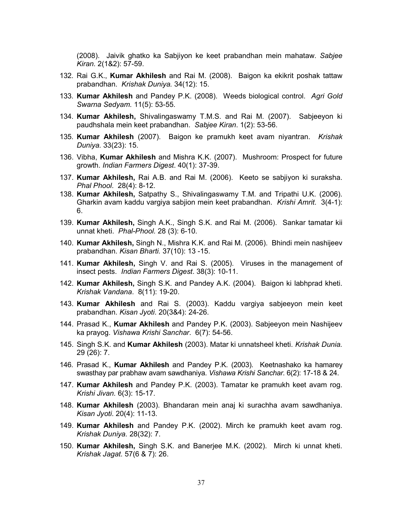(2008). Jaivik ghatko ka Sabjiyon ke keet prabandhan mein mahataw. *Sabjee Kiran*. 2(1&2): 57-59.

- 132. Rai G.K., Kumar Akhilesh and Rai M. (2008). Baigon ka ekikrit poshak tattaw prabandhan. *Krishak Duniya.* 34(12): 15.
- 133. Kumar Akhilesh and Pandey P.K. (2008). Weeds biological control. *Agri Gold Swarna Sedyam.* 11(5): 53-55.
- 134. Kumar Akhilesh, Shivalingaswamy T.M.S. and Rai M. (2007). Sabjeeyon ki paudhshala mein keet prabandhan. *Sabjee Kiran*. 1(2): 53-56.
- 135. Kumar Akhilesh (2007). Baigon ke pramukh keet avam niyantran. *Krishak Duniya.* 33(23): 15.
- 136. Vibha, Kumar Akhilesh and Mishra K.K. (2007). Mushroom: Prospect for future growth. *Indian Farmers Digest*. 40(1): 37-39.
- 137. Kumar Akhilesh, Rai A.B. and Rai M. (2006). Keeto se sabjiyon ki suraksha. *Phal Phool*. 28(4): 8-12.
- 138. Kumar Akhilesh, Satpathy S., Shivalingaswamy T.M. and Tripathi U.K. (2006). Gharkin avam kaddu vargiya sabjion mein keet prabandhan. *Krishi Amrit*. 3(4-1): 6.
- 139. Kumar Akhilesh, Singh A.K., Singh S.K. and Rai M. (2006). Sankar tamatar kii unnat kheti. *Phal-Phool.* 28 (3): 6-10.
- 140. Kumar Akhilesh, Singh N., Mishra K.K. and Rai M. (2006). Bhindi mein nashijeev prabandhan. *Kisan Bharti.* 37(10): 13 -15.
- 141. Kumar Akhilesh, Singh V. and Rai S. (2005). Viruses in the management of insect pests. *Indian Farmers Digest*. 38(3): 10-11.
- 142. Kumar Akhilesh, Singh S.K. and Pandey A.K. (2004). Baigon ki labhprad kheti. *Krishak Vandana*. 8(11): 19-20.
- 143. Kumar Akhilesh and Rai S. (2003). Kaddu vargiya sabjeeyon mein keet prabandhan. *Kisan Jyoti*. 20(3&4): 24-26.
- 144. Prasad K., Kumar Akhilesh and Pandey P.K. (2003). Sabjeeyon mein Nashijeev ka prayog. *Vishawa Krishi Sanchar*. 6(7): 54-56.
- 145. Singh S.K. and Kumar Akhilesh (2003). Matar ki unnatsheel kheti. *Krishak Dunia.*  29 (26): 7.
- 146. Prasad K., Kumar Akhilesh and Pandey P.K. (2003). Keetnashako ka hamarey swasthay par prabhaw avam sawdhaniya. *Vishawa Krishi Sanchar*. 6(2): 17-18 & 24.
- 147. Kumar Akhilesh and Pandey P.K. (2003). Tamatar ke pramukh keet avam rog. *Krishi Jivan.* 6(3): 15-17.
- 148. Kumar Akhilesh (2003). Bhandaran mein anaj ki surachha avam sawdhaniya. *Kisan Jyoti*. 20(4): 11-13.
- 149. Kumar Akhilesh and Pandey P.K. (2002). Mirch ke pramukh keet avam rog. *Krishak Duniya.* 28(32): 7.
- 150. Kumar Akhilesh, Singh S.K. and Banerjee M.K. (2002). Mirch ki unnat kheti. *Krishak Jagat*. 57(6 & 7): 26.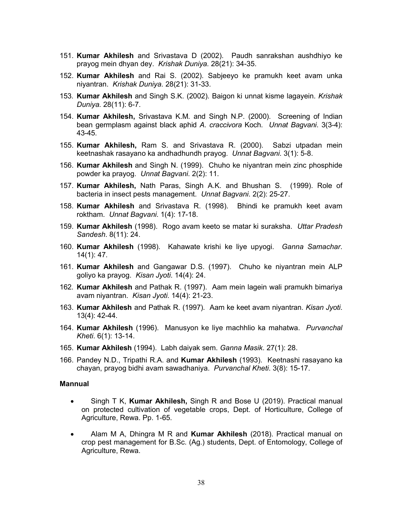- 151. Kumar Akhilesh and Srivastava D (2002). Paudh sanrakshan aushdhiyo ke prayog mein dhyan dey. *Krishak Duniya.* 28(21): 34-35.
- 152. **Kumar Akhilesh** and Rai S. (2002). Sabjeeyo ke pramukh keet avam unka niyantran. *Krishak Duniya*. 28(21): 31-33.
- 153. Kumar Akhilesh and Singh S.K. (2002). Baigon ki unnat kisme lagayein. *Krishak Duniya.* 28(11): 6-7.
- 154. Kumar Akhilesh, Srivastava K.M. and Singh N.P. (2000). Screening of Indian bean germplasm against black aphid *A. craccivora* Koch. *Unnat Bagvani*. 3(3-4): 43-45.
- 155. Kumar Akhilesh, Ram S. and Srivastava R. (2000). Sabzi utpadan mein keetnashak rasayano ka andhadhundh prayog. *Unnat Bagvani*. 3(1): 5-8.
- 156. Kumar Akhilesh and Singh N. (1999). Chuho ke niyantran mein zinc phosphide powder ka prayog. *Unnat Bagvani*. 2(2): 11.
- 157. Kumar Akhilesh, Nath Paras, Singh A.K. and Bhushan S. (1999). Role of bacteria in insect pests management. *Unnat Bagvani*. 2(2): 25-27.
- 158. Kumar Akhilesh and Srivastava R. (1998). Bhindi ke pramukh keet avam roktham. *Unnat Bagvani*. 1(4): 17-18.
- 159. Kumar Akhilesh (1998). Rogo avam keeto se matar ki suraksha. *Uttar Pradesh Sandesh*. 8(11): 24.
- 160. Kumar Akhilesh (1998). Kahawate krishi ke liye upyogi. *Ganna Samachar*. 14(1): 47.
- 161. Kumar Akhilesh and Gangawar D.S. (1997). Chuho ke niyantran mein ALP goliyo ka prayog. *Kisan Jyoti*. 14(4): 24.
- 162. Kumar Akhilesh and Pathak R. (1997). Aam mein lagein wali pramukh bimariya avam niyantran. *Kisan Jyoti*. 14(4): 21-23.
- 163. Kumar Akhilesh and Pathak R. (1997). Aam ke keet avam niyantran. *Kisan Jyoti*. 13(4): 42-44.
- 164. Kumar Akhilesh (1996). Manusyon ke liye machhlio ka mahatwa. *Purvanchal Kheti*. 6(1): 13-14.
- 165. Kumar Akhilesh (1994). Labh daiyak sem. *Ganna Masik*. 27(1): 28.
- 166. Pandey N.D., Tripathi R.A. and Kumar Akhilesh (1993). Keetnashi rasayano ka chayan, prayog bidhi avam sawadhaniya. *Purvanchal Kheti*. 3(8): 15-17.

#### Mannual

- Singh T K, Kumar Akhilesh, Singh R and Bose U (2019). Practical manual on protected cultivation of vegetable crops, Dept. of Horticulture, College of Agriculture, Rewa. Pp. 1-65.
- Alam M A, Dhingra M R and Kumar Akhilesh (2018). Practical manual on crop pest management for B.Sc. (Ag.) students, Dept. of Entomology, College of Agriculture, Rewa.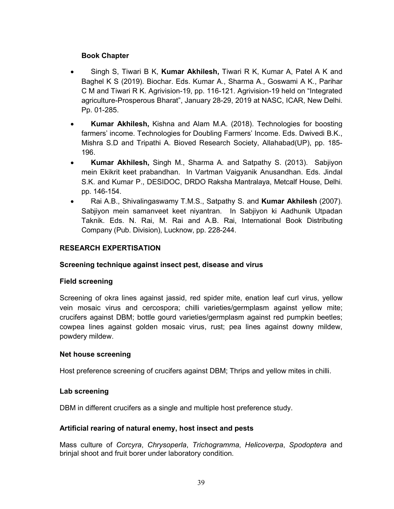## Book Chapter

- Singh S, Tiwari B K, Kumar Akhilesh, Tiwari R K, Kumar A, Patel A K and Baghel K S (2019). Biochar. Eds. Kumar A., Sharma A., Goswami A K., Parihar C M and Tiwari R K. Agrivision-19, pp. 116-121. Agrivision-19 held on "Integrated agriculture-Prosperous Bharat", January 28-29, 2019 at NASC, ICAR, New Delhi. Pp. 01-285.
- Kumar Akhilesh, Kishna and Alam M.A. (2018). Technologies for boosting farmers' income. Technologies for Doubling Farmers' Income. Eds. Dwivedi B.K., Mishra S.D and Tripathi A. Bioved Research Society, Allahabad(UP), pp. 185- 196.
- Kumar Akhilesh, Singh M., Sharma A. and Satpathy S. (2013). Sabjiyon mein Ekikrit keet prabandhan. In Vartman Vaigyanik Anusandhan. Eds. Jindal S.K. and Kumar P., DESIDOC, DRDO Raksha Mantralaya, Metcalf House, Delhi. pp. 146-154.
- Rai A.B., Shivalingaswamy T.M.S., Satpathy S. and Kumar Akhilesh (2007). Sabjiyon mein samanveet keet niyantran. In Sabjiyon ki Aadhunik Utpadan Taknik. Eds. N. Rai, M. Rai and A.B. Rai, International Book Distributing Company (Pub. Division), Lucknow, pp. 228-244.

# RESEARCH EXPERTISATION

## Screening technique against insect pest, disease and virus

### Field screening

Screening of okra lines against jassid, red spider mite, enation leaf curl virus, yellow vein mosaic virus and cercospora; chilli varieties/germplasm against yellow mite; crucifers against DBM; bottle gourd varieties/germplasm against red pumpkin beetles; cowpea lines against golden mosaic virus, rust; pea lines against downy mildew, powdery mildew.

### Net house screening

Host preference screening of crucifers against DBM; Thrips and yellow mites in chilli.

## Lab screening

DBM in different crucifers as a single and multiple host preference study.

## Artificial rearing of natural enemy, host insect and pests

Mass culture of *Corcyra*, *Chrysoperla*, *Trichogramma*, *Helicoverpa*, *Spodoptera* and brinjal shoot and fruit borer under laboratory condition.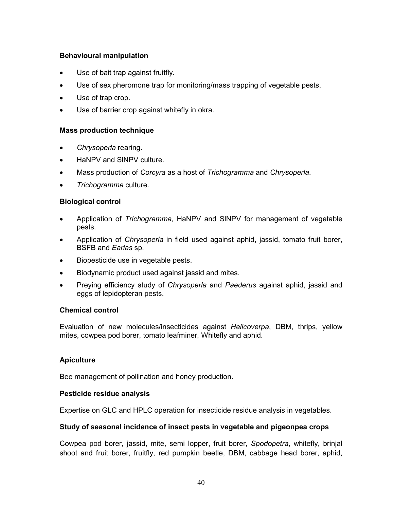### Behavioural manipulation

- Use of bait trap against fruitfly.
- Use of sex pheromone trap for monitoring/mass trapping of vegetable pests.
- Use of trap crop.
- Use of barrier crop against whitefly in okra.

#### Mass production technique

- *Chrysoperla* rearing.
- HaNPV and SINPV culture.
- Mass production of *Corcyra* as a host of *Trichogramma* and *Chrysoperla*.
- *Trichogramma* culture.

### Biological control

- Application of *Trichogramma*, HaNPV and SlNPV for management of vegetable pests.
- Application of *Chrysoperla* in field used against aphid, jassid, tomato fruit borer, BSFB and *Earias* sp.
- Biopesticide use in vegetable pests.
- Biodynamic product used against jassid and mites.
- Preying efficiency study of *Chrysoperla* and *Paederus* against aphid, jassid and eggs of lepidopteran pests.

### Chemical control

Evaluation of new molecules/insecticides against *Helicoverpa*, DBM, thrips, yellow mites, cowpea pod borer, tomato leafminer, Whitefly and aphid.

### **Apiculture**

Bee management of pollination and honey production.

#### Pesticide residue analysis

Expertise on GLC and HPLC operation for insecticide residue analysis in vegetables.

#### Study of seasonal incidence of insect pests in vegetable and pigeonpea crops

Cowpea pod borer, jassid, mite, semi lopper, fruit borer, *Spodopetra*, whitefly, brinjal shoot and fruit borer, fruitfly, red pumpkin beetle, DBM, cabbage head borer, aphid,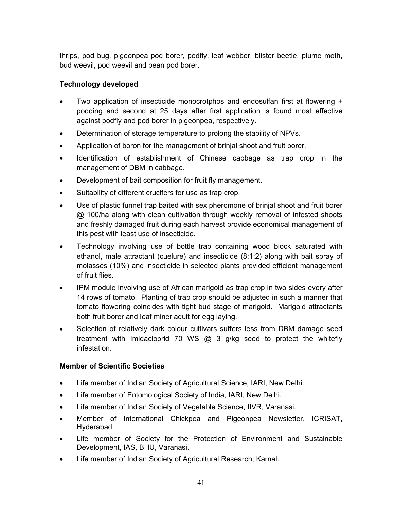thrips, pod bug, pigeonpea pod borer, podfly, leaf webber, blister beetle, plume moth, bud weevil, pod weevil and bean pod borer.

# Technology developed

- Two application of insecticide monocrotphos and endosulfan first at flowering + podding and second at 25 days after first application is found most effective against podfly and pod borer in pigeonpea, respectively.
- Determination of storage temperature to prolong the stability of NPVs.
- Application of boron for the management of brinjal shoot and fruit borer.
- Identification of establishment of Chinese cabbage as trap crop in the management of DBM in cabbage.
- Development of bait composition for fruit fly management.
- Suitability of different crucifers for use as trap crop.
- Use of plastic funnel trap baited with sex pheromone of brinjal shoot and fruit borer @ 100/ha along with clean cultivation through weekly removal of infested shoots and freshly damaged fruit during each harvest provide economical management of this pest with least use of insecticide.
- Technology involving use of bottle trap containing wood block saturated with ethanol, male attractant (cuelure) and insecticide (8:1:2) along with bait spray of molasses (10%) and insecticide in selected plants provided efficient management of fruit flies.
- IPM module involving use of African marigold as trap crop in two sides every after 14 rows of tomato. Planting of trap crop should be adjusted in such a manner that tomato flowering coincides with tight bud stage of marigold. Marigold attractants both fruit borer and leaf miner adult for egg laying.
- Selection of relatively dark colour cultivars suffers less from DBM damage seed treatment with Imidacloprid 70 WS @ 3 g/kg seed to protect the whitefly infestation.

## Member of Scientific Societies

- Life member of Indian Society of Agricultural Science, IARI, New Delhi.
- Life member of Entomological Society of India, IARI, New Delhi.
- Life member of Indian Society of Vegetable Science, IIVR, Varanasi.
- Member of International Chickpea and Pigeonpea Newsletter, ICRISAT, Hyderabad.
- Life member of Society for the Protection of Environment and Sustainable Development, IAS, BHU, Varanasi.
- Life member of Indian Society of Agricultural Research, Karnal.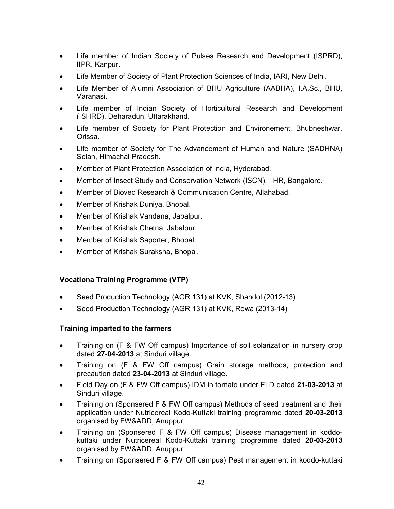- Life member of Indian Society of Pulses Research and Development (ISPRD), IIPR, Kanpur.
- Life Member of Society of Plant Protection Sciences of India, IARI, New Delhi.
- Life Member of Alumni Association of BHU Agriculture (AABHA), I.A.Sc., BHU, Varanasi.
- Life member of Indian Society of Horticultural Research and Development (ISHRD), Deharadun, Uttarakhand.
- Life member of Society for Plant Protection and Environement, Bhubneshwar, Orissa.
- Life member of Society for The Advancement of Human and Nature (SADHNA) Solan, Himachal Pradesh.
- Member of Plant Protection Association of India, Hyderabad.
- Member of Insect Study and Conservation Network (ISCN), IIHR, Bangalore.
- Member of Bioved Research & Communication Centre, Allahabad.
- Member of Krishak Duniya, Bhopal.
- Member of Krishak Vandana, Jabalpur.
- Member of Krishak Chetna, Jabalpur.
- Member of Krishak Saporter, Bhopal.
- Member of Krishak Suraksha, Bhopal.

### Vocationa Training Programme (VTP)

- Seed Production Technology (AGR 131) at KVK, Shahdol (2012-13)
- Seed Production Technology (AGR 131) at KVK, Rewa (2013-14)

### Training imparted to the farmers

- Training on (F & FW Off campus) Importance of soil solarization in nursery crop dated 27-04-2013 at Sinduri village.
- Training on (F & FW Off campus) Grain storage methods, protection and precaution dated 23-04-2013 at Sinduri village.
- Field Day on (F & FW Off campus) IDM in tomato under FLD dated 21-03-2013 at Sinduri village.
- Training on (Sponsered F & FW Off campus) Methods of seed treatment and their application under Nutricereal Kodo-Kuttaki training programme dated 20-03-2013 organised by FW&ADD, Anuppur.
- Training on (Sponsered F & FW Off campus) Disease management in koddokuttaki under Nutricereal Kodo-Kuttaki training programme dated 20-03-2013 organised by FW&ADD, Anuppur.
- Training on (Sponsered F & FW Off campus) Pest management in koddo-kuttaki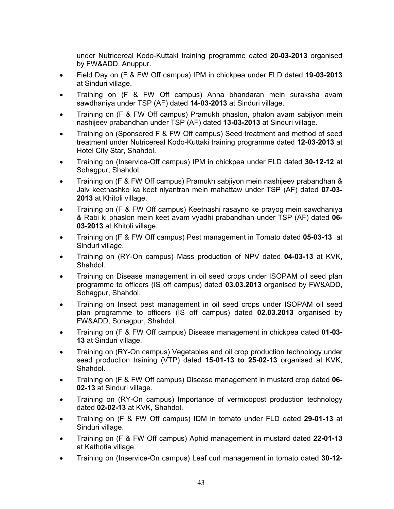under Nutricereal Kodo-Kuttaki training programme dated 20-03-2013 organised by FW&ADD, Anuppur.

- Field Day on (F & FW Off campus) IPM in chickpea under FLD dated 19-03-2013 at Sinduri village.
- Training on (F & FW Off campus) Anna bhandaran mein suraksha avam sawdhaniya under TSP (AF) dated 14-03-2013 at Sinduri village.
- Training on (F & FW Off campus) Pramukh phaslon, phalon avam sabjiyon mein nashijeev prabandhan under TSP (AF) dated 13-03-2013 at Sinduri village.
- Training on (Sponsered F & FW Off campus) Seed treatment and method of seed treatment under Nutricereal Kodo-Kuttaki training programme dated 12-03-2013 at Hotel City Star, Shahdol.
- Training on (Inservice-Off campus) IPM in chickpea under FLD dated 30-12-12 at Sohagpur, Shahdol.
- Training on (F & FW Off campus) Pramukh sabjiyon mein nashijeev prabandhan & Jaiv keetnashko ka keet niyantran mein mahattaw under TSP (AF) dated 07-03- 2013 at Khitoli village.
- Training on (F & FW Off campus) Keetnashi rasayno ke prayog mein sawdhaniya & Rabi ki phaslon mein keet avam vyadhi prabandhan under TSP (AF) dated 06- 03-2013 at Khitoli village.
- Training on (F & FW Off campus) Pest management in Tomato dated 05-03-13 at Sinduri village.
- Training on (RY-On campus) Mass production of NPV dated 04-03-13 at KVK, Shahdol.
- Training on Disease management in oil seed crops under ISOPAM oil seed plan programme to officers (IS off campus) dated 03.03.2013 organised by FW&ADD, Sohagpur, Shahdol.
- Training on Insect pest management in oil seed crops under ISOPAM oil seed plan programme to officers (IS off campus) dated 02.03.2013 organised by FW&ADD, Sohagpur, Shahdol.
- Training on (F & FW Off campus) Disease management in chickpea dated 01-03- 13 at Sinduri village.
- Training on (RY-On campus) Vegetables and oil crop production technology under seed production training (VTP) dated 15-01-13 to 25-02-13 organised at KVK, Shahdol.
- Training on (F & FW Off campus) Disease management in mustard crop dated 06- 02-13 at Sinduri village.
- Training on (RY-On campus) Importance of vermicopost production technology dated 02-02-13 at KVK, Shahdol.
- Training on (F & FW Off campus) IDM in tomato under FLD dated 29-01-13 at Sinduri village.
- Training on (F & FW Off campus) Aphid management in mustard dated 22-01-13 at Kathotia village.
- Training on (Inservice-On campus) Leaf curl management in tomato dated 30-12-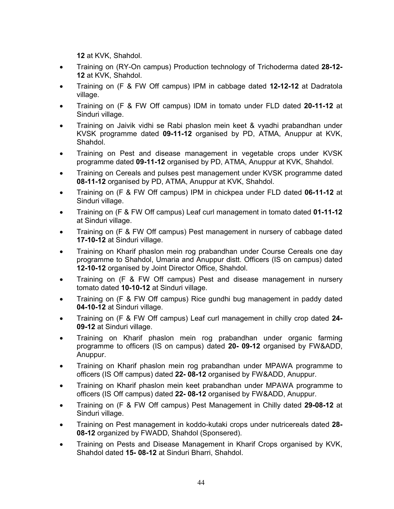12 at KVK, Shahdol.

- Training on (RY-On campus) Production technology of Trichoderma dated 28-12-12 at KVK, Shahdol.
- Training on (F & FW Off campus) IPM in cabbage dated 12-12-12 at Dadratola village.
- Training on (F & FW Off campus) IDM in tomato under FLD dated 20-11-12 at Sinduri village.
- Training on Jaivik vidhi se Rabi phaslon mein keet & vyadhi prabandhan under KVSK programme dated 09-11-12 organised by PD, ATMA, Anuppur at KVK, Shahdol.
- Training on Pest and disease management in vegetable crops under KVSK programme dated 09-11-12 organised by PD, ATMA, Anuppur at KVK, Shahdol.
- Training on Cereals and pulses pest management under KVSK programme dated 08-11-12 organised by PD, ATMA, Anuppur at KVK, Shahdol.
- Training on (F & FW Off campus) IPM in chickpea under FLD dated 06-11-12 at Sinduri village.
- Training on (F & FW Off campus) Leaf curl management in tomato dated 01-11-12 at Sinduri village.
- Training on (F & FW Off campus) Pest management in nursery of cabbage dated 17-10-12 at Sinduri village.
- Training on Kharif phaslon mein rog prabandhan under Course Cereals one day programme to Shahdol, Umaria and Anuppur distt. Officers (IS on campus) dated 12-10-12 organised by Joint Director Office, Shahdol.
- Training on (F & FW Off campus) Pest and disease management in nursery tomato dated 10-10-12 at Sinduri village.
- Training on (F & FW Off campus) Rice gundhi bug management in paddy dated 04-10-12 at Sinduri village.
- Training on (F & FW Off campus) Leaf curl management in chilly crop dated 24- 09-12 at Sinduri village.
- Training on Kharif phaslon mein rog prabandhan under organic farming programme to officers (IS on campus) dated 20- 09-12 organised by FW&ADD, Anuppur.
- Training on Kharif phaslon mein rog prabandhan under MPAWA programme to officers (IS Off campus) dated 22- 08-12 organised by FW&ADD, Anuppur.
- Training on Kharif phaslon mein keet prabandhan under MPAWA programme to officers (IS Off campus) dated 22- 08-12 organised by FW&ADD, Anuppur.
- Training on (F & FW Off campus) Pest Management in Chilly dated 29-08-12 at Sinduri village.
- Training on Pest management in koddo-kutaki crops under nutricereals dated 28- 08-12 organized by FWADD, Shahdol (Sponsered).
- Training on Pests and Disease Management in Kharif Crops organised by KVK, Shahdol dated 15- 08-12 at Sinduri Bharri, Shahdol.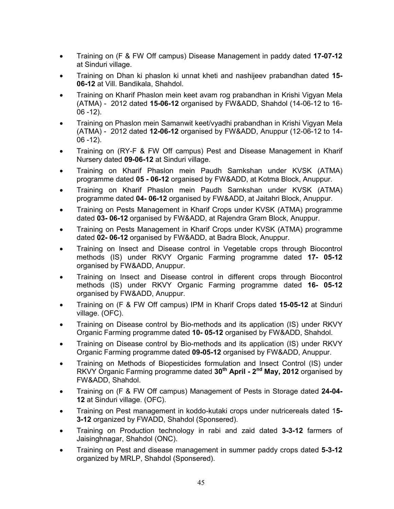- Training on (F & FW Off campus) Disease Management in paddy dated 17-07-12 at Sinduri village.
- Training on Dhan ki phaslon ki unnat kheti and nashijeev prabandhan dated 15-06-12 at Vill. Bandikala, Shahdol.
- Training on Kharif Phaslon mein keet avam rog prabandhan in Krishi Vigyan Mela (ATMA) - 2012 dated 15-06-12 organised by FW&ADD, Shahdol (14-06-12 to 16- 06 -12).
- Training on Phaslon mein Samanwit keet/vyadhi prabandhan in Krishi Vigyan Mela (ATMA) - 2012 dated 12-06-12 organised by FW&ADD, Anuppur (12-06-12 to 14- 06 -12).
- Training on (RY-F & FW Off campus) Pest and Disease Management in Kharif Nursery dated 09-06-12 at Sinduri village.
- Training on Kharif Phaslon mein Paudh Sarnkshan under KVSK (ATMA) programme dated 05 - 06-12 organised by FW&ADD, at Kotma Block, Anuppur.
- Training on Kharif Phaslon mein Paudh Sarnkshan under KVSK (ATMA) programme dated 04- 06-12 organised by FW&ADD, at Jaitahri Block, Anuppur.
- Training on Pests Management in Kharif Crops under KVSK (ATMA) programme dated 03- 06-12 organised by FW&ADD, at Rajendra Gram Block, Anuppur.
- Training on Pests Management in Kharif Crops under KVSK (ATMA) programme dated 02- 06-12 organised by FW&ADD, at Badra Block, Anuppur.
- Training on Insect and Disease control in Vegetable crops through Biocontrol methods (IS) under RKVY Organic Farming programme dated 17- 05-12 organised by FW&ADD, Anuppur.
- Training on Insect and Disease control in different crops through Biocontrol methods (IS) under RKVY Organic Farming programme dated 16- 05-12 organised by FW&ADD, Anuppur.
- Training on (F & FW Off campus) IPM in Kharif Crops dated 15-05-12 at Sinduri village. (OFC).
- Training on Disease control by Bio-methods and its application (IS) under RKVY Organic Farming programme dated 10- 05-12 organised by FW&ADD, Shahdol.
- Training on Disease control by Bio-methods and its application (IS) under RKVY Organic Farming programme dated 09-05-12 organised by FW&ADD, Anuppur.
- Training on Methods of Biopesticides formulation and Insect Control (IS) under RKVY Organic Farming programme dated 30<sup>th</sup> April - 2<sup>nd</sup> May, 2012 organised by FW&ADD, Shahdol.
- Training on (F & FW Off campus) Management of Pests in Storage dated 24-04- 12 at Sinduri village. (OFC).
- Training on Pest management in koddo-kutaki crops under nutricereals dated 15- 3-12 organized by FWADD, Shahdol (Sponsered).
- Training on Production technology in rabi and zaid dated 3-3-12 farmers of Jaisinghnagar, Shahdol (ONC).
- Training on Pest and disease management in summer paddy crops dated 5-3-12 organized by MRLP, Shahdol (Sponsered).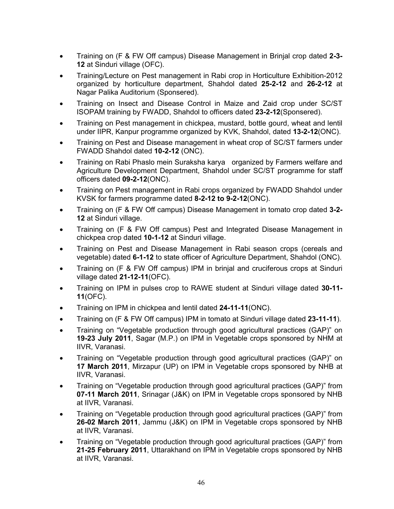- Training on (F & FW Off campus) Disease Management in Brinjal crop dated 2-3-12 at Sinduri village (OFC).
- Training/Lecture on Pest management in Rabi crop in Horticulture Exhibition-2012 organized by horticulture department, Shahdol dated 25-2-12 and 26-2-12 at Nagar Palika Auditorium (Sponsered).
- Training on Insect and Disease Control in Maize and Zaid crop under SC/ST ISOPAM training by FWADD, Shahdol to officers dated 23-2-12(Sponsered).
- Training on Pest management in chickpea, mustard, bottle gourd, wheat and lentil under IIPR, Kanpur programme organized by KVK, Shahdol, dated 13-2-12(ONC).
- Training on Pest and Disease management in wheat crop of SC/ST farmers under FWADD Shahdol dated 10-2-12 (ONC).
- Training on Rabi Phaslo mein Suraksha karya organized by Farmers welfare and Agriculture Development Department, Shahdol under SC/ST programme for staff officers dated 09-2-12(ONC).
- Training on Pest management in Rabi crops organized by FWADD Shahdol under KVSK for farmers programme dated 8-2-12 to 9-2-12(ONC).
- Training on (F & FW Off campus) Disease Management in tomato crop dated 3-2-12 at Sinduri village.
- Training on (F & FW Off campus) Pest and Integrated Disease Management in chickpea crop dated 10-1-12 at Sinduri village.
- Training on Pest and Disease Management in Rabi season crops (cereals and vegetable) dated 6-1-12 to state officer of Agriculture Department, Shahdol (ONC).
- Training on (F & FW Off campus) IPM in brinjal and cruciferous crops at Sinduri village dated 21-12-11(OFC).
- Training on IPM in pulses crop to RAWE student at Sinduri village dated 30-11- 11(OFC).
- Training on IPM in chickpea and lentil dated 24-11-11(ONC).
- Training on (F & FW Off campus) IPM in tomato at Sinduri village dated 23-11-11).
- Training on "Vegetable production through good agricultural practices (GAP)" on 19-23 July 2011, Sagar (M.P.) on IPM in Vegetable crops sponsored by NHM at IIVR, Varanasi.
- Training on "Vegetable production through good agricultural practices (GAP)" on 17 March 2011, Mirzapur (UP) on IPM in Vegetable crops sponsored by NHB at IIVR, Varanasi.
- Training on "Vegetable production through good agricultural practices (GAP)" from 07-11 March 2011, Srinagar (J&K) on IPM in Vegetable crops sponsored by NHB at IIVR, Varanasi.
- Training on "Vegetable production through good agricultural practices (GAP)" from 26-02 March 2011, Jammu (J&K) on IPM in Vegetable crops sponsored by NHB at IIVR, Varanasi.
- Training on "Vegetable production through good agricultural practices (GAP)" from 21-25 February 2011, Uttarakhand on IPM in Vegetable crops sponsored by NHB at IIVR, Varanasi.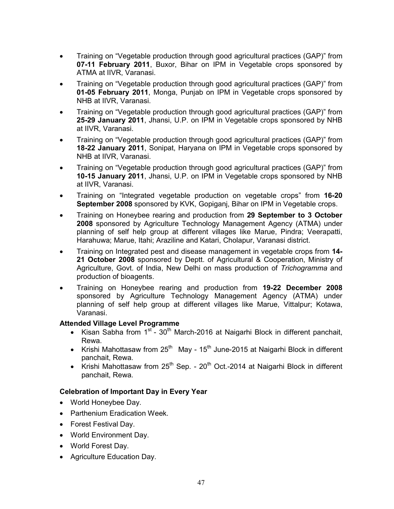- Training on "Vegetable production through good agricultural practices (GAP)" from 07-11 February 2011, Buxor, Bihar on IPM in Vegetable crops sponsored by ATMA at IIVR, Varanasi.
- Training on "Vegetable production through good agricultural practices (GAP)" from 01-05 February 2011, Monga, Punjab on IPM in Vegetable crops sponsored by NHB at IIVR, Varanasi.
- Training on "Vegetable production through good agricultural practices (GAP)" from 25-29 January 2011, Jhansi, U.P. on IPM in Vegetable crops sponsored by NHB at IIVR, Varanasi.
- Training on "Vegetable production through good agricultural practices (GAP)" from 18-22 January 2011, Sonipat, Haryana on IPM in Vegetable crops sponsored by NHB at IIVR, Varanasi.
- Training on "Vegetable production through good agricultural practices (GAP)" from 10-15 January 2011, Jhansi, U.P. on IPM in Vegetable crops sponsored by NHB at IIVR, Varanasi.
- Training on "Integrated vegetable production on vegetable crops" from 16-20 September 2008 sponsored by KVK, Gopiganj, Bihar on IPM in Vegetable crops.
- Training on Honeybee rearing and production from 29 September to 3 October 2008 sponsored by Agriculture Technology Management Agency (ATMA) under planning of self help group at different villages like Marue, Pindra; Veerapatti, Harahuwa; Marue, Itahi; Araziline and Katari, Cholapur, Varanasi district.
- Training on Integrated pest and disease management in vegetable crops from 14-21 October 2008 sponsored by Deptt. of Agricultural & Cooperation, Ministry of Agriculture, Govt. of India, New Delhi on mass production of *Trichogramma* and production of bioagents.
- Training on Honeybee rearing and production from 19-22 December 2008 sponsored by Agriculture Technology Management Agency (ATMA) under planning of self help group at different villages like Marue, Vittalpur; Kotawa, Varanasi.

### Attended Village Level Programme

- Kisan Sabha from  $1^{st}$   $30^{th}$  March-2016 at Naigarhi Block in different panchait, Rewa.
- Krishi Mahottasaw from  $25<sup>th</sup>$  May 15<sup>th</sup> June-2015 at Naigarhi Block in different panchait, Rewa.
- Krishi Mahottasaw from  $25<sup>th</sup>$  Sep.  $20<sup>th</sup>$  Oct.-2014 at Naigarhi Block in different panchait, Rewa.

## Celebration of Important Day in Every Year

- World Honeybee Day.
- Parthenium Eradication Week.
- Forest Festival Day.
- World Environment Day.
- World Forest Day.
- Agriculture Education Day.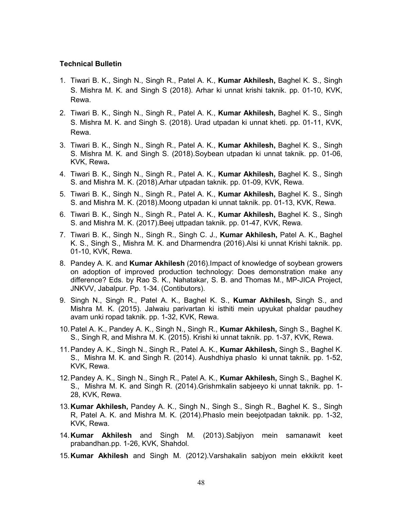### Technical Bulletin

- 1. Tiwari B. K., Singh N., Singh R., Patel A. K., Kumar Akhilesh, Baghel K. S., Singh S. Mishra M. K. and Singh S (2018). Arhar ki unnat krishi taknik. pp. 01-10, KVK, Rewa.
- 2. Tiwari B. K., Singh N., Singh R., Patel A. K., Kumar Akhilesh, Baghel K. S., Singh S. Mishra M. K. and Singh S. (2018). Urad utpadan ki unnat kheti. pp. 01-11, KVK, Rewa.
- 3. Tiwari B. K., Singh N., Singh R., Patel A. K., Kumar Akhilesh, Baghel K. S., Singh S. Mishra M. K. and Singh S. (2018).Soybean utpadan ki unnat taknik. pp. 01-06, KVK, Rewa.
- 4. Tiwari B. K., Singh N., Singh R., Patel A. K., Kumar Akhilesh, Baghel K. S., Singh S. and Mishra M. K. (2018).Arhar utpadan taknik. pp. 01-09, KVK, Rewa.
- 5. Tiwari B. K., Singh N., Singh R., Patel A. K., Kumar Akhilesh, Baghel K. S., Singh S. and Mishra M. K. (2018).Moong utpadan ki unnat taknik. pp. 01-13, KVK, Rewa.
- 6. Tiwari B. K., Singh N., Singh R., Patel A. K., Kumar Akhilesh, Baghel K. S., Singh S. and Mishra M. K. (2017).Beej uttpadan taknik. pp. 01-47, KVK, Rewa.
- 7. Tiwari B. K., Singh N., Singh R., Singh C. J., Kumar Akhilesh, Patel A. K., Baghel K. S., Singh S., Mishra M. K. and Dharmendra (2016).Alsi ki unnat Krishi taknik. pp. 01-10, KVK, Rewa.
- 8. Pandey A. K. and **Kumar Akhilesh** (2016). Impact of knowledge of soybean growers on adoption of improved production technology: Does demonstration make any difference? Eds. by Rao S. K., Nahatakar, S. B. and Thomas M., MP-JICA Project, JNKVV, Jabalpur. Pp. 1-34. (Contibutors).
- 9. Singh N., Singh R., Patel A. K., Baghel K. S., Kumar Akhilesh, Singh S., and Mishra M. K. (2015). Jalwaiu parivartan ki isthiti mein upyukat phaldar paudhey avam unki ropad taknik. pp. 1-32, KVK, Rewa.
- 10.Patel A. K., Pandey A. K., Singh N., Singh R., Kumar Akhilesh, Singh S., Baghel K. S., Singh R, and Mishra M. K. (2015). Krishi ki unnat taknik. pp. 1-37, KVK, Rewa.
- 11. Pandey A. K., Singh N., Singh R., Patel A. K., Kumar Akhilesh, Singh S., Baghel K. S., Mishra M. K. and Singh R. (2014). Aushdhiya phaslo ki unnat taknik. pp. 1-52, KVK, Rewa.
- 12.Pandey A. K., Singh N., Singh R., Patel A. K., Kumar Akhilesh, Singh S., Baghel K. S., Mishra M. K. and Singh R. (2014).Grishmkalin sabjeeyo ki unnat taknik. pp. 1- 28, KVK, Rewa.
- 13.Kumar Akhilesh, Pandey A. K., Singh N., Singh S., Singh R., Baghel K. S., Singh R, Patel A. K. and Mishra M. K. (2014).Phaslo mein beejotpadan taknik. pp. 1-32, KVK, Rewa.
- 14.Kumar Akhilesh and Singh M. (2013).Sabjiyon mein samanawit keet prabandhan.pp. 1-26, KVK, Shahdol.
- 15.Kumar Akhilesh and Singh M. (2012).Varshakalin sabjyon mein ekkikrit keet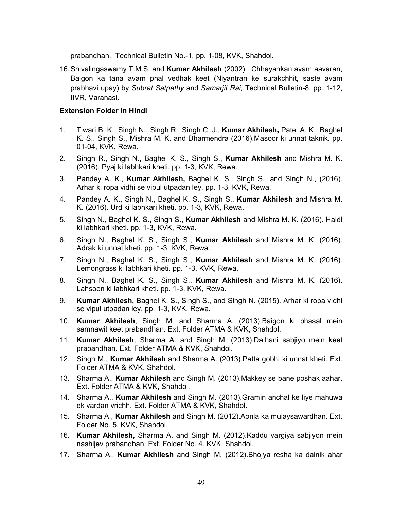prabandhan. Technical Bulletin No.-1, pp. 1-08, KVK, Shahdol.

16.Shivalingaswamy T.M.S. and Kumar Akhilesh (2002). Chhayankan avam aavaran, Baigon ka tana avam phal vedhak keet (Niyantran ke surakchhit, saste avam prabhavi upay) by *Subrat Satpathy* and *Samarjit Rai,* Technical Bulletin-8, pp. 1-12, IIVR, Varanasi.

### Extension Folder in Hindi

- 1. Tiwari B. K., Singh N., Singh R., Singh C. J., Kumar Akhilesh, Patel A. K., Baghel K. S., Singh S., Mishra M. K. and Dharmendra (2016).Masoor ki unnat taknik. pp. 01-04, KVK, Rewa.
- 2. Singh R., Singh N., Baghel K. S., Singh S., Kumar Akhilesh and Mishra M. K. (2016). Pyaj ki labhkari kheti. pp. 1-3, KVK, Rewa.
- 3. Pandey A. K., Kumar Akhilesh, Baghel K. S., Singh S., and Singh N., (2016). Arhar ki ropa vidhi se vipul utpadan ley. pp. 1-3, KVK, Rewa.
- 4. Pandey A. K., Singh N., Baghel K. S., Singh S., Kumar Akhilesh and Mishra M. K. (2016). Urd ki labhkari kheti. pp. 1-3, KVK, Rewa.
- 5. Singh N., Baghel K. S., Singh S., Kumar Akhilesh and Mishra M. K. (2016). Haldi ki labhkari kheti. pp. 1-3, KVK, Rewa.
- 6. Singh N., Baghel K. S., Singh S., Kumar Akhilesh and Mishra M. K. (2016). Adrak ki unnat kheti. pp. 1-3, KVK, Rewa.
- 7. Singh N., Baghel K. S., Singh S., Kumar Akhilesh and Mishra M. K. (2016). Lemongrass ki labhkari kheti. pp. 1-3, KVK, Rewa.
- 8. Singh N., Baghel K. S., Singh S., Kumar Akhilesh and Mishra M. K. (2016). Lahsoon ki labhkari kheti. pp. 1-3, KVK, Rewa.
- 9. Kumar Akhilesh, Baghel K. S., Singh S., and Singh N. (2015). Arhar ki ropa vidhi se vipul utpadan ley. pp. 1-3, KVK, Rewa.
- 10. Kumar Akhilesh, Singh M. and Sharma A. (2013).Baigon ki phasal mein samnawit keet prabandhan. Ext. Folder ATMA & KVK, Shahdol.
- 11. Kumar Akhilesh, Sharma A. and Singh M. (2013).Dalhani sabjiyo mein keet prabandhan. Ext. Folder ATMA & KVK, Shahdol.
- 12. Singh M., Kumar Akhilesh and Sharma A. (2013). Patta gobhi ki unnat kheti. Ext. Folder ATMA & KVK, Shahdol.
- 13. Sharma A., Kumar Akhilesh and Singh M. (2013). Makkey se bane poshak aahar. Ext. Folder ATMA & KVK, Shahdol.
- 14. Sharma A., Kumar Akhilesh and Singh M. (2013). Gramin anchal ke liye mahuwa ek vardan vrichh. Ext. Folder ATMA & KVK, Shahdol.
- 15. Sharma A., Kumar Akhilesh and Singh M. (2012).Aonla ka mulaysawardhan. Ext. Folder No. 5. KVK, Shahdol.
- 16. Kumar Akhilesh, Sharma A. and Singh M. (2012).Kaddu vargiya sabjiyon mein nashijev prabandhan. Ext. Folder No. 4. KVK, Shahdol.
- 17. Sharma A., Kumar Akhilesh and Singh M. (2012).Bhojya resha ka dainik ahar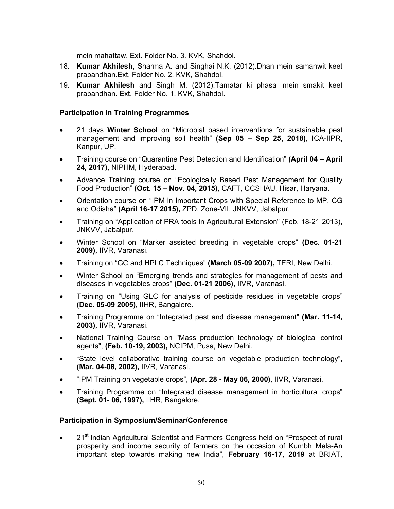mein mahattaw. Ext. Folder No. 3. KVK, Shahdol.

- 18. Kumar Akhilesh, Sharma A. and Singhai N.K. (2012).Dhan mein samanwit keet prabandhan.Ext. Folder No. 2. KVK, Shahdol.
- 19. Kumar Akhilesh and Singh M. (2012).Tamatar ki phasal mein smakit keet prabandhan. Ext. Folder No. 1. KVK, Shahdol.

### Participation in Training Programmes

- 21 days **Winter School** on "Microbial based interventions for sustainable pest management and improving soil health" (Sep 05 – Sep 25, 2018), ICA-IIPR, Kanpur, UP.
- Training course on "Quarantine Pest Detection and Identification" (April 04 April 24, 2017), NIPHM, Hyderabad.
- Advance Training course on "Ecologically Based Pest Management for Quality Food Production" (Oct. 15 – Nov. 04, 2015), CAFT, CCSHAU, Hisar, Haryana.
- Orientation course on "IPM in Important Crops with Special Reference to MP, CG and Odisha" (April 16-17 2015), ZPD, Zone-VII, JNKVV, Jabalpur.
- Training on "Application of PRA tools in Agricultural Extension" (Feb. 18-21 2013), JNKVV, Jabalpur.
- Winter School on "Marker assisted breeding in vegetable crops" (Dec. 01-21 2009), IIVR, Varanasi.
- Training on "GC and HPLC Techniques" (March 05-09 2007), TERI, New Delhi.
- Winter School on "Emerging trends and strategies for management of pests and diseases in vegetables crops" (Dec. 01-21 2006), IIVR, Varanasi.
- Training on "Using GLC for analysis of pesticide residues in vegetable crops" (Dec. 05-09 2005), IIHR, Bangalore.
- Training Programme on "Integrated pest and disease management" (Mar. 11-14, 2003), IIVR, Varanasi.
- National Training Course on "Mass production technology of biological control agents", (Feb. 10-19, 2003), NCIPM, Pusa, New Delhi.
- "State level collaborative training course on vegetable production technology", (Mar. 04-08, 2002), IIVR, Varanasi.
- "IPM Training on vegetable crops", (Apr. 28 May 06, 2000), IIVR, Varanasi.
- Training Programme on "Integrated disease management in horticultural crops" (Sept. 01- 06, 1997), IIHR, Bangalore.

### Participation in Symposium/Seminar/Conference

• 21<sup>st</sup> Indian Agricultural Scientist and Farmers Congress held on "Prospect of rural prosperity and income security of farmers on the occasion of Kumbh Mela-An important step towards making new India", February 16-17, 2019 at BRIAT,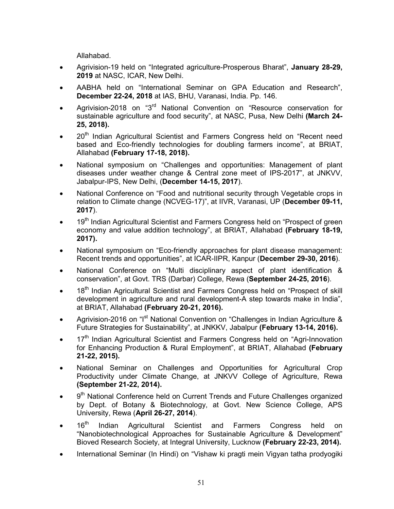Allahabad.

- Agrivision-19 held on "Integrated agriculture-Prosperous Bharat", January 28-29, 2019 at NASC, ICAR, New Delhi.
- AABHA held on "International Seminar on GPA Education and Research", December 22-24, 2018 at IAS, BHU, Varanasi, India. Pp. 146.
- Agrivision-2018 on "3<sup>rd</sup> National Convention on "Resource conservation for sustainable agriculture and food security", at NASC, Pusa, New Delhi (March 24- 25, 2018).
- 20<sup>th</sup> Indian Agricultural Scientist and Farmers Congress held on "Recent need based and Eco-friendly technologies for doubling farmers income", at BRIAT, Allahabad (February 17-18, 2018).
- National symposium on "Challenges and opportunities: Management of plant diseases under weather change & Central zone meet of IPS-2017", at JNKVV, Jabalpur-IPS, New Delhi, (December 14-15, 2017).
- National Conference on "Food and nutritional security through Vegetable crops in relation to Climate change (NCVEG-17)", at IIVR, Varanasi, UP (December 09-11, 2017).
- 19<sup>th</sup> Indian Agricultural Scientist and Farmers Congress held on "Prospect of green economy and value addition technology", at BRIAT, Allahabad (February 18-19, 2017).
- National symposium on "Eco-friendly approaches for plant disease management: Recent trends and opportunities", at ICAR-IIPR, Kanpur (December 29-30, 2016).
- National Conference on "Multi disciplinary aspect of plant identification & conservation", at Govt. TRS (Darbar) College, Rewa (September 24-25, 2016).
- 18<sup>th</sup> Indian Agricultural Scientist and Farmers Congress held on "Prospect of skill development in agriculture and rural development-A step towards make in India", at BRIAT, Allahabad (February 20-21, 2016).
- Agrivision-2016 on "I<sup>st</sup> National Convention on "Challenges in Indian Agriculture & Future Strategies for Sustainability", at JNKKV, Jabalpur (February 13-14, 2016).
- 17<sup>th</sup> Indian Agricultural Scientist and Farmers Congress held on "Agri-Innovation for Enhancing Production & Rural Employment", at BRIAT, Allahabad (February 21-22, 2015).
- National Seminar on Challenges and Opportunities for Agricultural Crop Productivity under Climate Change, at JNKVV College of Agriculture, Rewa (September 21-22, 2014).
- 9<sup>th</sup> National Conference held on Current Trends and Future Challenges organized by Dept. of Botany & Biotechnology, at Govt. New Science College, APS University, Rewa (April 26-27, 2014).
- 16<sup>th</sup> Indian Agricultural Scientist and Farmers Congress held on "Nanobiotechnological Approaches for Sustainable Agriculture & Development" Bioved Research Society, at Integral University, Lucknow (February 22-23, 2014).
- International Seminar (In Hindi) on "Vishaw ki pragti mein Vigyan tatha prodyogiki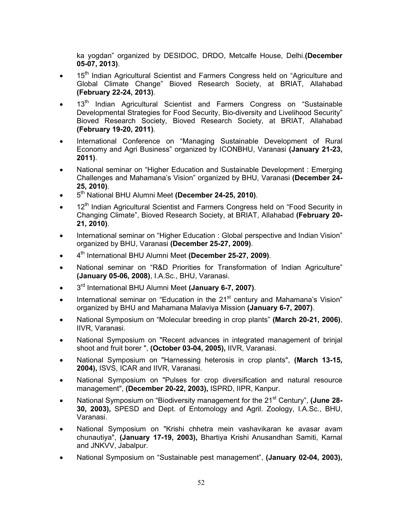ka yogdan" organized by DESIDOC, DRDO, Metcalfe House, Delhi.(December 05-07, 2013).

- 15<sup>th</sup> Indian Agricultural Scientist and Farmers Congress held on "Agriculture and Global Climate Change" Bioved Research Society, at BRIAT, Allahabad (February 22-24, 2013).
- 13<sup>th</sup> Indian Agricultural Scientist and Farmers Congress on "Sustainable Developmental Strategies for Food Security, Bio-diversity and Livelihood Security" Bioved Research Society, Bioved Research Society, at BRIAT, Allahabad (February 19-20, 2011).
- International Conference on "Managing Sustainable Development of Rural Economy and Agri Business" organized by ICONBHU, Varanasi (January 21-23, 2011).
- National seminar on "Higher Education and Sustainable Development : Emerging Challenges and Mahamana's Vision" organized by BHU, Varanasi (December 24- 25, 2010).
- 5<sup>th</sup> National BHU Alumni Meet (December 24-25, 2010).
- 12<sup>th</sup> Indian Agricultural Scientist and Farmers Congress held on "Food Security in Changing Climate", Bioved Research Society, at BRIAT, Allahabad (February 20- 21, 2010).
- International seminar on "Higher Education : Global perspective and Indian Vision" organized by BHU, Varanasi (December 25-27, 2009).
- 4<sup>th</sup> International BHU Alumni Meet (December 25-27, 2009).
- National seminar on "R&D Priorities for Transformation of Indian Agriculture" (January 05-06, 2008), I.A.Sc., BHU, Varanasi.
- 3<sup>rd</sup> International BHU Alumni Meet (January 6-7, 2007).
- International seminar on "Education in the 21<sup>st</sup> century and Mahamana's Vision" organized by BHU and Mahamana Malaviya Mission (January 6-7, 2007).
- National Symposium on "Molecular breeding in crop plants" (March 20-21, 2006), IIVR, Varanasi.
- National Symposium on "Recent advances in integrated management of brinjal shoot and fruit borer ", (October 03-04, 2005), IIVR, Varanasi.
- National Symposium on "Harnessing heterosis in crop plants", (March 13-15, 2004), ISVS, ICAR and IIVR, Varanasi.
- National Symposium on "Pulses for crop diversification and natural resource management", (December 20-22, 2003), ISPRD, IIPR, Kanpur.
- National Symposium on "Biodiversity management for the 21<sup>st</sup> Century", (June 28-30, 2003), SPESD and Dept. of Entomology and Agril. Zoology, I.A.Sc., BHU, Varanasi.
- National Symposium on "Krishi chhetra mein vashavikaran ke avasar avam chunautiya", (January 17-19, 2003), Bhartiya Krishi Anusandhan Samiti, Karnal and JNKVV, Jabalpur.
- National Symposium on "Sustainable pest management", (January 02-04, 2003),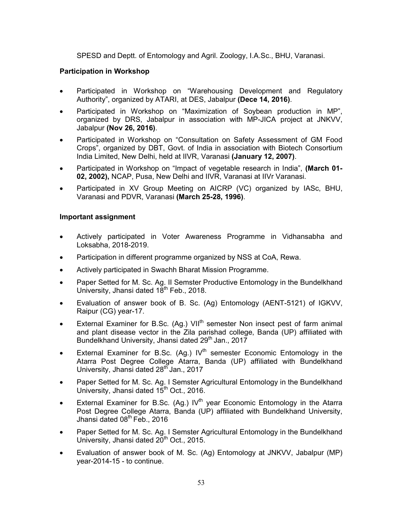SPESD and Deptt. of Entomology and Agril. Zoology, I.A.Sc., BHU, Varanasi.

### Participation in Workshop

- Participated in Workshop on "Warehousing Development and Regulatory Authority", organized by ATARI, at DES, Jabalpur (Dece 14, 2016).
- Participated in Workshop on "Maximization of Soybean production in MP", organized by DRS, Jabalpur in association with MP-JICA project at JNKVV, Jabalpur (Nov 26, 2016).
- Participated in Workshop on "Consultation on Safety Assessment of GM Food Crops", organized by DBT, Govt. of India in association with Biotech Consortium India Limited, New Delhi, held at IIVR, Varanasi (January 12, 2007).
- Participated in Workshop on "Impact of vegetable research in India", (March 01- 02, 2002), NCAP, Pusa, New Delhi and IIVR, Varanasi at IIVr Varanasi.
- Participated in XV Group Meeting on AICRP (VC) organized by IASc, BHU, Varanasi and PDVR, Varanasi (March 25-28, 1996).

### Important assignment

- Actively participated in Voter Awareness Programme in Vidhansabha and Loksabha, 2018-2019.
- Participation in different programme organized by NSS at CoA, Rewa.
- Actively participated in Swachh Bharat Mission Programme.
- Paper Setted for M. Sc. Ag. II Semster Productive Entomology in the Bundelkhand University, Jhansi dated 18<sup>th</sup> Feb., 2018.
- Evaluation of answer book of B. Sc. (Ag) Entomology (AENT-5121) of IGKVV, Raipur (CG) year-17.
- External Examiner for B.Sc. (Ag.)  $VII^{th}$  semester Non insect pest of farm animal and plant disease vector in the Zila parishad college, Banda (UP) affiliated with Bundelkhand University, Jhansi dated 29<sup>th</sup> Jan., 2017
- External Examiner for B.Sc. (Ag.) IV<sup>th</sup> semester Economic Entomology in the Atarra Post Degree College Atarra, Banda (UP) affiliated with Bundelkhand University, Jhansi dated 28<sup>th</sup> Jan., 2017
- Paper Setted for M. Sc. Ag. I Semster Agricultural Entomology in the Bundelkhand University, Jhansi dated 15<sup>th</sup> Oct., 2016.
- External Examiner for B.Sc. (Ag.) IV<sup>th</sup> year Economic Entomology in the Atarra Post Degree College Atarra, Banda (UP) affiliated with Bundelkhand University, Jhansi dated  $08<sup>th</sup>$  Feb., 2016
- Paper Setted for M. Sc. Ag. I Semster Agricultural Entomology in the Bundelkhand University, Jhansi dated 20<sup>th</sup> Oct., 2015.
- Evaluation of answer book of M. Sc. (Ag) Entomology at JNKVV, Jabalpur (MP) year-2014-15 - to continue.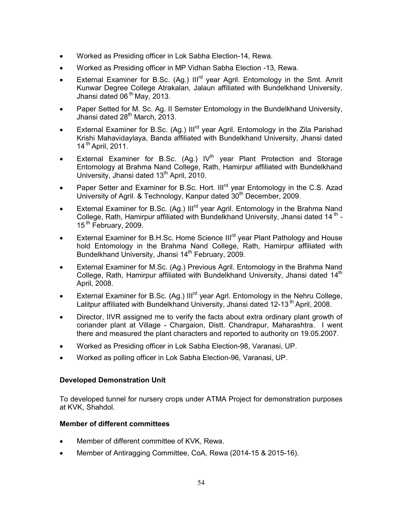- Worked as Presiding officer in Lok Sabha Election-14, Rewa.
- Worked as Presiding officer in MP Vidhan Sabha Election -13, Rewa.
- External Examiner for B.Sc. (Ag.) Ill<sup>rd</sup> year Agril. Entomology in the Smt. Amrit Kunwar Degree College Atrakalan, Jalaun affiliated with Bundelkhand University, Jhansi dated 06<sup>th</sup> May, 2013.
- Paper Setted for M. Sc. Ag. II Semster Entomology in the Bundelkhand University, Jhansi dated  $28<sup>th</sup>$  March, 2013.
- External Examiner for B.Sc. (Ag.) Ill<sup>rd</sup> year Agril. Entomology in the Zila Parishad Krishi Mahavidaylaya, Banda affiliated with Bundelkhand University, Jhansi dated 14 th April, 2011.
- External Examiner for B.Sc. (Ag.)  $IV<sup>th</sup>$  year Plant Protection and Storage Entomology at Brahma Nand College, Rath, Hamirpur affiliated with Bundelkhand University, Jhansi dated  $13<sup>th</sup>$  April, 2010.
- Paper Setter and Examiner for B.Sc. Hort. Ill<sup>rd</sup> year Entomology in the C.S. Azad University of Agril. & Technology, Kanpur dated 30<sup>th</sup> December, 2009.
- External Examiner for B.Sc. (Ag.) Ill<sup>rd</sup> year Agril. Entomology in the Brahma Nand College, Rath, Hamirpur affiliated with Bundelkhand University, Jhansi dated 14<sup>th</sup> -15<sup>th</sup> February, 2009.
- External Examiner for B.H.Sc. Home Science III<sup>rd</sup> year Plant Pathology and House hold Entomology in the Brahma Nand College, Rath, Hamirpur affiliated with Bundelkhand University, Jhansi 14<sup>th</sup> February, 2009.
- External Examiner for M.Sc. (Ag.) Previous Agril. Entomology in the Brahma Nand College, Rath, Hamirpur affiliated with Bundelkhand University, Jhansi dated 14<sup>th</sup> April, 2008.
- External Examiner for B.Sc. (Ag.) Ill<sup>rd</sup> year Agrl. Entomology in the Nehru College, Lalitpur affiliated with Bundelkhand University, Jhansi dated 12-13<sup>th</sup> April, 2008.
- Director, IIVR assigned me to verify the facts about extra ordinary plant growth of coriander plant at Village - Chargaion, Distt. Chandrapur, Maharashtra. I went there and measured the plant characters and reported to authority on 19.05.2007.
- Worked as Presiding officer in Lok Sabha Election-98, Varanasi, UP.
- Worked as polling officer in Lok Sabha Election-96, Varanasi, UP.

### Developed Demonstration Unit

To developed tunnel for nursery crops under ATMA Project for demonstration purposes at KVK, Shahdol.

### Member of different committees

- Member of different committee of KVK, Rewa.
- Member of Antiragging Committee, CoA, Rewa (2014-15 & 2015-16).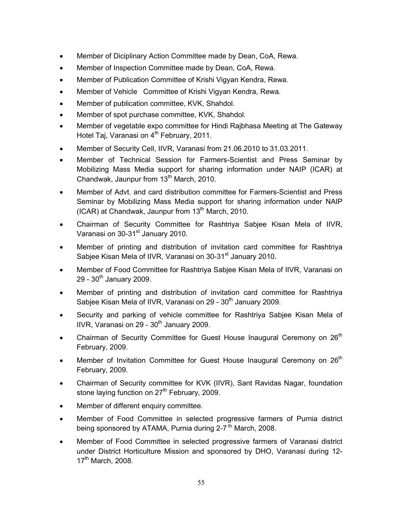- Member of Diciplinary Action Committee made by Dean, CoA, Rewa.
- Member of Inspection Committee made by Dean, CoA, Rewa.
- Member of Publication Committee of Krishi Vigyan Kendra, Rewa.
- Member of Vehicle Committee of Krishi Vigyan Kendra, Rewa.
- Member of publication committee, KVK, Shahdol.
- Member of spot purchase committee, KVK, Shahdol.
- Member of vegetable expo committee for Hindi Rajbhasa Meeting at The Gateway Hotel Taj, Varanasi on 4<sup>th</sup> February, 2011.
- Member of Security Cell, IIVR, Varanasi from 21.06.2010 to 31.03.2011.
- Member of Technical Session for Farmers-Scientist and Press Seminar by Mobilizing Mass Media support for sharing information under NAIP (ICAR) at Chandwak, Jaunpur from 13<sup>th</sup> March, 2010.
- Member of Advt. and card distribution committee for Farmers-Scientist and Press Seminar by Mobilizing Mass Media support for sharing information under NAIP (ICAR) at Chandwak, Jaunpur from  $13<sup>th</sup>$  March, 2010.
- Chairman of Security Committee for Rashtriya Sabjee Kisan Mela of IIVR, Varanasi on 30-31<sup>st</sup> January 2010.
- Member of printing and distribution of invitation card committee for Rashtriya Sabjee Kisan Mela of IIVR, Varanasi on 30-31<sup>st</sup> January 2010.
- Member of Food Committee for Rashtriya Sabjee Kisan Mela of IIVR, Varanasi on  $29 - 30$ <sup>th</sup> January 2009.
- Member of printing and distribution of invitation card committee for Rashtriya Sabjee Kisan Mela of IIVR, Varanasi on 29 - 30<sup>th</sup> January 2009.
- Security and parking of vehicle committee for Rashtriya Sabjee Kisan Mela of IIVR, Varanasi on 29 -  $30<sup>th</sup>$  January 2009.
- Chairman of Security Committee for Guest House Inaugural Ceremony on 26<sup>th</sup> February, 2009.
- Member of Invitation Committee for Guest House Inaugural Ceremony on 26<sup>th</sup> February, 2009.
- Chairman of Security committee for KVK (IIVR), Sant Ravidas Nagar, foundation stone laying function on  $27<sup>th</sup>$  February, 2009.
- Member of different enquiry committee.
- Member of Food Committee in selected progressive farmers of Purnia district being sponsored by ATAMA, Purnia during  $2\text{-}7^{\text{th}}$  March, 2008.
- Member of Food Committee in selected progressive farmers of Varanasi district under District Horticulture Mission and sponsored by DHO, Varanasi during 12-  $17<sup>th</sup>$  March, 2008.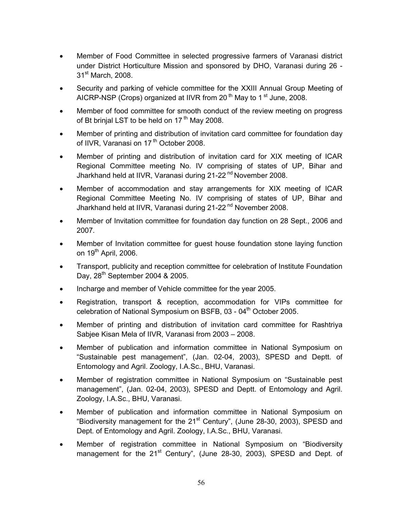- Member of Food Committee in selected progressive farmers of Varanasi district under District Horticulture Mission and sponsored by DHO, Varanasi during 26 - 31<sup>st</sup> March, 2008.
- Security and parking of vehicle committee for the XXIII Annual Group Meeting of AICRP-NSP (Crops) organized at IIVR from 20<sup>th</sup> May to 1<sup>st</sup> June, 2008.
- Member of food committee for smooth conduct of the review meeting on progress of Bt brinjal LST to be held on 17<sup>th</sup> May 2008.
- Member of printing and distribution of invitation card committee for foundation day of IIVR, Varanasi on 17<sup>th</sup> October 2008.
- Member of printing and distribution of invitation card for XIX meeting of ICAR Regional Committee meeting No. IV comprising of states of UP, Bihar and Jharkhand held at IIVR, Varanasi during 21-22<sup>nd</sup> November 2008.
- Member of accommodation and stay arrangements for XIX meeting of ICAR Regional Committee Meeting No. IV comprising of states of UP, Bihar and Jharkhand held at IIVR, Varanasi during 21-22<sup>nd</sup> November 2008.
- Member of Invitation committee for foundation day function on 28 Sept., 2006 and 2007.
- Member of Invitation committee for guest house foundation stone laying function on  $19^{th}$  April, 2006.
- Transport, publicity and reception committee for celebration of Institute Foundation Day, 28<sup>th</sup> September 2004 & 2005.
- Incharge and member of Vehicle committee for the year 2005.
- Registration, transport & reception, accommodation for VIPs committee for celebration of National Symposium on BSFB, 03 - 04<sup>th</sup> October 2005.
- Member of printing and distribution of invitation card committee for Rashtriya Sabjee Kisan Mela of IIVR, Varanasi from 2003 – 2008.
- Member of publication and information committee in National Symposium on "Sustainable pest management", (Jan. 02-04, 2003), SPESD and Deptt. of Entomology and Agril. Zoology, I.A.Sc., BHU, Varanasi.
- Member of registration committee in National Symposium on "Sustainable pest management", (Jan. 02-04, 2003), SPESD and Deptt. of Entomology and Agril. Zoology, I.A.Sc., BHU, Varanasi.
- Member of publication and information committee in National Symposium on "Biodiversity management for the  $21<sup>st</sup>$  Century", (June 28-30, 2003), SPESD and Dept. of Entomology and Agril. Zoology, I.A.Sc., BHU, Varanasi.
- Member of registration committee in National Symposium on "Biodiversity management for the 21<sup>st</sup> Century", (June 28-30, 2003), SPESD and Dept. of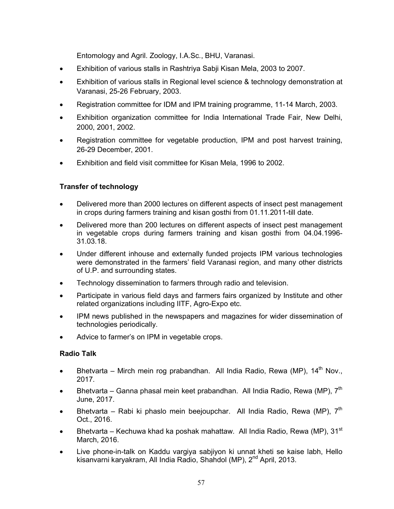Entomology and Agril. Zoology, I.A.Sc., BHU, Varanasi.

- Exhibition of various stalls in Rashtriya Sabji Kisan Mela, 2003 to 2007.
- Exhibition of various stalls in Regional level science & technology demonstration at Varanasi, 25-26 February, 2003.
- Registration committee for IDM and IPM training programme, 11-14 March, 2003.
- Exhibition organization committee for India International Trade Fair, New Delhi, 2000, 2001, 2002.
- Registration committee for vegetable production, IPM and post harvest training, 26-29 December, 2001.
- Exhibition and field visit committee for Kisan Mela, 1996 to 2002.

# Transfer of technology

- Delivered more than 2000 lectures on different aspects of insect pest management in crops during farmers training and kisan gosthi from 01.11.2011-till date.
- Delivered more than 200 lectures on different aspects of insect pest management in vegetable crops during farmers training and kisan gosthi from 04.04.1996- 31.03.18.
- Under different inhouse and externally funded projects IPM various technologies were demonstrated in the farmers' field Varanasi region, and many other districts of U.P. and surrounding states.
- Technology dissemination to farmers through radio and television.
- Participate in various field days and farmers fairs organized by Institute and other related organizations including IITF, Agro-Expo etc.
- IPM news published in the newspapers and magazines for wider dissemination of technologies periodically.
- Advice to farmer's on IPM in vegetable crops.

## Radio Talk

- Bhetvarta Mirch mein rog prabandhan. All India Radio, Rewa (MP),  $14<sup>th</sup>$  Nov., 2017.
- Bhetvarta Ganna phasal mein keet prabandhan. All India Radio, Rewa (MP),  $7<sup>th</sup>$ June, 2017.
- Bhetvarta Rabi ki phaslo mein beejoupchar. All India Radio, Rewa (MP),  $7<sup>th</sup>$ Oct., 2016.
- Bhetvarta Kechuwa khad ka poshak mahattaw. All India Radio, Rewa (MP),  $31<sup>st</sup>$ March, 2016.
- Live phone-in-talk on Kaddu vargiya sabjiyon ki unnat kheti se kaise labh, Hello kisanvarni karyakram, All India Radio, Shahdol (MP), 2<sup>nd</sup> April, 2013.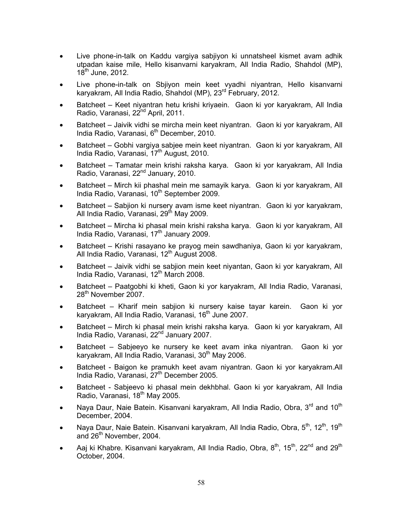- Live phone-in-talk on Kaddu vargiya sabjiyon ki unnatsheel kismet avam adhik utpadan kaise mile, Hello kisanvarni karyakram, All India Radio, Shahdol (MP),  $18^{th}$  June, 2012.
- Live phone-in-talk on Sbjiyon mein keet vyadhi niyantran, Hello kisanvarni karyakram, All India Radio, Shahdol (MP), 23rd February, 2012.
- Batcheet Keet niyantran hetu krishi kriyaein. Gaon ki yor karyakram, All India Radio, Varanasi, 22<sup>nd</sup> April, 2011.
- Batcheet Jaivik vidhi se mircha mein keet niyantran. Gaon ki yor karyakram, All India Radio, Varanasi, 6<sup>th</sup> December, 2010.
- Batcheet Gobhi vargiya sabjee mein keet niyantran. Gaon ki yor karyakram, All India Radio, Varanasi,  $17<sup>th</sup>$  August, 2010.
- Batcheet Tamatar mein krishi raksha karya. Gaon ki yor karyakram, All India Radio, Varanasi, 22<sup>nd</sup> January, 2010.
- Batcheet Mirch kii phashal mein me samayik karya. Gaon ki yor karyakram, All India Radio, Varanasi, 10<sup>th</sup> September 2009.
- Batcheet Sabjion ki nursery avam isme keet niyantran. Gaon ki yor karyakram, All India Radio, Varanasi, 29<sup>th</sup> May 2009.
- Batcheet Mircha ki phasal mein krishi raksha karya. Gaon ki yor karyakram, All India Radio, Varanasi, 17<sup>th</sup> January 2009.
- Batcheet Krishi rasayano ke prayog mein sawdhaniya, Gaon ki yor karyakram, All India Radio, Varanasi, 12<sup>th</sup> August 2008.
- Batcheet Jaivik vidhi se sabjion mein keet niyantan, Gaon ki yor karyakram, All India Radio, Varanasi, 12<sup>th</sup> March 2008.
- Batcheet Paatgobhi ki kheti, Gaon ki yor karyakram, All India Radio, Varanasi, 28<sup>th</sup> November 2007.
- Batcheet Kharif mein sabjion ki nursery kaise tayar karein. Gaon ki yor karyakram, All India Radio, Varanasi, 16<sup>th</sup> June 2007.
- Batcheet Mirch ki phasal mein krishi raksha karya. Gaon ki yor karyakram, All India Radio, Varanasi, 22nd January 2007.
- Batcheet Sabjeeyo ke nursery ke keet avam inka niyantran. Gaon ki yor karyakram, All India Radio, Varanasi, 30<sup>th</sup> May 2006.
- Batcheet Baigon ke pramukh keet avam niyantran. Gaon ki yor karyakram.All India Radio, Varanasi, 27<sup>th</sup> December 2005.
- Batcheet Sabjeevo ki phasal mein dekhbhal. Gaon ki yor karyakram, All India Radio, Varanasi, 18<sup>th</sup> May 2005.
- Naya Daur, Naie Batein. Kisanvani karyakram, All India Radio, Obra, 3<sup>rd</sup> and 10<sup>th</sup> December, 2004.
- Naya Daur, Naie Batein. Kisanvani karyakram, All India Radio, Obra, 5<sup>th</sup>, 12<sup>th</sup>. 19<sup>th</sup> and 26<sup>th</sup> November, 2004.
- Aaj ki Khabre. Kisanvani karyakram, All India Radio, Obra,  $8<sup>th</sup>$ , 15<sup>th</sup>, 22<sup>nd</sup> and 29<sup>th</sup> October, 2004.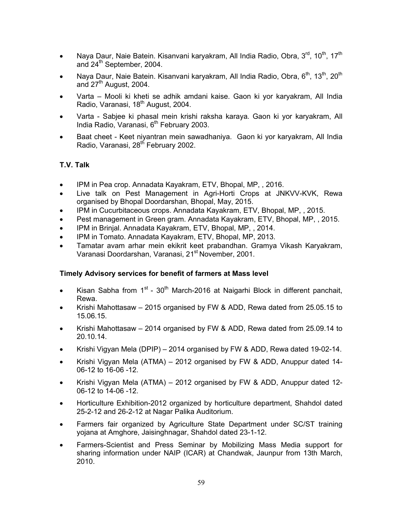- Naya Daur, Naie Batein. Kisanvani karyakram, All India Radio, Obra,  $3^{\text{rd}}$ , 10<sup>th</sup>, 17<sup>th</sup> and 24<sup>th</sup> September, 2004.
- Naya Daur, Naie Batein. Kisanvani karyakram, All India Radio, Obra, 6<sup>th</sup>. 13<sup>th</sup>. 20<sup>th</sup> and  $27<sup>th</sup>$  August, 2004.
- Varta Mooli ki kheti se adhik amdani kaise. Gaon ki yor karyakram, All India Radio, Varanasi, 18<sup>th</sup> August, 2004.
- Varta Sabjee ki phasal mein krishi raksha karaya. Gaon ki yor karyakram, All India Radio, Varanasi,  $6<sup>th</sup>$  February 2003.
- Baat cheet Keet niyantran mein sawadhaniya. Gaon ki yor karyakram, All India Radio, Varanasi, 28<sup>th</sup> February 2002.

### T.V. Talk

- IPM in Pea crop. Annadata Kayakram, ETV, Bhopal, MP,, 2016.
- Live talk on Pest Management in Agri-Horti Crops at JNKVV-KVK, Rewa organised by Bhopal Doordarshan, Bhopal, May, 2015.
- IPM in Cucurbitaceous crops. Annadata Kayakram, ETV, Bhopal, MP, , 2015.
- Pest management in Green gram. Annadata Kayakram, ETV, Bhopal, MP, , 2015.
- IPM in Brinjal. Annadata Kayakram, ETV, Bhopal, MP,, 2014.
- IPM in Tomato. Annadata Kayakram, ETV, Bhopal, MP, 2013.
- Tamatar avam arhar mein ekikrit keet prabandhan. Gramya Vikash Karyakram, Varanasi Doordarshan, Varanasi, 21<sup>st</sup> November, 2001.

### Timely Advisory services for benefit of farmers at Mass level

- Kisan Sabha from  $1<sup>st</sup>$   $30<sup>th</sup>$  March-2016 at Naigarhi Block in different panchait, Rewa.
- Krishi Mahottasaw 2015 organised by FW & ADD, Rewa dated from 25.05.15 to 15.06.15.
- Krishi Mahottasaw 2014 organised by FW & ADD, Rewa dated from 25.09.14 to 20.10.14.
- Krishi Vigyan Mela (DPIP) 2014 organised by FW & ADD, Rewa dated 19-02-14.
- Krishi Vigyan Mela (ATMA) 2012 organised by FW & ADD, Anuppur dated 14- 06-12 to 16-06 -12.
- Krishi Vigyan Mela (ATMA) 2012 organised by FW & ADD, Anuppur dated 12-06-12 to 14-06 -12.
- Horticulture Exhibition-2012 organized by horticulture department, Shahdol dated 25-2-12 and 26-2-12 at Nagar Palika Auditorium.
- Farmers fair organized by Agriculture State Department under SC/ST training yojana at Amghore, Jaisinghnagar, Shahdol dated 23-1-12.
- Farmers-Scientist and Press Seminar by Mobilizing Mass Media support for sharing information under NAIP (ICAR) at Chandwak, Jaunpur from 13th March, 2010.